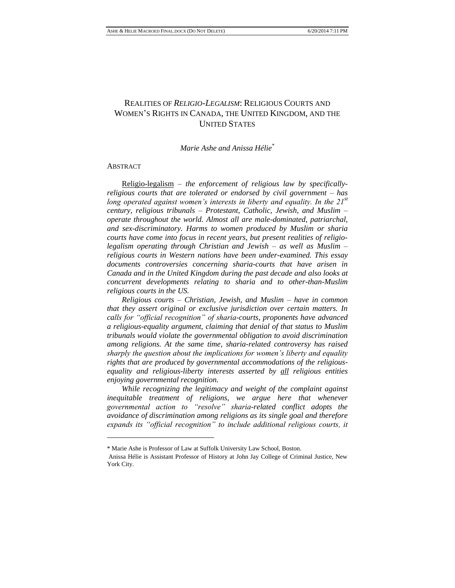# REALITIES OF *RELIGIO-LEGALISM*: RELIGIOUS COURTS AND WOMEN'S RIGHTS IN CANADA, THE UNITED KINGDOM, AND THE UNITED STATES

# *Marie Ashe and Anissa Hélie\**

#### ABSTRACT

 $\overline{a}$ 

Religio-legalism *– the enforcement of religious law by specificallyreligious courts that are tolerated or endorsed by civil government – has long operated against women's interests in liberty and equality. In the 21st century, religious tribunals – Protestant, Catholic, Jewish, and Muslim – operate throughout the world. Almost all are male-dominated, patriarchal, and sex-discriminatory. Harms to women produced by Muslim or sharia courts have come into focus in recent years, but present realities of religiolegalism operating through Christian and Jewish – as well as Muslim – religious courts in Western nations have been under-examined. This essay documents controversies concerning sharia-courts that have arisen in Canada and in the United Kingdom during the past decade and also looks at concurrent developments relating to sharia and to other-than-Muslim religious courts in the US.*

*Religious courts – Christian, Jewish, and Muslim – have in common that they assert original or exclusive jurisdiction over certain matters. In calls for "official recognition" of sharia-courts, proponents have advanced a religious-equality argument, claiming that denial of that status to Muslim tribunals would violate the governmental obligation to avoid discrimination among religions. At the same time, sharia-related controversy has raised sharply the question about the implications for women's liberty and equality rights that are produced by governmental accommodations of the religiousequality and religious-liberty interests asserted by all religious entities enjoying governmental recognition.*

*While recognizing the legitimacy and weight of the complaint against inequitable treatment of religions, we argue here that whenever governmental action to "resolve" sharia-related conflict adopts the avoidance of discrimination among religions as its single goal and therefore expands its "official recognition" to include additional religious courts, it* 

<sup>\*</sup> Marie Ashe is Professor of Law at Suffolk University Law School, Boston.

Anissa Hélie is Assistant Professor of History at John Jay College of Criminal Justice, New York City.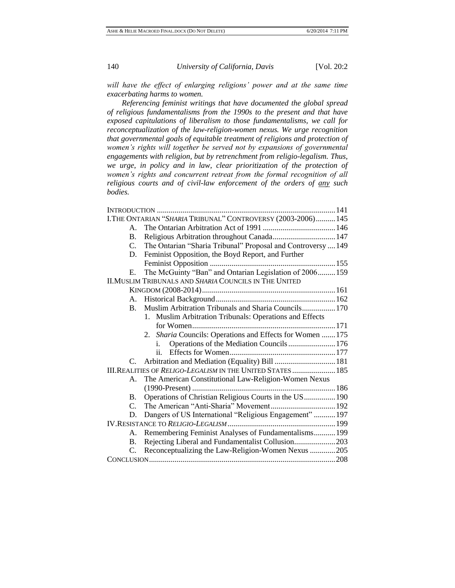will have the effect of enlarging religions' power and at the same time *exacerbating harms to women.*

*Referencing feminist writings that have documented the global spread of religious fundamentalisms from the 1990s to the present and that have exposed capitulations of liberalism to those fundamentalisms, we call for reconceptualization of the law-religion-women nexus. We urge recognition that governmental goals of equitable treatment of religions and protection of women's rights will together be served not by expansions of governmental engagements with religion, but by retrenchment from religio-legalism. Thus, we urge, in policy and in law, clear prioritization of the protection of women's rights and concurrent retreat from the formal recognition of all religious courts and of civil-law enforcement of the orders of any such bodies.*

| I.THE ONTARIAN "SHARIA TRIBUNAL" CONTROVERSY (2003-2006) 145 |                                                              |  |
|--------------------------------------------------------------|--------------------------------------------------------------|--|
| $\mathbf{A}$                                                 |                                                              |  |
| <b>B.</b>                                                    |                                                              |  |
| C.                                                           | The Ontarian "Sharia Tribunal" Proposal and Controversy  149 |  |
| D.                                                           | Feminist Opposition, the Boyd Report, and Further            |  |
|                                                              |                                                              |  |
| Е.                                                           | The McGuinty "Ban" and Ontarian Legislation of 2006 159      |  |
| <b>II.MUSLIM TRIBUNALS AND SHARIA COUNCILS IN THE UNITED</b> |                                                              |  |
|                                                              |                                                              |  |
| A.                                                           |                                                              |  |
| B.                                                           | Muslim Arbitration Tribunals and Sharia Councils 170         |  |
|                                                              | 1. Muslim Arbitration Tribunals: Operations and Effects      |  |
|                                                              |                                                              |  |
|                                                              | 2. Sharia Councils: Operations and Effects for Women  175    |  |
|                                                              | Operations of the Mediation Councils 176<br>i.               |  |
|                                                              | ii.                                                          |  |
| $C_{\cdot}$                                                  | Arbitration and Mediation (Equality) Bill  181               |  |
|                                                              | III. REALITIES OF RELIGO-LEGALISM IN THE UNITED STATES  185  |  |
| A.                                                           | The American Constitutional Law-Religion-Women Nexus         |  |
|                                                              |                                                              |  |
| B.                                                           | Operations of Christian Religious Courts in the US 190       |  |
| $\mathcal{C}$ .                                              |                                                              |  |
| D.                                                           | Dangers of US International "Religious Engagement"  197      |  |
|                                                              |                                                              |  |
| $A_{\cdot}$                                                  | Remembering Feminist Analyses of Fundamentalisms 199         |  |
| B.                                                           | Rejecting Liberal and Fundamentalist Collusion203            |  |
| C.                                                           | Reconceptualizing the Law-Religion-Women Nexus 205           |  |
|                                                              |                                                              |  |
|                                                              |                                                              |  |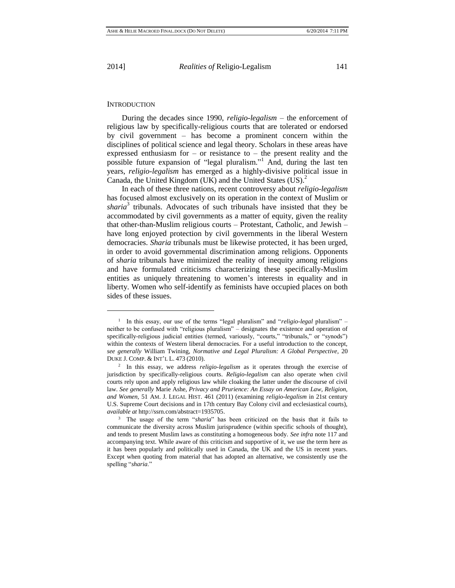l

2014] *Realities of* Religio-Legalism 141

#### **INTRODUCTION**

During the decades since 1990, *religio-legalism* – the enforcement of religious law by specifically-religious courts that are tolerated or endorsed by civil government – has become a prominent concern within the disciplines of political science and legal theory. Scholars in these areas have expressed enthusiasm for  $-$  or resistance to  $-$  the present reality and the possible future expansion of "legal pluralism."<sup>1</sup> And, during the last ten years, *religio-legalism* has emerged as a highly-divisive political issue in Canada, the United Kingdom (UK) and the United States (US).<sup>2</sup>

In each of these three nations, recent controversy about *religio-legalism* has focused almost exclusively on its operation in the context of Muslim or sharia<sup>3</sup> tribunals. Advocates of such tribunals have insisted that they be accommodated by civil governments as a matter of equity, given the reality that other-than-Muslim religious courts – Protestant, Catholic, and Jewish – have long enjoyed protection by civil governments in the liberal Western democracies. *Sharia* tribunals must be likewise protected, it has been urged, in order to avoid governmental discrimination among religions. Opponents of *sharia* tribunals have minimized the reality of inequity among religions and have formulated criticisms characterizing these specifically-Muslim entities as uniquely threatening to women's interests in equality and in liberty. Women who self-identify as feminists have occupied places on both sides of these issues.

<sup>&</sup>lt;sup>1</sup> In this essay, our use of the terms "legal pluralism" and "*religio-legal* pluralism" – neither to be confused with "religious pluralism" – designates the existence and operation of specifically-religious judicial entities (termed, variously, "courts," "tribunals," or "synods") within the contexts of Western liberal democracies. For a useful introduction to the concept, *see generally* William Twining, *Normative and Legal Pluralism: A Global Perspective*, 20 DUKE J. COMP. & INT'L L. 473 (2010).

<sup>2</sup> In this essay, we address *religio-legalism* as it operates through the exercise of jurisdiction by specifically-religious courts. *Religio-legalism* can also operate when civil courts rely upon and apply religious law while cloaking the latter under the discourse of civil law. *See generally* Marie Ashe, *Privacy and Prurience: An Essay on American Law, Religion, and Women,* 51 AM. J. LEGAL HIST. 461 (2011) (examining *religio-legalism* in 21st century U.S. Supreme Court decisions and in 17th century Bay Colony civil and ecclesiastical courts), *available at* [http://ssrn.com/abstract=1935705.](http://ssrn.com/abstract=1935705)

<sup>3</sup> The usage of the term "*sharia*" has been criticized on the basis that it fails to communicate the diversity across Muslim jurisprudence (within specific schools of thought), and tends to present Muslim laws as constituting a homogeneous body. *See infra* note 117 and accompanying text. While aware of this criticism and supportive of it, we use the term here as it has been popularly and politically used in Canada, the UK and the US in recent years. Except when quoting from material that has adopted an alternative, we consistently use the spelling "*sharia*."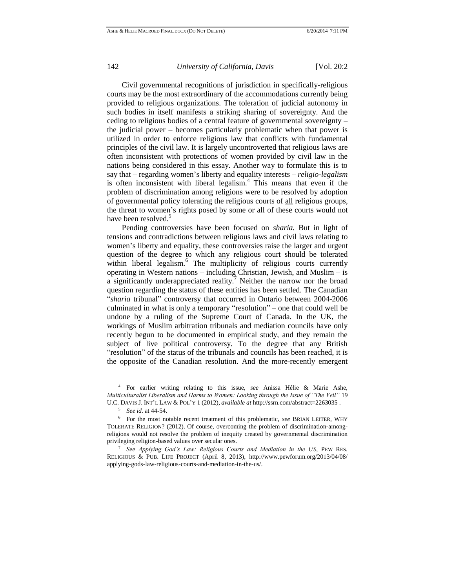Civil governmental recognitions of jurisdiction in specifically-religious courts may be the most extraordinary of the accommodations currently being provided to religious organizations. The toleration of judicial autonomy in such bodies in itself manifests a striking sharing of sovereignty. And the ceding to religious bodies of a central feature of governmental sovereignty – the judicial power – becomes particularly problematic when that power is utilized in order to enforce religious law that conflicts with fundamental principles of the civil law. It is largely uncontroverted that religious laws are often inconsistent with protections of women provided by civil law in the nations being considered in this essay. Another way to formulate this is to say that – regarding women's liberty and equality interests – *religio-legalism* is often inconsistent with liberal legalism.<sup>4</sup> This means that even if the problem of discrimination among religions were to be resolved by adoption of governmental policy tolerating the religious courts of all religious groups, the threat to women's rights posed by some or all of these courts would not have been resolved.<sup>5</sup>

Pending controversies have been focused on *sharia.* But in light of tensions and contradictions between religious laws and civil laws relating to women's liberty and equality, these controversies raise the larger and urgent question of the degree to which any religious court should be tolerated within liberal legalism.<sup>6</sup> The multiplicity of religious courts currently operating in Western nations – including Christian, Jewish, and Muslim – is a significantly underappreciated reality.<sup>7</sup> Neither the narrow nor the broad question regarding the status of these entities has been settled. The Canadian "*sharia* tribunal" controversy that occurred in Ontario between 2004-2006 culminated in what is only a temporary "resolution" – one that could well be undone by a ruling of the Supreme Court of Canada. In the UK, the workings of Muslim arbitration tribunals and mediation councils have only recently begun to be documented in empirical study, and they remain the subject of live political controversy. To the degree that any British "resolution" of the status of the tribunals and councils has been reached, it is the opposite of the Canadian resolution. And the more-recently emergent

<sup>4</sup> For earlier writing relating to this issue, *see* Anissa Hélie & Marie Ashe, *Multiculturalist Liberalism and Harms to Women: Looking through the Issue of "The Veil"* 19 U.C. DAVIS J. INT'L LAW & POL'Y 1 (2012), *available at* <http://ssrn.com/abstract=2263035> .

<sup>5</sup> *See id.* at 44-54.

<sup>6</sup> For the most notable recent treatment of this problematic, *see* BRIAN LEITER, WHY TOLERATE RELIGION? (2012). Of course, overcoming the problem of discrimination-amongreligions would not resolve the problem of inequity created by governmental discrimination privileging religion-based values over secular ones.

<sup>7</sup> *See Applying God's Law: Religious Courts and Mediation in the US*, PEW RES. RELIGIOUS & PUB. LIFE PROJECT (April 8, 2013), [http://www.pewforum.org/2013/04/08/](http://www.pewforum.org/2013/04/08/applying-gods-law-religious-courts-and-mediation-in-the-us/) [applying-gods-law-religious-courts-and-mediation-in-the-us/.](http://www.pewforum.org/2013/04/08/applying-gods-law-religious-courts-and-mediation-in-the-us/)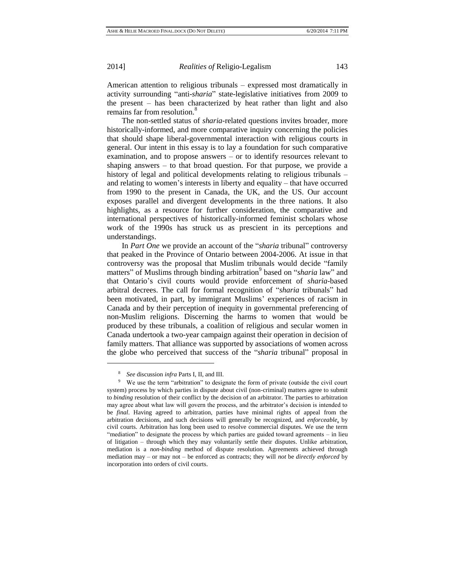American attention to religious tribunals – expressed most dramatically in activity surrounding "anti-*sharia*" state-legislative initiatives from 2009 to the present – has been characterized by heat rather than light and also remains far from resolution.<sup>8</sup>

The non-settled status of *sharia-*related questions invites broader, more historically-informed, and more comparative inquiry concerning the policies that should shape liberal-governmental interaction with religious courts in general. Our intent in this essay is to lay a foundation for such comparative examination, and to propose answers – or to identify resources relevant to shaping answers – to that broad question. For that purpose, we provide a history of legal and political developments relating to religious tribunals – and relating to women's interests in liberty and equality – that have occurred from 1990 to the present in Canada, the UK, and the US. Our account exposes parallel and divergent developments in the three nations. It also highlights, as a resource for further consideration, the comparative and international perspectives of historically-informed feminist scholars whose work of the 1990s has struck us as prescient in its perceptions and understandings.

In *Part One* we provide an account of the "*sharia* tribunal" controversy that peaked in the Province of Ontario between 2004-2006. At issue in that controversy was the proposal that Muslim tribunals would decide "family matters" of Muslims through binding arbitration<sup>9</sup> based on "*sharia* law" and that Ontario's civil courts would provide enforcement of *sharia*-based arbitral decrees. The call for formal recognition of "*sharia* tribunals" had been motivated, in part, by immigrant Muslims' experiences of racism in Canada and by their perception of inequity in governmental preferencing of non-Muslim religions. Discerning the harms to women that would be produced by these tribunals, a coalition of religious and secular women in Canada undertook a two-year campaign against their operation in decision of family matters. That alliance was supported by associations of women across the globe who perceived that success of the "*sharia* tribunal" proposal in

<sup>8</sup> *See* discussion *infra* Parts I, II, and III.

<sup>&</sup>lt;sup>9</sup> We use the term "arbitration" to designate the form of private (outside the civil court system) process by which parties in dispute about civil (non-criminal) matters agree to submit to *binding* resolution of their conflict by the decision of an arbitrator. The parties to arbitration may agree about what law will govern the process, and the arbitrator's decision is intended to be *final*. Having agreed to arbitration, parties have minimal rights of appeal from the arbitration decisions, and such decisions will generally be recognized, and *enforceable*, by civil courts. Arbitration has long been used to resolve commercial disputes. We use the term "mediation" to designate the process by which parties are guided toward agreements – in lieu of litigation – through which they may voluntarily settle their disputes. Unlike arbitration, mediation is a *non-binding* method of dispute resolution. Agreements achieved through mediation may – or may not – be enforced as contracts; they will *not* be *directly enforced* by incorporation into orders of civil courts.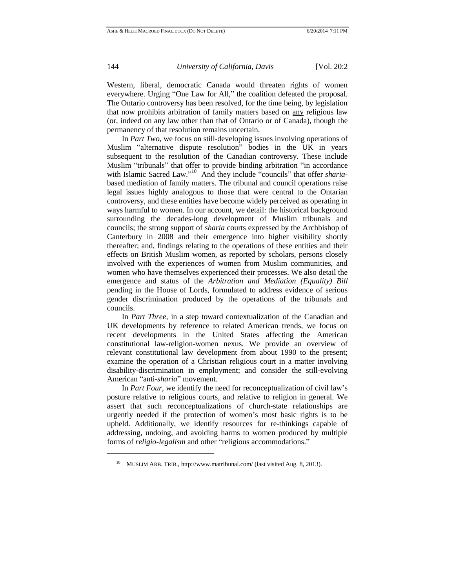Western, liberal, democratic Canada would threaten rights of women everywhere. Urging "One Law for All," the coalition defeated the proposal. The Ontario controversy has been resolved, for the time being, by legislation that now prohibits arbitration of family matters based on any religious law (or, indeed on any law other than that of Ontario or of Canada), though the permanency of that resolution remains uncertain.

In *Part Two,* we focus on still-developing issues involving operations of Muslim "alternative dispute resolution" bodies in the UK in years subsequent to the resolution of the Canadian controversy. These include Muslim "tribunals" that offer to provide binding arbitration "in accordance with Islamic Sacred Law."<sup>10</sup> And they include "councils" that offer *sharia*based mediation of family matters. The tribunal and council operations raise legal issues highly analogous to those that were central to the Ontarian controversy, and these entities have become widely perceived as operating in ways harmful to women. In our account, we detail: the historical background surrounding the decades-long development of Muslim tribunals and councils; the strong support of *sharia* courts expressed by the Archbishop of Canterbury in 2008 and their emergence into higher visibility shortly thereafter; and, findings relating to the operations of these entities and their effects on British Muslim women, as reported by scholars, persons closely involved with the experiences of women from Muslim communities, and women who have themselves experienced their processes. We also detail the emergence and status of the *Arbitration and Mediation (Equality) Bill* pending in the House of Lords, formulated to address evidence of serious gender discrimination produced by the operations of the tribunals and councils.

In *Part Three,* in a step toward contextualization of the Canadian and UK developments by reference to related American trends, we focus on recent developments in the United States affecting the American constitutional law-religion-women nexus. We provide an overview of relevant constitutional law development from about 1990 to the present; examine the operation of a Christian religious court in a matter involving disability-discrimination in employment; and consider the still-evolving American "anti-*sharia*" movement.

In *Part Four,* we identify the need for reconceptualization of civil law's posture relative to religious courts, and relative to religion in general. We assert that such reconceptualizations of church-state relationships are urgently needed if the protection of women's most basic rights is to be upheld. Additionally, we identify resources for re-thinkings capable of addressing, undoing, and avoiding harms to women produced by multiple forms of *religio-legalism* and other "religious accommodations."

<sup>10</sup> MUSLIM ARB. TRIB.,<http://www.matribunal.com/> (last visited Aug. 8, 2013).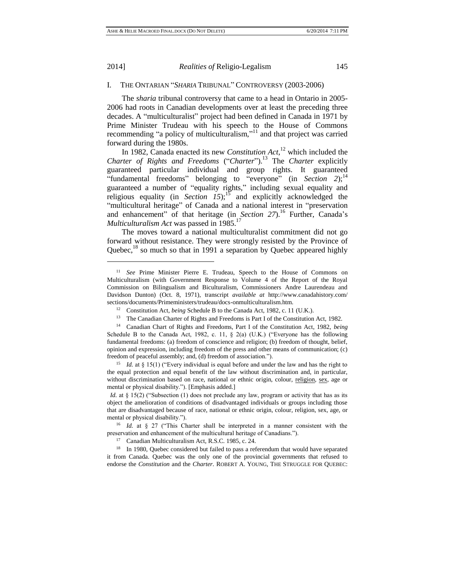l

#### 2014] *Realities of* Religio-Legalism 145

# I. THE ONTARIAN "*SHARIA* TRIBUNAL" CONTROVERSY (2003-2006)

The *sharia* tribunal controversy that came to a head in Ontario in 2005- 2006 had roots in Canadian developments over at least the preceding three decades. A "multiculturalist" project had been defined in Canada in 1971 by Prime Minister Trudeau with his speech to the House of Commons recommending "a policy of multiculturalism," <sup>11</sup> and that project was carried forward during the 1980s.

In 1982, Canada enacted its new *Constitution Act*, <sup>12</sup> which included the *Charter of Rights and Freedoms* ("*Charter*").<sup>13</sup> The *Charter* explicitly guaranteed particular individual and group rights. It guaranteed "fundamental freedoms" belonging to "everyone" (in *Section 2*);<sup>14</sup> guaranteed a number of "equality rights," including sexual equality and religious equality (in *Section 15*);<sup>15</sup> and explicitly acknowledged the "multicultural heritage" of Canada and a national interest in "preservation and enhancement" of that heritage (in *Section 27*).<sup>16</sup> Further, Canada's *Multiculturalism Act* was passed in 1985.<sup>17</sup>

The moves toward a national multiculturalist commitment did not go forward without resistance. They were strongly resisted by the Province of Quebec,<sup>18</sup> so much so that in 1991 a separation by Quebec appeared highly

<sup>15</sup> *Id.* at § 15(1) ("Every individual is equal before and under the law and has the right to the equal protection and equal benefit of the law without discrimination and, in particular, without discrimination based on race, national or ethnic origin, colour, religion, sex, age or mental or physical disability."). [Emphasis added.]

<sup>11</sup> *See* Prime Minister Pierre E. Trudeau, Speech to the House of Commons on Multiculturalism (with Government Response to Volume 4 of the Report of the Royal Commission on Bilingualism and Biculturalism, Commissioners Andre Laurendeau and Davidson Dunton) (Oct. 8, 1971), transcript *available at* [http://www.canadahistory.com/](http://www.canadahistory.com/sections/documents/Primeministers/trudeau/docs-onmulticulturalism.htm) [sections/documents/Primeministers/trudeau/docs-onmulticulturalism.htm.](http://www.canadahistory.com/sections/documents/Primeministers/trudeau/docs-onmulticulturalism.htm)

<sup>12</sup> Constitution Act, *being* Schedule B to the Canada Act, 1982, c. 11 (U.K.).

<sup>&</sup>lt;sup>13</sup> The Canadian Charter of Rights and Freedoms is Part I of the Constitution Act, 1982.

<sup>14</sup> Canadian Chart of Rights and Freedoms, Part I of the Constitution Act, 1982, *being* Schedule B to the Canada Act, 1982, c. 11,  $\S$  2(a) (U.K.) ("Everyone has the following fundamental freedoms: (a) freedom of conscience and religion; (b) freedom of thought, belief, opinion and expression, including freedom of the press and other means of communication; (c) freedom of peaceful assembly; and, (d) freedom of association.").

*Id.* at § 15(2) ("Subsection (1) does not preclude any law, program or activity that has as its object the amelioration of conditions of disadvantaged individuals or groups including those that are disadvantaged because of race, national or ethnic origin, colour, religion, sex, age, or mental or physical disability.").

<sup>16</sup> *Id.* at § 27 ("This Charter shall be interpreted in a manner consistent with the preservation and enhancement of the multicultural heritage of Canadians.").

<sup>17</sup> Canadian Multiculturalism Act, R.S.C. 1985, c. 24.

<sup>&</sup>lt;sup>18</sup> In 1980, Quebec considered but failed to pass a referendum that would have separated it from Canada. Quebec was the only one of the provincial governments that refused to endorse the *Constitution* and the *Charter.* ROBERT A. YOUNG, THE STRUGGLE FOR QUEBEC: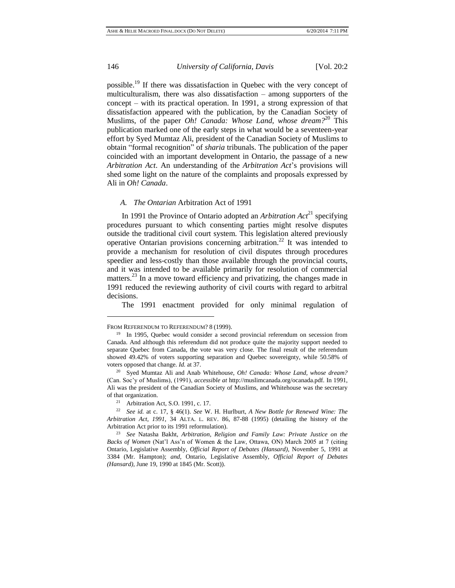$\overline{a}$ 

#### 146 *University of California, Davis* [Vol. 20:2

possible.<sup>19</sup> If there was dissatisfaction in Quebec with the very concept of multiculturalism, there was also dissatisfaction – among supporters of the concept – with its practical operation. In 1991, a strong expression of that dissatisfaction appeared with the publication, by the Canadian Society of Muslims, of the paper *Oh! Canada: Whose Land, whose dream?*<sup>20</sup> This publication marked one of the early steps in what would be a seventeen-year effort by Syed Mumtaz Ali, president of the Canadian Society of Muslims to obtain "formal recognition" of *sharia* tribunals. The publication of the paper coincided with an important development in Ontario, the passage of a new *Arbitration Act*. An understanding of the *Arbitration Act*'s provisions will shed some light on the nature of the complaints and proposals expressed by Ali in *Oh! Canada*.

#### *A. The Ontarian* Arbitration Act of 1991

In 1991 the Province of Ontario adopted an *Arbitration Act*<sup>21</sup> specifying procedures pursuant to which consenting parties might resolve disputes outside the traditional civil court system. This legislation altered previously operative Ontarian provisions concerning arbitration.<sup>22</sup> It was intended to provide a mechanism for resolution of civil disputes through procedures speedier and less-costly than those available through the provincial courts, and it was intended to be available primarily for resolution of commercial matters.<sup>23</sup> In a move toward efficiency and privatizing, the changes made in 1991 reduced the reviewing authority of civil courts with regard to arbitral decisions.

The 1991 enactment provided for only minimal regulation of

FROM REFERENDUM TO REFERENDUM? 8 (1999).

<sup>&</sup>lt;sup>19</sup> In 1995, Quebec would consider a second provincial referendum on secession from Canada. And although this referendum did not produce quite the majority support needed to separate Quebec from Canada, the vote was very close. The final result of the referendum showed 49.42% of voters supporting separation and Quebec sovereignty, while 50.58% of voters opposed that change. *Id.* at 37.

<sup>20</sup> Syed Mumtaz Ali and Anab Whitehouse, *Oh! Canada: Whose Land, whose dream?*  (Can. Soc'y of Muslims), (1991), *accessible at* <http://muslimcanada.org/>ocanada.pdf. In 1991, Ali was the president of the Canadian Society of Muslims, and Whitehouse was the secretary of that organization.

<sup>21</sup> Arbitration Act*,* S.O. 1991, c. 17.

<sup>22</sup> *See id.* at c. 17, § 46(1). *See* W. H. Hurlburt, *A New Bottle for Renewed Wine: The Arbitration Act, 1991,* 34 ALTA. L. REV. 86, 87-88 (1995) (detailing the history of the Arbitration Act prior to its 1991 reformulation).

<sup>23</sup> *See* Natasha Bakht, *Arbitration, Religion and Family Law: Private Justice on the Backs of Women* (Nat'l Ass'n of Women & the Law, Ottawa, ON) March 2005 at 7 (citing Ontario, Legislative Assembly, *Official Report of Debates (Hansard),* November 5, 1991 at 3384 (Mr. Hampton); *and,* Ontario, Legislative Assembly, *Official Report of Debates (Hansard),* June 19, 1990 at 1845 (Mr. Scott)).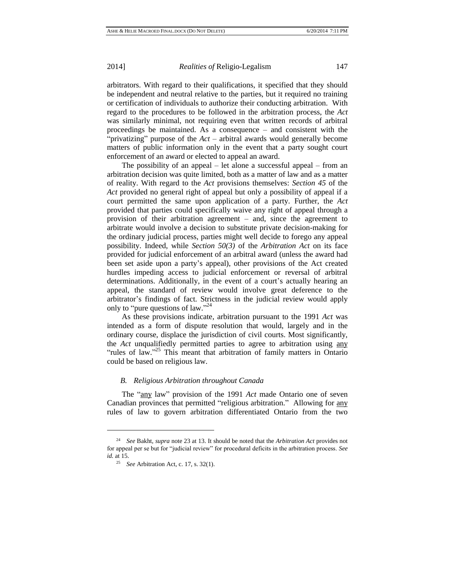arbitrators. With regard to their qualifications, it specified that they should be independent and neutral relative to the parties, but it required no training or certification of individuals to authorize their conducting arbitration. With regard to the procedures to be followed in the arbitration process, the *Act* was similarly minimal, not requiring even that written records of arbitral proceedings be maintained. As a consequence – and consistent with the "privatizing" purpose of the *Act* – arbitral awards would generally become matters of public information only in the event that a party sought court enforcement of an award or elected to appeal an award.

The possibility of an appeal – let alone a successful appeal – from an arbitration decision was quite limited, both as a matter of law and as a matter of reality. With regard to the *Act* provisions themselves: *Section 45* of the *Act* provided no general right of appeal but only a possibility of appeal if a court permitted the same upon application of a party. Further, the *Act* provided that parties could specifically waive any right of appeal through a provision of their arbitration agreement – and, since the agreement to arbitrate would involve a decision to substitute private decision-making for the ordinary judicial process, parties might well decide to forego any appeal possibility. Indeed, while *Section 50(3)* of the *Arbitration Act* on its face provided for judicial enforcement of an arbitral award (unless the award had been set aside upon a party's appeal), other provisions of the Act created hurdles impeding access to judicial enforcement or reversal of arbitral determinations. Additionally, in the event of a court's actually hearing an appeal, the standard of review would involve great deference to the arbitrator's findings of fact. Strictness in the judicial review would apply only to "pure questions of law."<sup>24</sup>

As these provisions indicate, arbitration pursuant to the 1991 *Act* was intended as a form of dispute resolution that would, largely and in the ordinary course, displace the jurisdiction of civil courts. Most significantly, the *Act* unqualifiedly permitted parties to agree to arbitration using any "rules of law."<sup>25</sup> This meant that arbitration of family matters in Ontario could be based on religious law.

# *B. Religious Arbitration throughout Canada*

The "any law" provision of the 1991 *Act* made Ontario one of seven Canadian provinces that permitted "religious arbitration." Allowing for any rules of law to govern arbitration differentiated Ontario from the two

<sup>24</sup> *See* Bakht, *supra* note 23 at 13. It should be noted that the *Arbitration Act* provides not for appeal per se but for "judicial review" for procedural deficits in the arbitration process. *See id.* at 15.

<sup>25</sup> *See* Arbitration Act, c. 17, s. 32(1).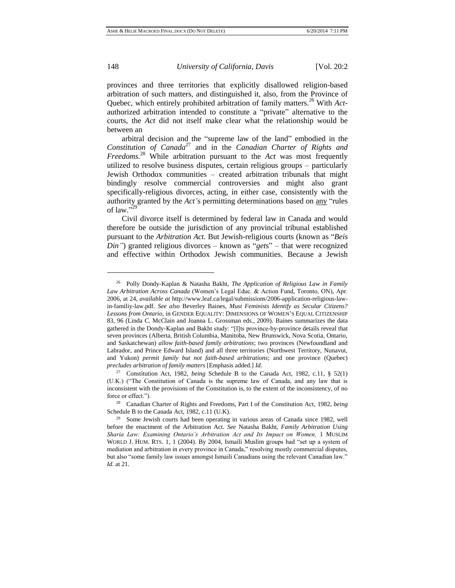provinces and three territories that explicitly disallowed religion-based arbitration of such matters, and distinguished it, also, from the Province of Quebec, which entirely prohibited arbitration of family matters.<sup>26</sup> With *Act*authorized arbitration intended to constitute a "private" alternative to the courts, the *Act* did not itself make clear what the relationship would be between an

arbitral decision and the "supreme law of the land" embodied in the *Constitution of Canada*<sup>27</sup> and in the *Canadian Charter of Rights and Freedoms.*<sup>28</sup> While arbitration pursuant to the *Act* was most frequently utilized to resolve business disputes, certain religious groups – particularly Jewish Orthodox communities – created arbitration tribunals that might bindingly resolve commercial controversies and might also grant specifically-religious divorces, acting, in either case, consistently with the authority granted by the *Act'*s permitting determinations based on any "rules of law."<sup>529</sup>

Civil divorce itself is determined by federal law in Canada and would therefore be outside the jurisdiction of any provincial tribunal established pursuant to the *Arbitration Act.* But Jewish-religious courts (known as "*Beis Din"*) granted religious divorces – known as "*get*s" – that were recognized and effective within Orthodox Jewish communities. Because a Jewish

<sup>26</sup> Polly Dondy-Kaplan & Natasha Bakht, *The Application of Religious Law in Family Law Arbitration Across Canada* (Women's Legal Educ. & Action Fund, Toronto, ON), Apr. 2006, at 24, *available at* [http://www.leaf.ca/legal/submissions/2006-application-religious-law](http://www.leaf.ca/legal/submissions/2006-application-religious-law-in-familiy-law.pdf)[in-familiy-law.pdf.](http://www.leaf.ca/legal/submissions/2006-application-religious-law-in-familiy-law.pdf) *See also* Beverley Baines, *Must Feminists Identify as Secular Citizens? Lessons from Ontario*, in GENDER EQUALITY: DIMENSIONS OF WOMEN'S EQUAL CITIZENSHIP 83, 96 (Linda C. McClain and Joanna L. Grossman eds., 2009). Baines summarizes the data gathered in the Dondy-Kaplan and Bakht study: "[I]ts province-by-province details reveal that seven provinces (Alberta, British Columbia, Manitoba, New Brunswick, Nova Scotia, Ontario, and Saskatchewan) *allow faith-based family arbitrations*; two provinces (Newfoundland and Labrador, and Prince Edward Island) and all three territories (Northwest Territory, Nunavut, and Yukon) *permit family but not faith-based arbitrations*; and one province (Quebec) *precludes arbitration of family matters* [Emphasis added.] *Id.*

<sup>27</sup> Constitution Act, 1982, *being* Schedule B to the Canada Act, 1982, c.11, § 52(1) (U.K.) ("The Constitution of Canada is the supreme law of Canada, and any law that is inconsistent with the provisions of the Constitution is, to the extent of the inconsistency, of no force or effect.").

<sup>28</sup> Canadian Charter of Rights and Freedoms, Part I of the Constitution Act*,* 1982, *being* Schedule B to the Canada Act, 1982, c.11 (U.K).

<sup>&</sup>lt;sup>29</sup> Some Jewish courts had been operating in various areas of Canada since 1982, well before the enactment of the Arbitration Act. *See* Natasha Bakht, *Family Arbitration Using Sharia Law: Examining Ontario's Arbitration Act and Its Impact on Women,* 1 MUSLIM WORLD J. HUM. RTS. 1, 1 (2004). By 2004, Ismaili Muslim groups had "set up a system of mediation and arbitration in every province in Canada," resolving mostly commercial disputes, but also "some family law issues amongst Ismaili Canadians using the relevant Canadian law." *Id.* at 21.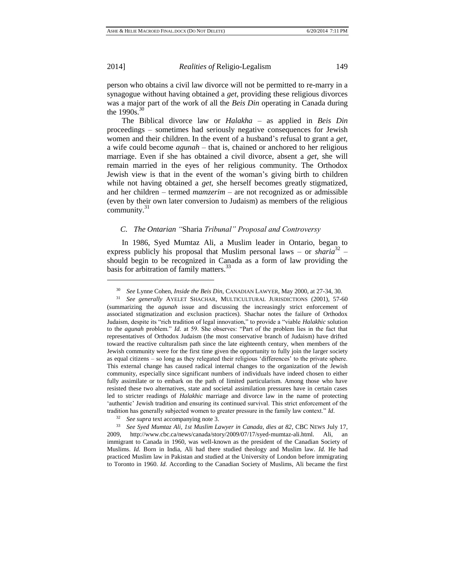l

2014] *Realities of* Religio-Legalism 149

person who obtains a civil law divorce will not be permitted to re-marry in a synagogue without having obtained a *get*, providing these religious divorces was a major part of the work of all the *Beis Din* operating in Canada during the  $1990s.$ <sup>31</sup>

The Biblical divorce law or *Halakha* – as applied in *Beis Din* proceedings – sometimes had seriously negative consequences for Jewish women and their children. In the event of a husband's refusal to grant a *get*, a wife could become *agunah* – that is, chained or anchored to her religious marriage. Even if she has obtained a civil divorce, absent a *get*, she will remain married in the eyes of her religious community. The Orthodox Jewish view is that in the event of the woman's giving birth to children while not having obtained a *get*, she herself becomes greatly stigmatized, and her children – termed *mamzerim* – are not recognized as or admissible (even by their own later conversion to Judaism) as members of the religious community.<sup>31</sup>

# *C. The Ontarian "*Sharia *Tribunal" Proposal and Controversy*

In 1986, Syed Mumtaz Ali, a Muslim leader in Ontario, began to express publicly his proposal that Muslim personal laws – or *sharia*<sup>32</sup> – should begin to be recognized in Canada as a form of law providing the basis for arbitration of family matters.<sup>33</sup>

<sup>30</sup> *See* Lynne Cohen, *Inside the Beis Din,* CANADIAN LAWYER, May 2000, at 27-34, 30.

<sup>31</sup> *See generally* AYELET SHACHAR, MULTICULTURAL JURISDICTIONS (2001), 57-60 (summarizing the *agunah* issue and discussing the increasingly strict enforcement of associated stigmatization and exclusion practices). Shachar notes the failure of Orthodox Judaism, despite its "rich tradition of legal innovation," to provide a "viable *Halakhic* solution to the *agunah* problem." *Id.* at 59. She observes: "Part of the problem lies in the fact that representatives of Orthodox Judaism (the most conservative branch of Judaism) have drifted toward the reactive culturalism path since the late eighteenth century, when members of the Jewish community were for the first time given the opportunity to fully join the larger society as equal citizens – so long as they relegated their religious 'differences' to the private sphere. This external change has caused radical internal changes to the organization of the Jewish community, especially since significant numbers of individuals have indeed chosen to either fully assimilate or to embark on the path of limited particularism. Among those who have resisted these two alternatives, state and societal assimilation pressures have in certain cases led to stricter readings of *Halakhic* marriage and divorce law in the name of protecting 'authentic' Jewish tradition and ensuring its continued survival. This strict enforcement of the tradition has generally subjected women to greater pressure in the family law context." *Id*.

<sup>32</sup> *See supra* text accompanying note 3.

<sup>33</sup> *See Syed Mumtaz Ali, 1st Muslim Lawyer in Canada, dies at 82*, CBC NEWS July 17, 2009, http:[//www.cbc.ca/news/canada/story/2009/07/17/syed-mumtaz-ali.html.](http://www.cbc.ca/news/canada/story/2009/07/17/syed-mumtaz-ali.html) Ali, an immigrant to Canada in 1960, was well-known as the president of the Canadian Society of Muslims. *Id.* Born in India, Ali had there studied theology and Muslim law. *Id.* He had practiced Muslim law in Pakistan and studied at the University of London before immigrating to Toronto in 1960. *Id.* According to the Canadian Society of Muslims, Ali became the first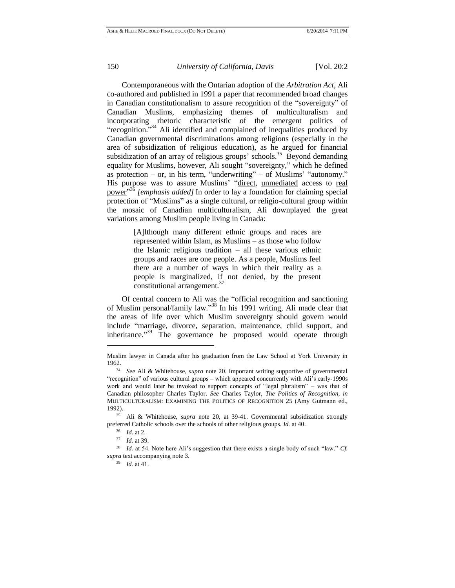Contemporaneous with the Ontarian adoption of the *Arbitration Act*, Ali co-authored and published in 1991 a paper that recommended broad changes in Canadian constitutionalism to assure recognition of the "sovereignty" of Canadian Muslims, emphasizing themes of multiculturalism and incorporating rhetoric characteristic of the emergent politics of "recognition."<sup>34</sup> Ali identified and complained of inequalities produced by Canadian governmental discriminations among religions (especially in the area of subsidization of religious education), as he argued for financial subsidization of an array of religious groups' schools.<sup>35</sup> Beyond demanding equality for Muslims, however, Ali sought "sovereignty," which he defined as protection – or, in his term, "underwriting" – of Muslims' "autonomy." His purpose was to assure Muslims' "direct, unmediated access to real power" <sup>36</sup> *[emphasis added]* In order to lay a foundation for claiming special protection of "Muslims" as a single cultural, or religio-cultural group within the mosaic of Canadian multiculturalism, Ali downplayed the great variations among Muslim people living in Canada:

> [A]lthough many different ethnic groups and races are represented within Islam, as Muslims – as those who follow the Islamic religious tradition – all these various ethnic groups and races are one people. As a people, Muslims feel there are a number of ways in which their reality as a people is marginalized, if not denied, by the present constitutional arrangement.<sup>37</sup>

Of central concern to Ali was the "official recognition and sanctioning of Muslim personal/family law." <sup>38</sup> In his 1991 writing, Ali made clear that the areas of life over which Muslim sovereignty should govern would include "marriage, divorce, separation, maintenance, child support, and inheritance."<sup>39</sup> The governance he proposed would operate through

Muslim lawyer in Canada after his graduation from the Law School at York University in 1962.

<sup>34</sup> *See* Ali & Whitehouse, *supra* note 20. Important writing supportive of governmental "recognition" of various cultural groups – which appeared concurrently with Ali's early-1990s work and would later be invoked to support concepts of "legal pluralism" – was that of Canadian philosopher Charles Taylor. *See* Charles Taylor, *The Politics of Recognition, in* MULTICULTURALISM: EXAMINING THE POLITICS OF RECOGNITION 25 (Amy Gutmann ed., 1992).

<sup>35</sup> Ali & Whitehouse, *supra* note 20, at 39-41. Governmental subsidization strongly preferred Catholic schools over the schools of other religious groups. *Id.* at 40.

<sup>36</sup> *Id*. at 2.

<sup>37</sup> *Id.* at 39.

<sup>&</sup>lt;sup>38</sup> *Id.* at 54. Note here Ali's suggestion that there exists a single body of such "law." *Cf. supra* text accompanying note 3.

<sup>39</sup> *Id.* at 41.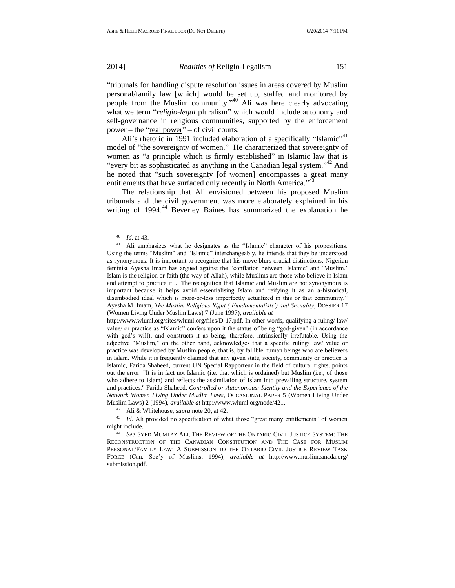"tribunals for handling dispute resolution issues in areas covered by Muslim personal/family law [which] would be set up, staffed and monitored by people from the Muslim community."<sup>40</sup> Ali was here clearly advocating what we term "*religio-legal* pluralism" which would include autonomy and self-governance in religious communities, supported by the enforcement power – the "real power" – of civil courts.

Ali's rhetoric in 1991 included elaboration of a specifically "Islamic"<sup>41</sup> model of "the sovereignty of women." He characterized that sovereignty of women as "a principle which is firmly established" in Islamic law that is "every bit as sophisticated as anything in the Canadian legal system." <sup>42</sup> And he noted that "such sovereignty [of women] encompasses a great many entitlements that have surfaced only recently in North America."<sup>43</sup>

The relationship that Ali envisioned between his proposed Muslim tribunals and the civil government was more elaborately explained in his writing of 1994.<sup>44</sup> Beverley Baines has summarized the explanation he

<sup>40</sup> *Id.* at 43.

<sup>&</sup>lt;sup>41</sup> Ali emphasizes what he designates as the "Islamic" character of his propositions. Using the terms "Muslim" and "Islamic" interchangeably, he intends that they be understood as synonymous. It is important to recognize that his move blurs crucial distinctions. Nigerian feminist Ayesha Imam has argued against the "conflation between 'Islamic' and 'Muslim.' Islam is the religion or faith (the way of Allah), while Muslims are those who believe in Islam and attempt to practice it ... The recognition that Islamic and Muslim are not synonymous is important because it helps avoid essentialising Islam and reifying it as an a-historical, disembodied ideal which is more-or-less imperfectly actualized in this or that community." Ayesha M. Imam, *The Muslim Religious Right ('Fundamentalists') and Sexuality*, DOSSIER 17 (Women Living Under Muslim Laws) 7 (June 1997), *available at*

http://www.wluml.org/sites/wluml.org/files/D-17.pdf. In other words, qualifying a ruling/ law/ value/ or practice as "Islamic" confers upon it the status of being "god-given" (in accordance with god's will), and constructs it as being, therefore, intrinsically irrefutable. Using the adjective "Muslim," on the other hand, acknowledges that a specific ruling/ law/ value or practice was developed by Muslim people, that is, by fallible human beings who are believers in Islam. While it is frequently claimed that any given state, society, community or practice is Islamic, Farida Shaheed, current UN Special Rapporteur in the field of cultural rights, points out the error: "It is in fact not Islamic (i.e. that which is ordained) but Muslim (i.e., of those who adhere to Islam) and reflects the assimilation of Islam into prevailing structure, system and practices." Farida Shaheed, *Controlled or Autonomous: Identity and the Experience of the Network Women Living Under Muslim Laws*, OCCASIONAL PAPER 5 (Women Living Under Muslim Laws) 2 (1994), *available at* [http://www.wluml.org/node/421.](http://www.wluml.org/node/421)

<sup>42</sup> Ali & Whitehouse, *supra* note 20, at 42.

<sup>&</sup>lt;sup>43</sup> *Id.* Ali provided no specification of what those "great many entitlements" of women might include.

<sup>44</sup> *See* SYED MUMTAZ ALI, THE REVIEW OF THE ONTARIO CIVIL JUSTICE SYSTEM: THE RECONSTRUCTION OF THE CANADIAN CONSTITUTION AND THE CASE FOR MUSLIM PERSONAL/FAMILY LAW: A SUBMISSION TO THE ONTARIO CIVIL JUSTICE REVIEW TASK FORCE (Can. Soc'y of Muslims, 1994), *available at* http://www.muslimcanada.org/ submission.pdf.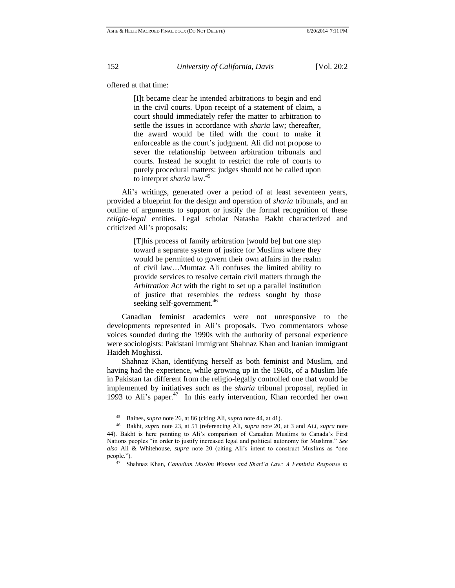offered at that time:

[I]t became clear he intended arbitrations to begin and end in the civil courts. Upon receipt of a statement of claim, a court should immediately refer the matter to arbitration to settle the issues in accordance with *sharia* law; thereafter, the award would be filed with the court to make it enforceable as the court's judgment. Ali did not propose to sever the relationship between arbitration tribunals and courts. Instead he sought to restrict the role of courts to purely procedural matters: judges should not be called upon to interpret *sharia* law.<sup>45</sup>

Ali's writings, generated over a period of at least seventeen years, provided a blueprint for the design and operation of *sharia* tribunals, and an outline of arguments to support or justify the formal recognition of these *religio-legal* entities. Legal scholar Natasha Bakht characterized and criticized Ali's proposals:

> [T]his process of family arbitration [would be] but one step toward a separate system of justice for Muslims where they would be permitted to govern their own affairs in the realm of civil law…Mumtaz Ali confuses the limited ability to provide services to resolve certain civil matters through the *Arbitration Act* with the right to set up a parallel institution of justice that resembles the redress sought by those seeking self-government.<sup>40</sup>

Canadian feminist academics were not unresponsive to the developments represented in Ali's proposals. Two commentators whose voices sounded during the 1990s with the authority of personal experience were sociologists: Pakistani immigrant Shahnaz Khan and Iranian immigrant Haideh Moghissi.

Shahnaz Khan, identifying herself as both feminist and Muslim, and having had the experience, while growing up in the 1960s, of a Muslim life in Pakistan far different from the religio-legally controlled one that would be implemented by initiatives such as the *sharia* tribunal proposal, replied in 1993 to Ali's paper. 47 In this early intervention, Khan recorded her own

<sup>45</sup> Baines, *supra* note 26, at 86 (citing Ali, *supra* note 44, at 41).

<sup>46</sup> Bakht, *supra* note 23, at 51 (referencing Ali, *supra* note 20, at 3 and ALI, *supra* note 44). Bakht is here pointing to Ali's comparison of Canadian Muslims to Canada's First Nations peoples "in order to justify increased legal and political autonomy for Muslims." *See also* Ali & Whitehouse, *supra* note 20 (citing Ali's intent to construct Muslims as "one people.").

<sup>47</sup> Shahnaz Khan, *Canadian Muslim Women and Shari'a Law: A Feminist Response to*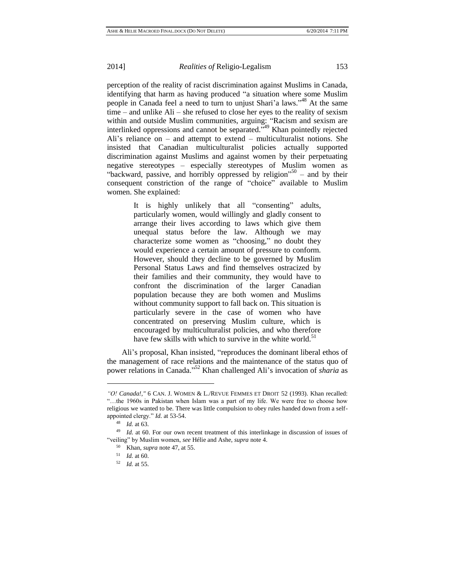perception of the reality of racist discrimination against Muslims in Canada, identifying that harm as having produced "a situation where some Muslim people in Canada feel a need to turn to unjust Shari'a laws."<sup>48</sup> At the same time – and unlike Ali – she refused to close her eyes to the reality of sexism within and outside Muslim communities, arguing: "Racism and sexism are interlinked oppressions and cannot be separated.<sup>549</sup> Khan pointedly rejected Ali's reliance on – and attempt to extend – multiculturalist notions. She insisted that Canadian multiculturalist policies actually supported discrimination against Muslims and against women by their perpetuating negative stereotypes – especially stereotypes of Muslim women as "backward, passive, and horribly oppressed by religion"<sup>50</sup> – and by their consequent constriction of the range of "choice" available to Muslim women. She explained:

> It is highly unlikely that all "consenting" adults, particularly women, would willingly and gladly consent to arrange their lives according to laws which give them unequal status before the law. Although we may characterize some women as "choosing," no doubt they would experience a certain amount of pressure to conform. However, should they decline to be governed by Muslim Personal Status Laws and find themselves ostracized by their families and their community, they would have to confront the discrimination of the larger Canadian population because they are both women and Muslims without community support to fall back on. This situation is particularly severe in the case of women who have concentrated on preserving Muslim culture, which is encouraged by multiculturalist policies, and who therefore have few skills with which to survive in the white world.<sup>51</sup>

Ali's proposal, Khan insisted, "reproduces the dominant liberal ethos of the management of race relations and the maintenance of the status quo of power relations in Canada." <sup>52</sup> Khan challenged Ali's invocation of *sharia* as

*<sup>&</sup>quot;O! Canada!,"* 6 CAN. J. WOMEN & L./REVUE FEMMES ET DROIT 52 (1993). Khan recalled: "…the 1960s in Pakistan when Islam was a part of my life. We were free to choose how religious we wanted to be. There was little compulsion to obey rules handed down from a selfappointed clergy." *Id.* at 53-54.

<sup>48</sup> *Id.* at 63.

<sup>49</sup> *Id*. at 60. For our own recent treatment of this interlinkage in discussion of issues of "veiling" by Muslim women, *see* Hélie and Ashe, *supra* note 4.

<sup>50</sup> Khan, *supra* note 47, at 55.

<sup>51</sup> *Id.* at 60.

<sup>52</sup> *Id.* at 55.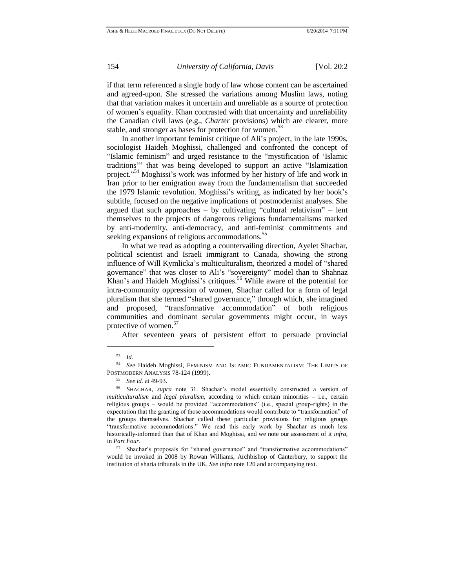if that term referenced a single body of law whose content can be ascertained and agreed-upon. She stressed the variations among Muslim laws, noting that that variation makes it uncertain and unreliable as a source of protection of women's equality. Khan contrasted with that uncertainty and unreliability the Canadian civil laws (e.g., *Charter* provisions) which are clearer, more stable, and stronger as bases for protection for women.<sup>53</sup>

In another important feminist critique of Ali's project, in the late 1990s, sociologist Haideh Moghissi, challenged and confronted the concept of "Islamic feminism" and urged resistance to the "mystification of 'Islamic traditions'" that was being developed to support an active "Islamization project."<sup>54</sup> Moghissi's work was informed by her history of life and work in Iran prior to her emigration away from the fundamentalism that succeeded the 1979 Islamic revolution. Moghissi's writing, as indicated by her book's subtitle, focused on the negative implications of postmodernist analyses. She argued that such approaches – by cultivating "cultural relativism" – lent themselves to the projects of dangerous religious fundamentalisms marked by anti-modernity, anti-democracy, and anti-feminist commitments and seeking expansions of religious accommodations.<sup>35</sup>

In what we read as adopting a countervailing direction, Ayelet Shachar, political scientist and Israeli immigrant to Canada, showing the strong influence of Will Kymlicka's multiculturalism, theorized a model of "shared governance" that was closer to Ali's "sovereignty" model than to Shahnaz Khan's and Haideh Moghissi's critiques.<sup>56</sup> While aware of the potential for intra-community oppression of women, Shachar called for a form of legal pluralism that she termed "shared governance," through which, she imagined and proposed, "transformative accommodation" of both religious communities and dominant secular governments might occur, in ways protective of women.<sup>57</sup>

After seventeen years of persistent effort to persuade provincial

<sup>53</sup> *Id.*

<sup>54</sup> *See* Haideh Moghissi, FEMINISM AND ISLAMIC FUNDAMENTALISM: THE LIMITS OF POSTMODERN ANALYSIS 78-124 (1999).

<sup>55</sup> *See id.* at 49-93.

<sup>56</sup> SHACHAR, *supra* note 31. Shachar's model essentially constructed a version of *multiculturalism* and *legal pluralism*, according to which certain minorities – i.e., certain religious groups – would be provided "accommodations" (i.e., special group-rights) in the expectation that the granting of those accommodations would contribute to "transformation" of the groups themselves. Shachar called these particular provisions for religious groups "transformative accommodations." We read this early work by Shachar as much less historically-informed than that of Khan and Moghissi, and we note our assessment of it *infra,* in *Part Four*.

<sup>57</sup> Shachar's proposals for "shared governance" and "transformative accommodations" would be invoked in 2008 by Rowan Williams, Archbishop of Canterbury, to support the institution of sharia tribunals in the UK. *See infra* note 120 and accompanying text.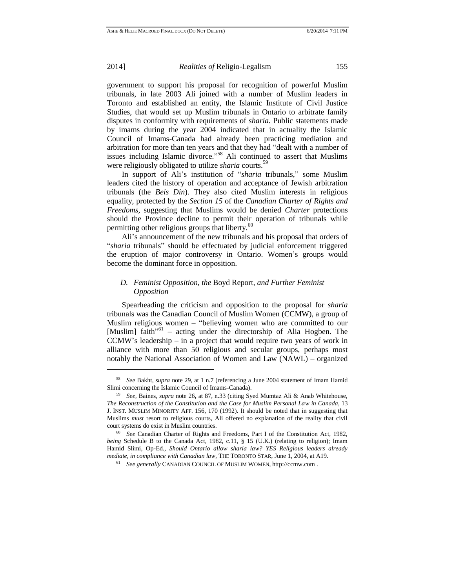l

2014] *Realities of* Religio-Legalism 155

government to support his proposal for recognition of powerful Muslim tribunals, in late 2003 Ali joined with a number of Muslim leaders in Toronto and established an entity, the Islamic Institute of Civil Justice Studies, that would set up Muslim tribunals in Ontario to arbitrate family disputes in conformity with requirements of *sharia*. Public statements made by imams during the year 2004 indicated that in actuality the Islamic Council of Imams-Canada had already been practicing mediation and arbitration for more than ten years and that they had "dealt with a number of issues including Islamic divorce."<sup>58</sup> Ali continued to assert that Muslims were religiously obligated to utilize *sharia* courts.<sup>59</sup>

In support of Ali's institution of "*sharia* tribunals," some Muslim leaders cited the history of operation and acceptance of Jewish arbitration tribunals (the *Beis Din*). They also cited Muslim interests in religious equality, protected by the *Section 15* of the *Canadian Charter of Rights and Freedoms,* suggesting that Muslims would be denied *Charter* protections should the Province decline to permit their operation of tribunals while permitting other religious groups that liberty. $60$ 

Ali's announcement of the new tribunals and his proposal that orders of "*sharia* tribunals" should be effectuated by judicial enforcement triggered the eruption of major controversy in Ontario. Women's groups would become the dominant force in opposition.

# *D. Feminist Opposition, the* Boyd Report*, and Further Feminist Opposition*

Spearheading the criticism and opposition to the proposal for *sharia* tribunals was the Canadian Council of Muslim Women (CCMW), a group of Muslim religious women – "believing women who are committed to our [Muslim] faith<sup>"61</sup> – acting under the directorship of Alia Hogben. The CCMW's leadership – in a project that would require two years of work in alliance with more than 50 religious and secular groups, perhaps most notably the National Association of Women and Law (NAWL) – organized

<sup>58</sup> *See* Bakht*, supra* note 29, at 1 n.7 (referencing a June 2004 statement of Imam Hamid Slimi concerning the Islamic Council of Imams-Canada).

<sup>59</sup> *See,* Baines, *supra* note 26**,** at 87, n.33 (citing Syed Mumtaz Ali & Anab Whitehouse, *The Reconstruction of the Constitution and the Case for Muslim Personal Law in Canada,* 13 J. INST. MUSLIM MINORITY AFF. 156, 170 (1992). It should be noted that in suggesting that Muslims *must* resort to religious courts, Ali offered no explanation of the reality that civil court systems do exist in Muslim countries.

<sup>60</sup> *See* Canadian Charter of Rights and Freedoms, Part I of the Constitution Act, 1982, *being* Schedule B to the Canada Act, 1982, c.11, § 15 (U.K.) (relating to religion); Imam Hamid Slimi, Op-Ed., *Should Ontario allow sharia law? YES Religious leaders already mediate, in compliance with Canadian law*, THE TORONTO STAR, June 1, 2004, at A19.

<sup>61</sup> *See generally* CANADIAN COUNCIL OF MUSLIM WOMEN, [http://ccmw.com](http://ccmw.com/) .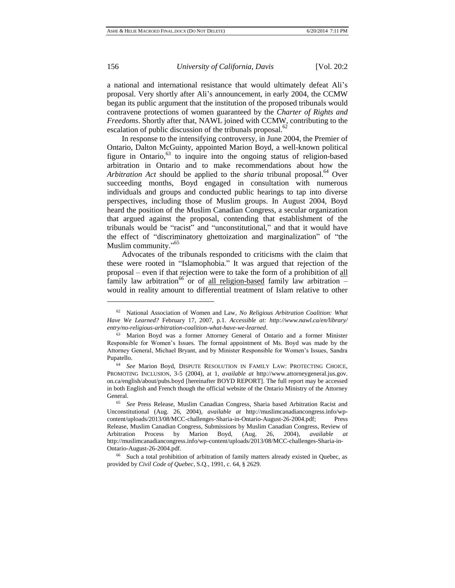a national and international resistance that would ultimately defeat Ali's proposal. Very shortly after Ali's announcement, in early 2004, the CCMW began its public argument that the institution of the proposed tribunals would contravene protections of women guaranteed by the *Charter of Rights and Freedoms*. Shortly after that, NAWL joined with CCMW, contributing to the escalation of public discussion of the tribunals proposal.<sup>62</sup>

In response to the intensifying controversy, in June 2004, the Premier of Ontario, Dalton McGuinty, appointed Marion Boyd, a well-known political figure in Ontario, $63$  to inquire into the ongoing status of religion-based arbitration in Ontario and to make recommendations about how the *Arbitration Act* should be applied to the *sharia* tribunal proposal.<sup>64</sup> Over succeeding months, Boyd engaged in consultation with numerous individuals and groups and conducted public hearings to tap into diverse perspectives, including those of Muslim groups. In August 2004, Boyd heard the position of the Muslim Canadian Congress, a secular organization that argued against the proposal, contending that establishment of the tribunals would be "racist" and "unconstitutional," and that it would have the effect of "discriminatory ghettoization and marginalization" of "the Muslim community."<sup>65</sup>

Advocates of the tribunals responded to criticisms with the claim that these were rooted in "Islamophobia." It was argued that rejection of the proposal – even if that rejection were to take the form of a prohibition of all family law arbitration<sup>66</sup> or of <u>all religion-based</u> family law arbitration – would in reality amount to differential treatment of Islam relative to other

<sup>62</sup> National Association of Women and Law, *No Religious Arbitration Coalition: What Have We Learned?* February 17, 2007, p.1. *Accessible at: http://www.nawl.ca/en/library/ entry/no-religious-arbitration-coalition-what-have-we-learned*.

<sup>63</sup> Marion Boyd was a former Attorney General of Ontario and a former Minister Responsible for Women's Issues. The formal appointment of Ms. Boyd was made by the Attorney General, Michael Bryant, and by Minister Responsible for Women's Issues, Sandra Pupatello.

<sup>64</sup> *See* Marion Boyd, DISPUTE RESOLUTION IN FAMILY LAW: PROTECTING CHOICE, PROMOTING INCLUSION, 3-5 (2004), at 1, *available at* http://www.attorneygeneral.jus.gov. on.ca/english/about/pubs.boyd [hereinafter BOYD REPORT]. The full report may be accessed in both English and French though the official website of the Ontario Ministry of the Attorney General.

<sup>65</sup> *See* Press Release, Muslim Canadian Congress, Sharia based Arbitration Racist and Unconstitutional (Aug. 26, 2004), *available at* [http://muslimcanadiancongress.info/wp](http://muslimcanadiancongress.info/wp-content/uploads/2013/08/MCC-challenges-Sharia-in-Ontario-August-26-2004.pdf)[content/uploads/2013/08/MCC-challenges-Sharia-in-Ontario-August-26-2004.pdf;](http://muslimcanadiancongress.info/wp-content/uploads/2013/08/MCC-challenges-Sharia-in-Ontario-August-26-2004.pdf) Press Release, Muslim Canadian Congress, Submissions by Muslim Canadian Congress, Review of Arbitration Process by Marion Boyd, (Aug. 26, 2004), *available at* [http://muslimcanadiancongress.info/wp-content/uploads/2013/08/MCC-challenges-Sharia-in-](http://muslimcanadiancongress.info/wp-content/uploads/2013/08/MCC-challenges-Sharia-in-Ontario-August-26-2004.pdf)[Ontario-August-26-2004.pdf.](http://muslimcanadiancongress.info/wp-content/uploads/2013/08/MCC-challenges-Sharia-in-Ontario-August-26-2004.pdf)

<sup>66</sup> Such a total prohibition of arbitration of family matters already existed in Quebec, as provided by *Civil Code of Quebec*, S.Q., 1991, c. 64, § 2629.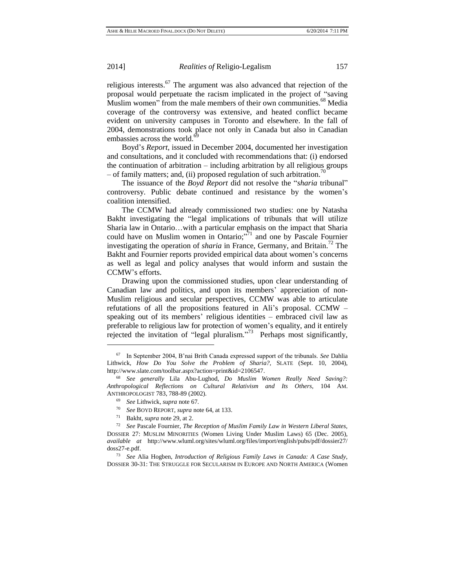religious interests. $67$  The argument was also advanced that rejection of the proposal would perpetuate the racism implicated in the project of "saving Muslim women" from the male members of their own communities.<sup>68</sup> Media coverage of the controversy was extensive, and heated conflict became evident on university campuses in Toronto and elsewhere. In the fall of 2004, demonstrations took place not only in Canada but also in Canadian embassies across the world.

Boyd's *Report*, issued in December 2004, documented her investigation and consultations, and it concluded with recommendations that: (i) endorsed the continuation of arbitration – including arbitration by all religious groups – of family matters; and, (ii) proposed regulation of such arbitration.<sup> $n$ </sup>

The issuance of the *Boyd Report* did not resolve the "*sharia* tribunal" controversy. Public debate continued and resistance by the women's coalition intensified.

The CCMW had already commissioned two studies: one by Natasha Bakht investigating the "legal implications of tribunals that will utilize Sharia law in Ontario…with a particular emphasis on the impact that Sharia could have on Muslim women in Ontario;<sup>771</sup> and one by Pascale Fournier investigating the operation of *sharia* in France, Germany, and Britain.<sup>72</sup> The Bakht and Fournier reports provided empirical data about women's concerns as well as legal and policy analyses that would inform and sustain the CCMW's efforts.

Drawing upon the commissioned studies, upon clear understanding of Canadian law and politics, and upon its members' appreciation of non-Muslim religious and secular perspectives, CCMW was able to articulate refutations of all the propositions featured in Ali's proposal. CCMW – speaking out of its members' religious identities – embraced civil law as preferable to religious law for protection of women's equality, and it entirely rejected the invitation of "legal pluralism."<sup>73</sup> Perhaps most significantly,

<sup>67</sup> In September 2004, B'nai Brith Canada expressed support of the tribunals. *See* Dahlia Lithwick, *How Do You Solve the Problem of Sharia?,* SLATE (Sept. 10, 2004), [http://www.slate.com/toolbar.aspx?action=print&id=2106547.](http://www.slate.com/toolbar.aspx?action=print&id=2106547)

<sup>68</sup> *See generally* Lila Abu-Lughod, *Do Muslim Women Really Need Saving?: Anthropological Reflections on Cultural Relativism and Its Others,* 104 AM. ANTHROPOLOGIST 783, 788-89 (2002).

<sup>69</sup> *See* Lithwick, *supra* note 67.

<sup>70</sup> *See* BOYD REPORT, *supra* note 64, at 133.

<sup>71</sup> Bakht, *supra* note 29, at 2.

<sup>72</sup> *See* Pascale Fournier, *The Reception of Muslim Family Law in Western Liberal States,*  DOSSIER 27: MUSLIM MINORITIES (Women Living Under Muslim Laws) 65 (Dec. 2005), *available at* http://www.wluml.org/sites/wluml.org/files/import/english/pubs/pdf/dossier27/ doss27-e.pdf.

<sup>73</sup> *See* Alia Hogben, *Introduction of Religious Family Laws in Canada: A Case Study,*  DOSSIER 30-31: THE STRUGGLE FOR SECULARISM IN EUROPE AND NORTH AMERICA (Women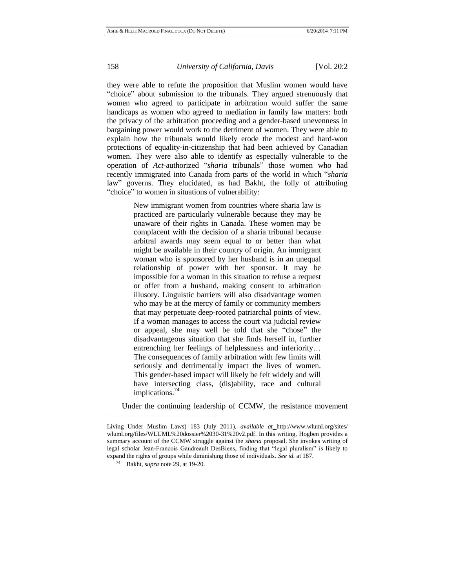they were able to refute the proposition that Muslim women would have "choice" about submission to the tribunals. They argued strenuously that women who agreed to participate in arbitration would suffer the same handicaps as women who agreed to mediation in family law matters: both the privacy of the arbitration proceeding and a gender-based unevenness in bargaining power would work to the detriment of women. They were able to explain how the tribunals would likely erode the modest and hard-won protections of equality-in-citizenship that had been achieved by Canadian women. They were also able to identify as especially vulnerable to the operation of *Act*-authorized "*sharia* tribunals" those women who had recently immigrated into Canada from parts of the world in which "*sharia* law" governs. They elucidated, as had Bakht, the folly of attributing "choice" to women in situations of vulnerability:

> New immigrant women from countries where sharia law is practiced are particularly vulnerable because they may be unaware of their rights in Canada. These women may be complacent with the decision of a sharia tribunal because arbitral awards may seem equal to or better than what might be available in their country of origin. An immigrant woman who is sponsored by her husband is in an unequal relationship of power with her sponsor. It may be impossible for a woman in this situation to refuse a request or offer from a husband, making consent to arbitration illusory. Linguistic barriers will also disadvantage women who may be at the mercy of family or community members that may perpetuate deep-rooted patriarchal points of view. If a woman manages to access the court via judicial review or appeal, she may well be told that she "chose" the disadvantageous situation that she finds herself in, further entrenching her feelings of helplessness and inferiority… The consequences of family arbitration with few limits will seriously and detrimentally impact the lives of women. This gender-based impact will likely be felt widely and will have intersecting class, (dis)ability, race and cultural implications.<sup>74</sup>

Under the continuing leadership of CCMW, the resistance movement

Living Under Muslim Laws) 183 (July 2011), *available at* http://www.wluml.org/sites/ wluml.org/files/WLUML%20dossier%2030-31%20v2.pdf. In this writing, Hogben provides a summary account of the CCMW struggle against the *sharia* proposal. She invokes writing of legal scholar Jean-Francois Gaudreault DesBiens, finding that "legal pluralism" is likely to expand the rights of groups while diminishing those of individuals. *See id.* at 187.

<sup>74</sup> Bakht, *supra* note 29, at 19-20.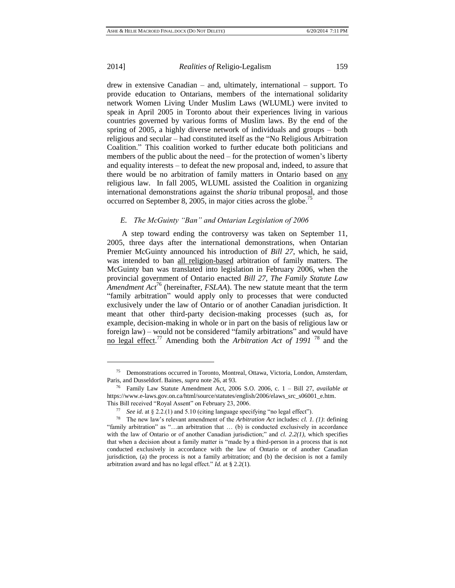l

2014] *Realities of* Religio-Legalism 159

drew in extensive Canadian – and, ultimately, international – support. To provide education to Ontarians, members of the international solidarity network Women Living Under Muslim Laws (WLUML) were invited to speak in April 2005 in Toronto about their experiences living in various countries governed by various forms of Muslim laws. By the end of the spring of 2005, a highly diverse network of individuals and groups – both religious and secular – had constituted itself as the "No Religious Arbitration Coalition." This coalition worked to further educate both politicians and members of the public about the need – for the protection of women's liberty and equality interests – to defeat the new proposal and, indeed, to assure that there would be no arbitration of family matters in Ontario based on any religious law. In fall 2005, WLUML assisted the Coalition in organizing international demonstrations against the *sharia* tribunal proposal, and those occurred on September 8, 2005, in major cities across the globe.<sup>75</sup>

# *E. The McGuinty "Ban" and Ontarian Legislation of 2006*

A step toward ending the controversy was taken on September 11, 2005, three days after the international demonstrations, when Ontarian Premier McGuinty announced his introduction of *Bill 27*, which, he said, was intended to ban all religion-based arbitration of family matters. The McGuinty ban was translated into legislation in February 2006, when the provincial government of Ontario enacted *Bill 27, The Family Statute Law Amendment Act*<sup>76</sup> (hereinafter, *FSLAA*). The new statute meant that the term "family arbitration" would apply only to processes that were conducted exclusively under the law of Ontario or of another Canadian jurisdiction. It meant that other third-party decision-making processes (such as, for example, decision-making in whole or in part on the basis of religious law or foreign law) – would not be considered "family arbitrations" and would have no legal effect. <sup>77</sup> Amending both the *Arbitration Act of 1991* <sup>78</sup> and the

<sup>75</sup> Demonstrations occurred in Toronto, Montreal, Ottawa, Victoria, London, Amsterdam, Paris, and Dusseldorf. Baines, *supra* note 26, at 93.

<sup>76</sup> Family Law Statute Amendment Act, 2006 S.O. 2006, c. 1 – Bill 27, *available at* https://www.e-laws.gov.on.ca/html/source/statutes/english/2006/elaws\_src\_s06001\_e.htm. This Bill received "Royal Assent" on February 23, 2006.

<sup>77</sup> *See id.* at § 2.2.(1) and 5.10 (citing language specifying "no legal effect").

<sup>78</sup> The new law's relevant amendment of the *Arbitration Act* includes: *cl. 1. (1)*: defining "family arbitration" as "…an arbitration that … (b) is conducted exclusively in accordance with the law of Ontario or of another Canadian jurisdiction;" and *cl. 2.2(1)*, which specifies that when a decision about a family matter is "made by a third-person in a process that is not conducted exclusively in accordance with the law of Ontario or of another Canadian jurisdiction, (a) the process is not a family arbitration; and (b) the decision is not a family arbitration award and has no legal effect." *Id.* at § 2.2(1).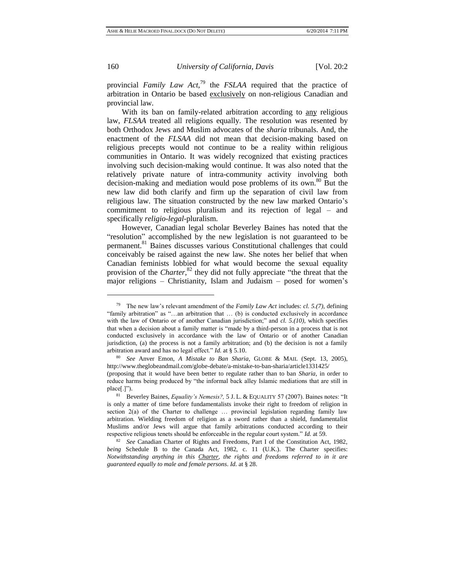provincial *Family Law Act,*<sup>79</sup> the *FSLAA* required that the practice of arbitration in Ontario be based exclusively on non-religious Canadian and provincial law.

With its ban on family-related arbitration according to any religious law, *FLSAA* treated all religions equally. The resolution was resented by both Orthodox Jews and Muslim advocates of the *sharia* tribunals. And, the enactment of the *FLSAA* did not mean that decision-making based on religious precepts would not continue to be a reality within religious communities in Ontario. It was widely recognized that existing practices involving such decision-making would continue. It was also noted that the relatively private nature of intra-community activity involving both decision-making and mediation would pose problems of its own.<sup>80</sup> But the new law did both clarify and firm up the separation of civil law from religious law. The situation constructed by the new law marked Ontario's commitment to religious pluralism and its rejection of legal – and specifically *religio-legal*-pluralism.

However, Canadian legal scholar Beverley Baines has noted that the "resolution" accomplished by the new legislation is not guaranteed to be permanent.<sup>81</sup> Baines discusses various Constitutional challenges that could conceivably be raised against the new law. She notes her belief that when Canadian feminists lobbied for what would become the sexual equality provision of the *Charter*,<sup>82</sup> they did not fully appreciate "the threat that the major religions – Christianity, Islam and Judaism – posed for women's

<sup>79</sup> The new law's relevant amendment of the *Family Law Act* includes: *cl. 5.(7),* defining "family arbitration" as "…an arbitration that … (b) is conducted exclusively in accordance with the law of Ontario or of another Canadian jurisdiction;" and *cl. 5.(10),* which specifies that when a decision about a family matter is "made by a third-person in a process that is not conducted exclusively in accordance with the law of Ontario or of another Canadian jurisdiction, (a) the process is not a family arbitration; and (b) the decision is not a family arbitration award and has no legal effect." *Id.* at § 5.10.

<sup>80</sup> *See* Anver Emon, *A Mistake to Ban Sharia,* GLOBE & MAIL (Sept. 13, 2005), <http://www.theglobeandmail.com/globe-debate/a-mistake-to-ban-sharia/article1331425/> (proposing that it would have been better to regulate rather than to ban *Sharia,* in order to reduce harms being produced by "the informal back alley Islamic mediations that are still in place[.]").

<sup>81</sup> Beverley Baines, *Equality's Nemesis?,* 5 J. L. & EQUALITY 57 (2007). Baines notes: "It is only a matter of time before fundamentalists invoke their right to freedom of religion in section 2(a) of the Charter to challenge … provincial legislation regarding family law arbitration. Wielding freedom of religion as a sword rather than a shield, fundamentalist Muslims and/or Jews will argue that family arbitrations conducted according to their respective religious tenets should be enforceable in the regular court system." *Id.* at 59.

<sup>82</sup> *See* Canadian Charter of Rights and Freedoms, Part I of the Constitution Act, 1982, *being* Schedule B to the Canada Act, 1982, c. 11 (U.K.). The Charter specifies: *Notwithstanding anything in this Charter, the rights and freedoms referred to in it are guaranteed equally to male and female persons*. *Id.* at § 28.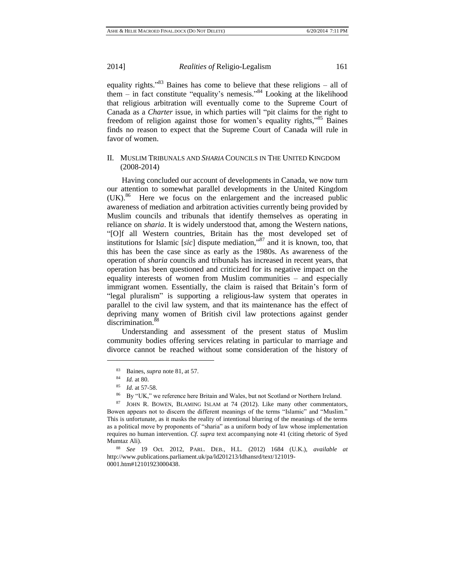equality rights."<sup>83</sup> Baines has come to believe that these religions – all of them – in fact constitute "equality's nemesis." <sup>84</sup> Looking at the likelihood that religious arbitration will eventually come to the Supreme Court of Canada as a *Charter* issue, in which parties will "pit claims for the right to freedom of religion against those for women's equality rights,<sup>35</sup> Baines finds no reason to expect that the Supreme Court of Canada will rule in favor of women.

# II. MUSLIM TRIBUNALS AND *SHARIA* COUNCILS IN THE UNITED KINGDOM (2008-2014)

Having concluded our account of developments in Canada, we now turn our attention to somewhat parallel developments in the United Kingdom (UK).<sup>86</sup> Here we focus on the enlargement and the increased public awareness of mediation and arbitration activities currently being provided by Muslim councils and tribunals that identify themselves as operating in reliance on *sharia*. It is widely understood that, among the Western nations, "[O]f all Western countries, Britain has the most developed set of institutions for Islamic [*sic*] dispute mediation," <sup>87</sup> and it is known, too, that this has been the case since as early as the 1980s. As awareness of the operation of *sharia* councils and tribunals has increased in recent years, that operation has been questioned and criticized for its negative impact on the equality interests of women from Muslim communities – and especially immigrant women. Essentially, the claim is raised that Britain's form of "legal pluralism" is supporting a religious-law system that operates in parallel to the civil law system, and that its maintenance has the effect of depriving many women of British civil law protections against gender discrimination.<sup>88</sup>

Understanding and assessment of the present status of Muslim community bodies offering services relating in particular to marriage and divorce cannot be reached without some consideration of the history of

<sup>83</sup> Baines, *supra* note 81, at 57.

<sup>84</sup> *Id.* at 80.

<sup>85</sup> *Id*. at 57-58.

By "UK," we reference here Britain and Wales, but not Scotland or Northern Ireland.

<sup>87</sup> JOHN R. BOWEN, BLAMING ISLAM at 74 (2012). Like many other commentators, Bowen appears not to discern the different meanings of the terms "Islamic" and "Muslim." This is unfortunate, as it masks the reality of intentional blurring of the meanings of the terms as a political move by proponents of "sharia" as a uniform body of law whose implementation requires no human intervention. *Cf. supra* text accompanying note 41 (citing rhetoric of Syed Mumtaz Ali).

<sup>88</sup> *See* 19 Oct. 2012, PARL. DEB., H.L. (2012) 1684 (U.K.), *available at*  http://www.publications.parliament.uk/pa/ld201213/ldhansrd/text/121019- 0001.htm#12101923000438.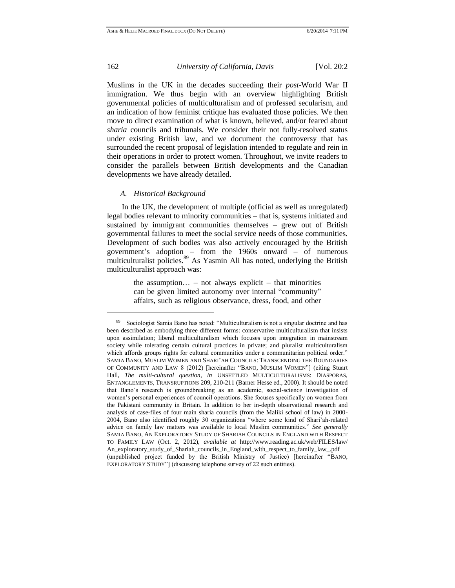$\overline{a}$ 

162 *University of California, Davis* [Vol. 20:2

Muslims in the UK in the decades succeeding their *post*-World War II immigration. We thus begin with an overview highlighting British governmental policies of multiculturalism and of professed secularism, and an indication of how feminist critique has evaluated those policies. We then move to direct examination of what is known, believed, and/or feared about *sharia* councils and tribunals. We consider their not fully-resolved status under existing British law, and we document the controversy that has surrounded the recent proposal of legislation intended to regulate and rein in their operations in order to protect women. Throughout, we invite readers to consider the parallels between British developments and the Canadian developments we have already detailed.

#### *A. Historical Background*

In the UK, the development of multiple (official as well as unregulated) legal bodies relevant to minority communities – that is, systems initiated and sustained by immigrant communities themselves – grew out of British governmental failures to meet the social service needs of those communities. Development of such bodies was also actively encouraged by the British government's adoption – from the 1960s onward – of numerous multiculturalist policies.<sup>89</sup> As Yasmin Ali has noted, underlying the British multiculturalist approach was:

> the assumption... – not always explicit – that minorities can be given limited autonomy over internal "community" affairs, such as religious observance, dress, food, and other

<sup>89</sup> Sociologist Samia Bano has noted: "Multiculturalism is not a singular doctrine and has been described as embodying three different forms: conservative multiculturalism that insists upon assimilation; liberal multiculturalism which focuses upon integration in mainstream society while tolerating certain cultural practices in private; and pluralist multiculturalism which affords groups rights for cultural communities under a communitarian political order." SAMIA BANO, MUSLIM WOMEN AND SHARI'AH COUNCILS: TRANSCENDING THE BOUNDARIES OF COMMUNITY AND LAW 8 (2012) [hereinafter "BANO, MUSLIM WOMEN"] (citing Stuart Hall, *The multi-cultural question*, *in* UNSETTLED MULTICULTURALISMS: DIASPORAS, ENTANGLEMENTS, TRANSRUPTIONS 209, 210-211 (Barner Hesse ed., 2000). It should be noted that Bano's research is groundbreaking as an academic, social-science investigation of women's personal experiences of council operations. She focuses specifically on women from the Pakistani community in Britain. In addition to her in-depth observational research and analysis of case-files of four main sharia councils (from the Maliki school of law) in 2000- 2004, Bano also identified roughly 30 organizations "where some kind of Shari'ah-related advice on family law matters was available to local Muslim communities." *See generally*  SAMIA BANO, AN EXPLORATORY STUDY OF SHARIAH COUNCILS IN ENGLAND WITH RESPECT TO FAMILY LAW (Oct. 2, 2012), *available at* http://www.reading.ac.uk/web/FILES/law/ An\_exploratory\_study\_of\_Shariah\_councils\_in\_England\_with\_respect\_to\_family\_law\_.pdf (unpublished project funded by the British Ministry of Justice) [hereinafter "BANO, EXPLORATORY STUDY"] (discussing telephone survey of 22 such entities).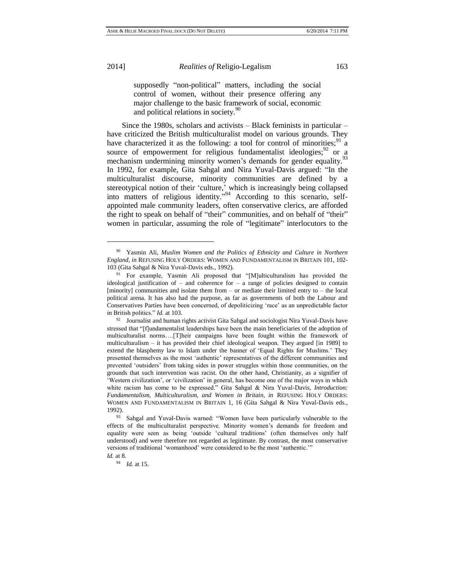l

2014] *Realities of* Religio-Legalism 163

supposedly "non-political" matters, including the social control of women, without their presence offering any major challenge to the basic framework of social, economic and political relations in society. $50^{\circ}$ 

Since the 1980s, scholars and activists – Black feminists in particular – have criticized the British multiculturalist model on various grounds. They have characterized it as the following: a tool for control of minorities;  $9^1$  a source of empowerment for religious fundamentalist ideologies;  $^{92}$  or a mechanism undermining minority women's demands for gender equality.<sup>93</sup> In 1992, for example, Gita Sahgal and Nira Yuval-Davis argued: "In the multiculturalist discourse, minority communities are defined by a stereotypical notion of their 'culture,' which is increasingly being collapsed into matters of religious identity." <sup>94</sup> According to this scenario, selfappointed male community leaders, often conservative clerics, are afforded the right to speak on behalf of "their" communities, and on behalf of "their" women in particular, assuming the role of "legitimate" interlocutors to the

<sup>90</sup> Yasmin Ali, *Muslim Women and the Politics of Ethnicity and Culture in Northern England*, *in* REFUSING HOLY ORDERS: WOMEN AND FUNDAMENTALISM IN BRITAIN 101, 102- 103 (Gita Sahgal & Nira Yuval-Davis eds., 1992).

<sup>&</sup>lt;sup>91</sup> For example, Yasmin Ali proposed that "[M]ulticulturalism has provided the ideological justification of  $-$  and coherence for  $-$  a range of policies designed to contain [minority] communities and isolate them from – or mediate their limited entry to – the local political arena. It has also had the purpose, as far as governments of both the Labour and Conservatives Parties have been concerned, of depoliticizing 'race' as an unpredictable factor in British politics." *Id.* at 103.

<sup>&</sup>lt;sup>92</sup> Journalist and human rights activist Gita Sahgal and sociologist Nira Yuval-Davis have stressed that "[f]undamentalist leaderships have been the main beneficiaries of the adoption of multiculturalist norms….[T]heir campaigns have been fought within the framework of multiculturalism – it has provided their chief ideological weapon. They argued [in 1989] to extend the blasphemy law to Islam under the banner of 'Equal Rights for Muslims.' They presented themselves as the most 'authentic' representatives of the different communities and prevented 'outsiders' from taking sides in power struggles within those communities, on the grounds that such intervention was racist. On the other hand, Christianity, as a signifier of 'Western civilization', or 'civilization' in general, has become one of the major ways in which white racism has come to be expressed." Gita Sahgal & Nira Yuval-Davis, *Introduction: Fundamentalism, Multiculturalism, and Women in Britain, in* REFUSING HOLY ORDERS: WOMEN AND FUNDAMENTALISM IN BRITAIN 1, 16 (Gita Sahgal & Nira Yuval-Davis eds., 1992).

<sup>93</sup> Sahgal and Yuval-Davis warned: "Women have been particularly vulnerable to the effects of the multiculturalist perspective. Minority women's demands for freedom and equality were seen as being 'outside 'cultural traditions' (often themselves only half understood) and were therefore not regarded as legitimate. By contrast, the most conservative versions of traditional 'womanhood' were considered to be the most 'authentic.'"

*Id.* at 8.

<sup>94</sup> *Id.* at 15.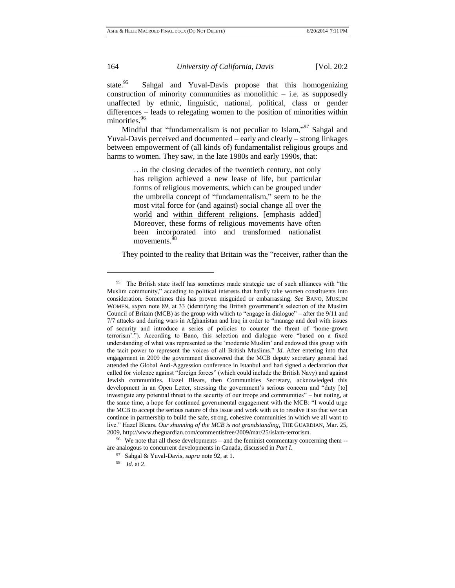state.<sup>95</sup> Sahgal and Yuval-Davis propose that this homogenizing construction of minority communities as monolithic  $-$  i.e. as supposedly unaffected by ethnic, linguistic, national, political, class or gender differences – leads to relegating women to the position of minorities within minorities.<sup>96</sup>

Mindful that "fundamentalism is not peculiar to Islam,"<sup>97</sup> Sahgal and Yuval-Davis perceived and documented – early and clearly – strong linkages between empowerment of (all kinds of) fundamentalist religious groups and harms to women. They saw, in the late 1980s and early 1990s, that:

> …in the closing decades of the twentieth century, not only has religion achieved a new lease of life, but particular forms of religious movements, which can be grouped under the umbrella concept of "fundamentalism," seem to be the most vital force for (and against) social change all over the world and within different religions. [emphasis added] Moreover, these forms of religious movements have often been incorporated into and transformed nationalist movements.<sup>9</sup>

They pointed to the reality that Britain was the "receiver, rather than the

<sup>&</sup>lt;sup>95</sup> The British state itself has sometimes made strategic use of such alliances with "the Muslim community," acceding to political interests that hardly take women constituents into consideration. Sometimes this has proven misguided or embarrassing. *See* BANO, MUSLIM WOMEN, *supra* note 89, at 33 (identifying the British government's selection of the Muslim Council of Britain (MCB) as the group with which to "engage in dialogue" – after the 9/11 and 7/7 attacks and during wars in Afghanistan and Iraq in order to "manage and deal with issues of security and introduce a series of policies to counter the threat of 'home-grown terrorism'."). According to Bano, this selection and dialogue were "based on a fixed understanding of what was represented as the 'moderate Muslim' and endowed this group with the tacit power to represent the voices of all British Muslims." *Id.* After entering into that engagement in 2009 the government discovered that the MCB deputy secretary general had attended the Global Anti-Aggression conference in Istanbul and had signed a declaration that called for violence against "foreign forces" (which could include the British Navy) and against Jewish communities. Hazel Blears, then Communities Secretary, acknowledged this development in an Open Letter, stressing the government's serious concern and "duty [to] investigate any potential threat to the security of our troops and communities" – but noting, at the same time, a hope for continued governmental engagement with the MCB: "I would urge the MCB to accept the serious nature of this issue and work with us to resolve it so that we can continue in partnership to build the safe, strong, cohesive communities in which we all want to live." Hazel Blears, *Our shunning of the MCB is not grandstanding*, THE GUARDIAN, Mar. 25, 2009, http://www.theguardian.com/commentisfree/2009/mar/25/islam-terrorism.

 $96$  We note that all these developments – and the feminist commentary concerning them  $$ are analogous to concurrent developments in Canada, discussed in *Part I*.

<sup>97</sup> Sahgal & Yuval-Davis, *supra* note 92, at 1.

<sup>98</sup> *Id*. at 2.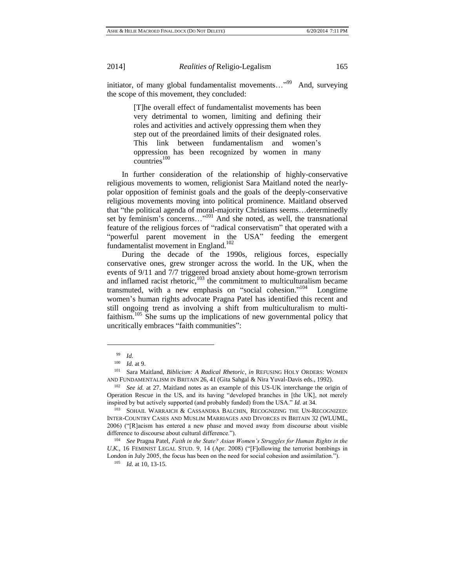initiator, of many global fundamentalist movements..."<sup>99</sup> And, surveying the scope of this movement, they concluded:

> [T]he overall effect of fundamentalist movements has been very detrimental to women, limiting and defining their roles and activities and actively oppressing them when they step out of the preordained limits of their designated roles. This link between fundamentalism and women's oppression has been recognized by women in many  $countries<sup>100</sup>$

In further consideration of the relationship of highly-conservative religious movements to women, religionist Sara Maitland noted the nearlypolar opposition of feminist goals and the goals of the deeply-conservative religious movements moving into political prominence. Maitland observed that "the political agenda of moral-majority Christians seems…determinedly set by feminism's concerns..."<sup>101</sup> And she noted, as well, the transnational feature of the religious forces of "radical conservatism" that operated with a "powerful parent movement in the USA" feeding the emergent fundamentalist movement in England.<sup>102</sup>

During the decade of the 1990s, religious forces, especially conservative ones, grew stronger across the world. In the UK, when the events of 9/11 and 7/7 triggered broad anxiety about home-grown terrorism and inflamed racist rhetoric, $103$  the commitment to multiculturalism became transmuted, with a new emphasis on "social cohesion."<sup>104</sup> Longtime women's human rights advocate Pragna Patel has identified this recent and still ongoing trend as involving a shift from multiculturalism to multifaithism.<sup>105</sup> She sums up the implications of new governmental policy that uncritically embraces "faith communities":

<sup>99</sup> *Id*.

<sup>100</sup> *Id.* at 9.

<sup>101</sup> Sara Maitland, *Biblicism: A Radical Rhetoric*, *in* REFUSING HOLY ORDERS: WOMEN AND FUNDAMENTALISM IN BRITAIN 26, 41 (Gita Sahgal & Nira Yuval-Davis eds., 1992).

<sup>102</sup> *See id.* at 27. Maitland notes as an example of this US-UK interchange the origin of Operation Rescue in the US, and its having "developed branches in [the UK], not merely inspired by but actively supported (and probably funded) from the USA." *Id.* at 34.

<sup>103</sup> SOHAIL WARRAICH & CASSANDRA BALCHIN, RECOGNIZING THE UN-RECOGNIZED: INTER-COUNTRY CASES AND MUSLIM MARRIAGES AND DIVORCES IN BRITAIN 32 (WLUML, 2006) ("[R]acism has entered a new phase and moved away from discourse about visible difference to discourse about cultural difference.").

<sup>104</sup> *See* Pragna Patel, *Faith in the State? Asian Women's Struggles for Human Rights in the U.K.,* 16 FEMINIST LEGAL STUD. 9, 14 (Apr. 2008) ("[F]ollowing the terrorist bombings in London in July 2005, the focus has been on the need for social cohesion and assimilation.").

<sup>105</sup> *Id.* at 10, 13-15.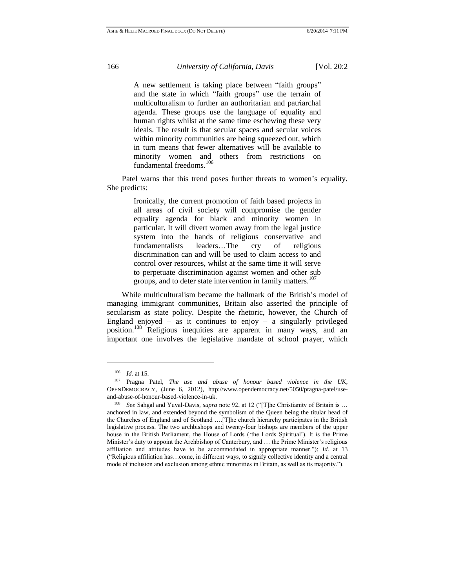A new settlement is taking place between "faith groups" and the state in which "faith groups" use the terrain of multiculturalism to further an authoritarian and patriarchal agenda. These groups use the language of equality and human rights whilst at the same time eschewing these very ideals. The result is that secular spaces and secular voices within minority communities are being squeezed out, which in turn means that fewer alternatives will be available to minority women and others from restrictions on fundamental freedoms.<sup>106</sup>

Patel warns that this trend poses further threats to women's equality. She predicts:

> Ironically, the current promotion of faith based projects in all areas of civil society will compromise the gender equality agenda for black and minority women in particular. It will divert women away from the legal justice system into the hands of religious conservative and fundamentalists leaders…The cry of religious discrimination can and will be used to claim access to and control over resources, whilst at the same time it will serve to perpetuate discrimination against women and other sub groups, and to deter state intervention in family matters.<sup>107</sup>

While multiculturalism became the hallmark of the British's model of managing immigrant communities, Britain also asserted the principle of secularism as state policy. Despite the rhetoric, however, the Church of England enjoyed – as it continues to enjoy – a singularly privileged position.<sup>108</sup> Religious inequities are apparent in many ways, and an important one involves the legislative mandate of school prayer, which

 $\frac{106}{107}$  *Id.* at 15.

<sup>107</sup> Pragna Patel, *The use and abuse of honour based violence in the UK*, OPENDEMOCRACY, (June 6, 2012), [http://www.opendemocracy.net/5050/pragna-patel/use](http://www.opendemocracy.net/5050/pragna-patel/use-and-abuse-of-honour-based-violence-in-uk)[and-abuse-of-honour-based-violence-in-uk.](http://www.opendemocracy.net/5050/pragna-patel/use-and-abuse-of-honour-based-violence-in-uk)

<sup>108</sup> *See* Sahgal and Yuval-Davis, *supra* note 92, at 12 ("[T]he Christianity of Britain is … anchored in law, and extended beyond the symbolism of the Queen being the titular head of the Churches of England and of Scotland ….[T]he church hierarchy participates in the British legislative process. The two archbishops and twenty-four bishops are members of the upper house in the British Parliament, the House of Lords ('the Lords Spiritual'). It is the Prime Minister's duty to appoint the Archbishop of Canterbury, and … the Prime Minister's religious affiliation and attitudes have to be accommodated in appropriate manner."); *Id.* at 13 ("Religious affiliation has…come, in different ways, to signify collective identity and a central mode of inclusion and exclusion among ethnic minorities in Britain, as well as its majority.").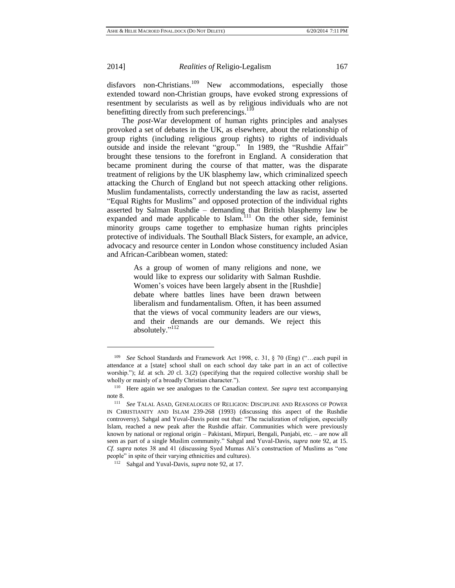l

2014] *Realities of* Religio-Legalism 167

disfavors non-Christians.<sup>109</sup> New accommodations, especially those extended toward non-Christian groups, have evoked strong expressions of resentment by secularists as well as by religious individuals who are not benefitting directly from such preferencings.<sup>110</sup>

The *post*-War development of human rights principles and analyses provoked a set of debates in the UK, as elsewhere, about the relationship of group rights (including religious group rights) to rights of individuals outside and inside the relevant "group." In 1989, the "Rushdie Affair" brought these tensions to the forefront in England. A consideration that became prominent during the course of that matter, was the disparate treatment of religions by the UK blasphemy law, which criminalized speech attacking the Church of England but not speech attacking other religions. Muslim fundamentalists, correctly understanding the law as racist, asserted "Equal Rights for Muslims" and opposed protection of the individual rights asserted by Salman Rushdie – demanding that British blasphemy law be expanded and made applicable to Islam.<sup>111</sup> On the other side, feminist minority groups came together to emphasize human rights principles protective of individuals. The Southall Black Sisters, for example, an advice, advocacy and resource center in London whose constituency included Asian and African-Caribbean women, stated:

> As a group of women of many religions and none, we would like to express our solidarity with Salman Rushdie. Women's voices have been largely absent in the [Rushdie] debate where battles lines have been drawn between liberalism and fundamentalism. Often, it has been assumed that the views of vocal community leaders are our views, and their demands are our demands. We reject this absolutely."<sup>112</sup>

<sup>109</sup> *See* School Standards and Framework Act 1998, c. 31, § 70 (Eng) ("…each pupil in attendance at a [state] school shall on each school day take part in an act of collective worship."); *Id.* at sch. 20 cl. 3.(2) (specifying that the required collective worship shall be wholly or mainly of a broadly Christian character.").

<sup>110</sup> Here again we see analogues to the Canadian context. *See supra* text accompanying note 8.

**See TALAL ASAD, GENEALOGIES OF RELIGION: DISCIPLINE AND REASONS OF POWER** IN CHRISTIANITY AND ISLAM 239-268 (1993) (discussing this aspect of the Rushdie controversy). Sahgal and Yuval-Davis point out that: "The racialization of religion, especially Islam, reached a new peak after the Rushdie affair. Communities which were previously known by national or regional origin – Pakistani, Mirpuri, Bengali, Punjabi, etc. – are now all seen as part of a single Muslim community." Sahgal and Yuval-Davis, *supra* note 92, at 15. *Cf. supra* notes 38 and 41 (discussing Syed Mumas Ali's construction of Muslims as "one people" in spite of their varying ethnicities and cultures).

<sup>112</sup> Sahgal and Yuval-Davis, *supra* note 92, at 17.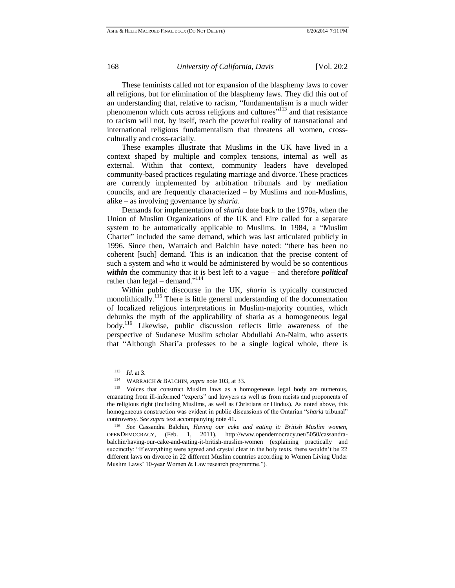These feminists called not for expansion of the blasphemy laws to cover all religions, but for elimination of the blasphemy laws. They did this out of an understanding that, relative to racism, "fundamentalism is a much wider phenomenon which cuts across religions and cultures"<sup>113</sup> and that resistance to racism will not, by itself, reach the powerful reality of transnational and international religious fundamentalism that threatens all women, crossculturally and cross-racially.

These examples illustrate that Muslims in the UK have lived in a context shaped by multiple and complex tensions, internal as well as external. Within that context, community leaders have developed community-based practices regulating marriage and divorce. These practices are currently implemented by arbitration tribunals and by mediation councils, and are frequently characterized – by Muslims and non-Muslims, alike – as involving governance by *sharia*.

Demands for implementation of *sharia* date back to the 1970s, when the Union of Muslim Organizations of the UK and Eire called for a separate system to be automatically applicable to Muslims. In 1984, a "Muslim Charter" included the same demand, which was last articulated publicly in 1996. Since then, Warraich and Balchin have noted: "there has been no coherent [such] demand. This is an indication that the precise content of such a system and who it would be administered by would be so contentious *within* the community that it is best left to a vague – and therefore *political* rather than  $\text{legal} - \text{ demand.}$ <sup>"114</sup>

Within public discourse in the UK, *sharia* is typically constructed monolithically.<sup>115</sup> There is little general understanding of the documentation of localized religious interpretations in Muslim-majority counties, which debunks the myth of the applicability of sharia as a homogeneous legal body.<sup>116</sup> Likewise, public discussion reflects little awareness of the perspective of Sudanese Muslim scholar Abdullahi An-Naim, who asserts that "Although Shari'a professes to be a single logical whole, there is

<sup>113</sup> *Id*. at 3.

<sup>114</sup> WARRAICH & BALCHIN, *supra* note 103, at 33.

<sup>115</sup> Voices that construct Muslim laws as a homogeneous legal body are numerous, emanating from ill-informed "experts" and lawyers as well as from racists and proponents of the religious right (including Muslims, as well as Christians or Hindus). As noted above, this homogeneous construction was evident in public discussions of the Ontarian "s*haria* tribunal" controversy*. See supra* text accompanying note 41**.**

<sup>116</sup> *See* Cassandra Balchin, *Having our cake and eating it: British Muslim women,*  OPENDEMOCRACY, (Feb. 1, 2011), [http://www.opendemocracy.net/5050/cassandra](http://www.opendemocracy.net/5050/cassandra-balchin/having-our-cake-and-eating-it-british-muslim-women)[balchin/having-our-cake-and-eating-it-british-muslim-women](http://www.opendemocracy.net/5050/cassandra-balchin/having-our-cake-and-eating-it-british-muslim-women) (explaining practically and succinctly: "If everything were agreed and crystal clear in the holy texts, there wouldn't be 22 different laws on divorce in 22 different Muslim countries according to Women Living Under Muslim Laws' 10-year Women & Law research programme.").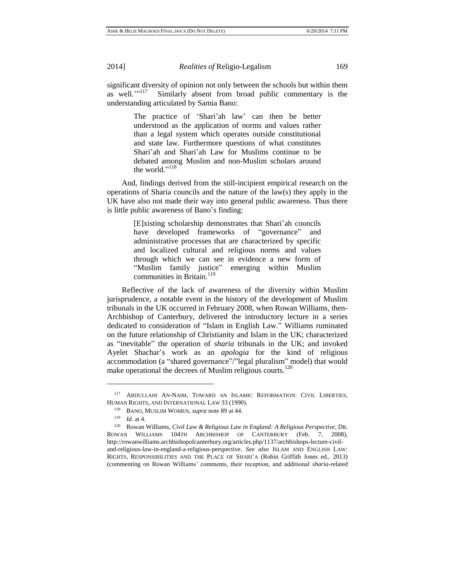significant diversity of opinion not only between the schools but within them as well." $117$  Similarly absent from broad public commentary is the understanding articulated by Samia Bano:

> The practice of 'Shari'ah law' can then be better understood as the application of norms and values rather than a legal system which operates outside constitutional and state law. Furthermore questions of what constitutes Shari'ah and Shari'ah Law for Muslims continue to be debated among Muslim and non-Muslim scholars around the world."<sup>118</sup>

And, findings derived from the still-incipient empirical research on the operations of Sharia councils and the nature of the law(s) they apply in the UK have also not made their way into general public awareness. Thus there is little public awareness of Bano's finding:

> [E]xisting scholarship demonstrates that Shari'ah councils have developed frameworks of "governance" and administrative processes that are characterized by specific and localized cultural and religious norms and values through which we can see in evidence a new form of "Muslim family justice" emerging within Muslim communities in Britain.<sup>119</sup>

Reflective of the lack of awareness of the diversity within Muslim jurisprudence, a notable event in the history of the development of Muslim tribunals in the UK occurred in February 2008, when Rowan Williams, then-Archbishop of Canterbury, delivered the introductory lecture in a series dedicated to consideration of "Islam in English Law." Williams ruminated on the future relationship of Christianity and Islam in the UK; characterized as "inevitable" the operation of *sharia* tribunals in the UK; and invoked Ayelet Shachar's work as an *apologia* for the kind of religious accommodation (a "shared governance"/"legal pluralism" model) that would make operational the decrees of Muslim religious courts. $120$ 

<sup>117</sup> ABDULLAHI AN-NAIM, TOWARD AN ISLAMIC REFORMATION: CIVIL LIBERTIES, HUMAN RIGHTS, AND INTERNATIONAL LAW 33 (1990).

<sup>118</sup> BANO, MUSLIM WOMEN, *supra* note 89 at 44.

<sup>119</sup> *Id.* at 4.

<sup>120</sup> Rowan Williams, *Civil Law & Religious Law in England: A Religious Perspective*, DR. ROWAN WILLIAMS 104TH ARCHBISHOP OF CANTERBURY (Feb. 7, 2008), [http://rowanwilliams.archbishopofcanterbury.org/articles.php/1137/archbishops-lecture-civil](http://rowanwilliams.archbishopofcanterbury.org/articles.php/1137/archbishops-lecture-civil-and-religious-law-in-england-a-religious-perspective)[and-religious-law-in-england-a-religious-perspective.](http://rowanwilliams.archbishopofcanterbury.org/articles.php/1137/archbishops-lecture-civil-and-religious-law-in-england-a-religious-perspective) *See also* ISLAM AND ENGLISH LAW: RIGHTS, RESPONSIBILITIES AND THE PLACE OF SHARI'A (Robin Griffith Jones ed., 2013) (commenting on Rowan Williams' comments, their reception, and additional *sharia-*related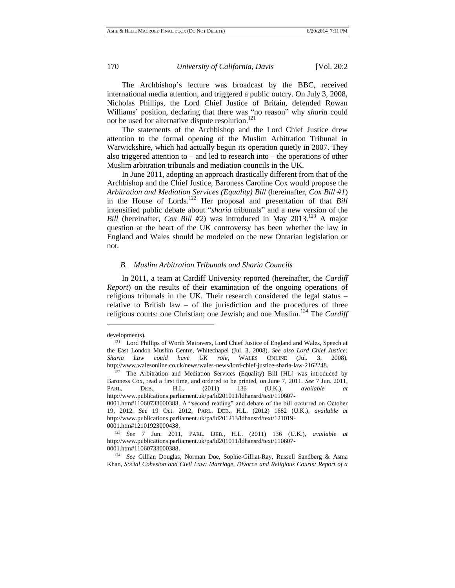The Archbishop's lecture was broadcast by the BBC, received international media attention, and triggered a public outcry. On July 3, 2008, Nicholas Phillips, the Lord Chief Justice of Britain, defended Rowan Williams' position, declaring that there was "no reason" why *sharia* could not be used for alternative dispute resolution.<sup>121</sup>

The statements of the Archbishop and the Lord Chief Justice drew attention to the formal opening of the Muslim Arbitration Tribunal in Warwickshire, which had actually begun its operation quietly in 2007. They also triggered attention to – and led to research into – the operations of other Muslim arbitration tribunals and mediation councils in the UK.

In June 2011, adopting an approach drastically different from that of the Archbishop and the Chief Justice, Baroness Caroline Cox would propose the *Arbitration and Mediation Services (Equality) Bill* (hereinafter, *Cox Bill #1*) in the House of Lords.<sup>122</sup> Her proposal and presentation of that *Bill* intensified public debate about "*sharia* tribunals" and a new version of the *Bill* (hereinafter, *Cox Bill #2*) was introduced in May 2013.<sup>123</sup> A major question at the heart of the UK controversy has been whether the law in England and Wales should be modeled on the new Ontarian legislation or not.

#### *B. Muslim Arbitration Tribunals and Sharia Councils*

In 2011, a team at Cardiff University reported (hereinafter, the *Cardiff Report*) on the results of their examination of the ongoing operations of religious tribunals in the UK. Their research considered the legal status – relative to British law – of the jurisdiction and the procedures of three religious courts: one Christian; one Jewish; and one Muslim.<sup>124</sup> The *Cardiff* 

developments).

<sup>&</sup>lt;sup>121</sup> Lord Phillips of Worth Matravers, Lord Chief Justice of England and Wales, Speech at the East London Muslim Centre, Whitechapel (Jul. 3, 2008). *See also Lord Chief Justice: Sharia Law could have UK role*, WALES ONLINE (Jul. 3, 2008), [http://www.walesonline.co.uk/news/wales-news/lord-chief-justice-sharia-law-2162248.](http://www.walesonline.co.uk/news/wales-news/lord-chief-justice-sharia-law-2162248)

<sup>122</sup> The Arbitration and Mediation Services (Equality) Bill [HL] was introduced by Baroness Cox, read a first time, and ordered to be printed, on June 7, 2011. *See* 7 Jun. 2011, PARL. DEB., H.L. (2011) 136 (U.K.), *available at*  [http://www.publications.parliament.uk/pa/ld201011/ldhansrd/text/110607-](http://www.publications.parliament.uk/pa/ld201011/ldhansrd/text/110607-0001.htm#11060733000388)

[<sup>0001.</sup>htm#11060733000388.](http://www.publications.parliament.uk/pa/ld201011/ldhansrd/text/110607-0001.htm#11060733000388) A "second reading" and debate of the bill occurred on October 19, 2012. *See* 19 Oct. 2012, PARL. DEB., H.L. (2012) 1682 (U.K.), *available at*  [http://www.publications.parliament.uk/pa/ld201213/ldhansrd/text/121019-](http://www.publications.parliament.uk/pa/ld201213/ldhansrd/text/121019-0001.htm#12101923000438) [0001.htm#12101923000438.](http://www.publications.parliament.uk/pa/ld201213/ldhansrd/text/121019-0001.htm#12101923000438)

<sup>123</sup> *See* 7 Jun. 2011, PARL. DEB., H.L. (2011) 136 (U.K.), *available at* [http://www.publications.parliament.uk/pa/ld201011/ldhansrd/text/110607-](http://www.publications.parliament.uk/pa/ld201011/ldhansrd/text/110607-0001.htm#11060733000388) [0001.htm#11060733000388.](http://www.publications.parliament.uk/pa/ld201011/ldhansrd/text/110607-0001.htm#11060733000388)

<sup>124</sup> *See* Gillian Douglas, Norman Doe, Sophie-Gilliat-Ray, Russell Sandberg & Asma Khan, *Social Cohesion and Civil Law: Marriage, Divorce and Religious Courts: Report of a*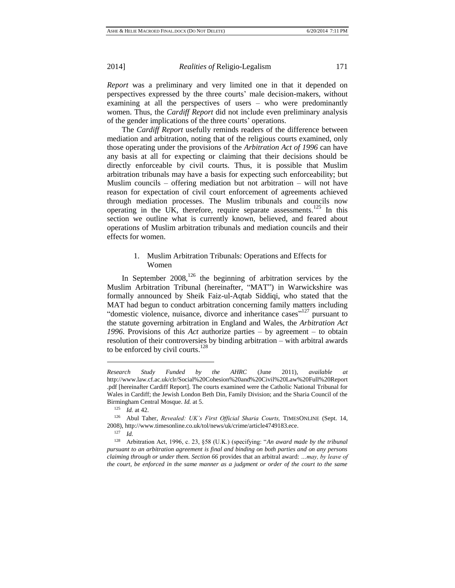*Report* was a preliminary and very limited one in that it depended on perspectives expressed by the three courts' male decision-makers, without examining at all the perspectives of users – who were predominantly women. Thus, the *Cardiff Report* did not include even preliminary analysis of the gender implications of the three courts' operations.

The *Cardiff Report* usefully reminds readers of the difference between mediation and arbitration, noting that of the religious courts examined, only those operating under the provisions of the *Arbitration Act of 1996* can have any basis at all for expecting or claiming that their decisions should be directly enforceable by civil courts. Thus, it is possible that Muslim arbitration tribunals may have a basis for expecting such enforceability; but Muslim councils – offering mediation but not arbitration – will not have reason for expectation of civil court enforcement of agreements achieved through mediation processes. The Muslim tribunals and councils now operating in the UK, therefore, require separate assessments.<sup>125</sup> In this section we outline what is currently known, believed, and feared about operations of Muslim arbitration tribunals and mediation councils and their effects for women.

# 1. Muslim Arbitration Tribunals: Operations and Effects for Women

In September  $2008$ ,<sup>126</sup> the beginning of arbitration services by the Muslim Arbitration Tribunal (hereinafter, "MAT") in Warwickshire was formally announced by Sheik Faiz-ul-Aqtab Siddiqi, who stated that the MAT had begun to conduct arbitration concerning family matters including "domestic violence, nuisance, divorce and inheritance cases"<sup>127</sup> pursuant to the statute governing arbitration in England and Wales, the *Arbitration Act 1996*. Provisions of this *Act* authorize parties – by agreement – to obtain resolution of their controversies by binding arbitration – with arbitral awards to be enforced by civil courts.<sup>128</sup>

*Research Study Funded by the AHRC* (June 2011), *available at* [http://www.law.cf.ac.uk/clr/Social%20Cohesion%20and%20Civil%20Law%20Full%20Report](http://www.law.cf.ac.uk/clr/Social%20Cohesion%20and%20Civil%20Law%20Full%20Report.pdf) [.pdf](http://www.law.cf.ac.uk/clr/Social%20Cohesion%20and%20Civil%20Law%20Full%20Report.pdf) [hereinafter Cardiff Report]. The courts examined were the Catholic National Tribunal for Wales in Cardiff; the Jewish London Beth Din, Family Division; and the Sharia Council of the Birmingham Central Mosque. *Id.* at 5.

<sup>125</sup> *Id.* at 42.

<sup>&</sup>lt;sup>126</sup> Abul Taher, *Revealed: UK's First Official Sharia Courts*, TIMESONLINE (Sept. 14, 2008)[, http://www.timesonline.co.uk/tol/news/uk/crime/article4749183.ece.](http://www.timesonline.co.uk/tol/news/uk/crime/article4749183.ece)

<sup>127</sup> *Id.*

<sup>128</sup> Arbitration Act, 1996, c. 23, §58 (U.K.) (specifying: "*An award made by the tribunal pursuant to an arbitration agreement is final and binding on both parties and on any persons claiming through or under them. Section 66* provides that an arbitral award: *…may, by leave of the court, be enforced in the same manner as a judgment or order of the court to the same*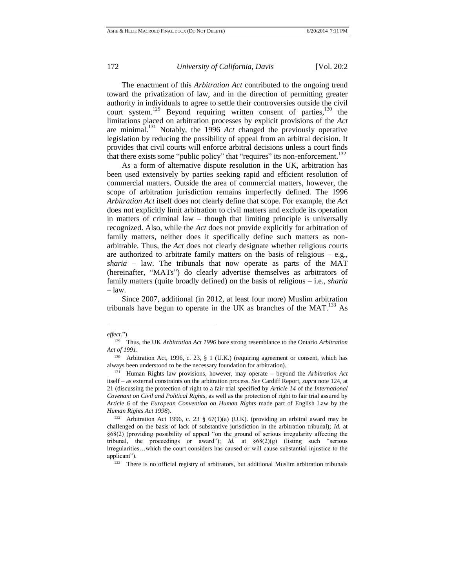The enactment of this *Arbitration Act* contributed to the ongoing trend toward the privatization of law, and in the direction of permitting greater authority in individuals to agree to settle their controversies outside the civil court system.<sup>129</sup> Beyond requiring written consent of parties,<sup>130</sup> the limitations placed on arbitration processes by explicit provisions of the *Act* are minimal.<sup>131</sup> Notably, the 1996 *Act* changed the previously operative legislation by reducing the possibility of appeal from an arbitral decision. It provides that civil courts will enforce arbitral decisions unless a court finds that there exists some "public policy" that "requires" its non-enforcement.<sup>132</sup>

As a form of alternative dispute resolution in the UK, arbitration has been used extensively by parties seeking rapid and efficient resolution of commercial matters. Outside the area of commercial matters, however, the scope of arbitration jurisdiction remains imperfectly defined. The 1996 *Arbitration Act* itself does not clearly define that scope. For example, the *Act* does not explicitly limit arbitration to civil matters and exclude its operation in matters of criminal law – though that limiting principle is universally recognized. Also, while the *Act* does not provide explicitly for arbitration of family matters, neither does it specifically define such matters as nonarbitrable. Thus, the *Act* does not clearly designate whether religious courts are authorized to arbitrate family matters on the basis of religious  $-$  e.g., *sharia* – law. The tribunals that now operate as parts of the MAT (hereinafter, "MATs") do clearly advertise themselves as arbitrators of family matters (quite broadly defined) on the basis of religious – i.e., *sharia* – law.

Since 2007, additional (in 2012, at least four more) Muslim arbitration tribunals have begun to operate in the UK as branches of the MAT.<sup>133</sup> As

l

<sup>133</sup> There is no official registry of arbitrators, but additional Muslim arbitration tribunals

*effect.*").

<sup>129</sup> Thus, the UK *Arbitration Act 1996* bore strong resemblance to the Ontario *Arbitration Act of 1991*.

<sup>130</sup> Arbitration Act, 1996, c. 23, § 1 (U.K.) (requiring agreement or consent, which has always been understood to be the necessary foundation for arbitration).

<sup>131</sup> Human Rights law provisions, however, may operate – beyond the *Arbitration Act* itself – as external constraints on the arbitration process. *See* Cardiff Report, *supr*a note 124, at 21 (discussing the protection of right to a fair trial specified by *Article 14* of the *International Covenant on Civil and Political Rights*, as well as the protection of right to fair trial assured by *Article 6* of the *European Convention on Human Rights* made part of English Law by the *Human Rights Act 1998*).

<sup>132</sup> Arbitration Act 1996, c. 23 § 67(1)(a) (U.K). (providing an arbitral award may be challenged on the basis of lack of substantive jurisdiction in the arbitration tribunal); *Id.* at §68(2) (providing possibility of appeal "on the ground of serious irregularity affecting the tribunal, the proceedings or award"); *Id.* at  $\S 68(2)(g)$  (listing such "serious irregularities…which the court considers has caused or will cause substantial injustice to the applicant").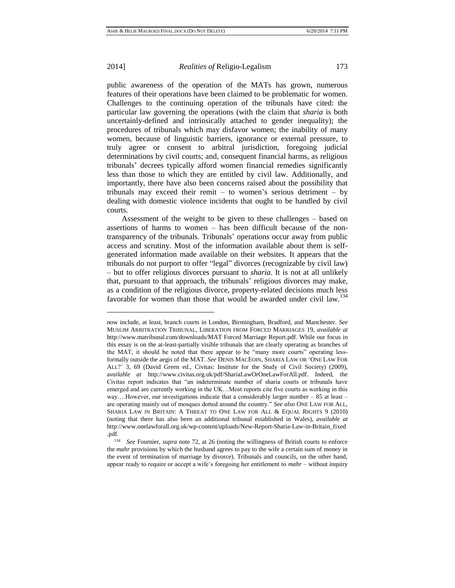$\overline{a}$ 

#### 2014] *Realities of* Religio-Legalism 173

public awareness of the operation of the MATs has grown, numerous features of their operations have been claimed to be problematic for women. Challenges to the continuing operation of the tribunals have cited: the particular law governing the operations (with the claim that *sharia* is both uncertainly-defined and intrinsically attached to gender inequality); the procedures of tribunals which may disfavor women; the inability of many women, because of linguistic barriers, ignorance or external pressure, to truly agree or consent to arbitral jurisdiction, foregoing judicial determinations by civil courts; and, consequent financial harms, as religious tribunals' decrees typically afford women financial remedies significantly less than those to which they are entitled by civil law. Additionally, and importantly, there have also been concerns raised about the possibility that tribunals may exceed their remit – to women's serious detriment – by dealing with domestic violence incidents that ought to be handled by civil courts.

Assessment of the weight to be given to these challenges – based on assertions of harms to women – has been difficult because of the nontransparency of the tribunals. Tribunals' operations occur away from public access and scrutiny. Most of the information available about them is selfgenerated information made available on their websites. It appears that the tribunals do not purport to offer "legal" divorces (recognizable by civil law) – but to offer religious divorces pursuant to *sharia*. It is not at all unlikely that, pursuant to that approach, the tribunals' religious divorces may make, as a condition of the religious divorce, property-related decisions much less favorable for women than those that would be awarded under civil law.<sup>134</sup>

now include, at least, branch courts in London, Birmingham, Bradford, and Manchester. *See*  MUSLIM ARBITRATION TRIBUNAL, LIBERATION FROM FORCED MARRIAGES 19, *available at*  [http://www.matribunal.com/downloads/MAT Forced Marriage](http://www.matribunal.com/downloads/MAT%20Forced%20Marriage) Report.pdf. While our focus in this essay is on the at-least-partially visible tribunals that are clearly operating as branches of the MAT, it should be noted that there appear to be "many more courts" operating lessformally outside the aegis of the MAT. *See* DENIS MACEOIN, SHARIA LAW OR 'ONE LAW FOR ALL?' 3, 69 (David Green ed., Civitas: Institute for the Study of Civil Society) (2009), a*vailable at* [http://www.civitas.org.uk/pdf/ShariaLawOrOneLawForAll.pdf.](http://www.civitas.org.uk/pdf/ShariaLawOrOneLawForAll.pdf) Indeed, the Civitas report indicates that "an indeterminate number of sharia courts or tribunals have emerged and are currently working in the UK…Most reports cite five courts as working in this way….However, our investigations indicate that a considerably larger number – 85 at least – are operating mainly out of mosques dotted around the country." *See also* ONE LAW FOR ALL, SHARIA LAW IN BRITAIN: A THREAT TO ONE LAW FOR ALL & EQUAL RIGHTS 9 (2010) (noting that there has also been an additional tribunal established in Wales), *available at* http://www.onelawforall.org.uk/wp-content/uploads/New-Report-Sharia-Law-in-Britain\_fixed .pdf.

<sup>134</sup> *See* Fournier, *supra* note 72, at 26 (noting the willingness of British courts to enforce the *mahr* provisions by which the husband agrees to pay to the wife a certain sum of money in the event of termination of marriage by divorce). Tribunals and councils, on the other hand, appear ready to require or accept a wife's foregoing her entitlement to *mahr* – without inquiry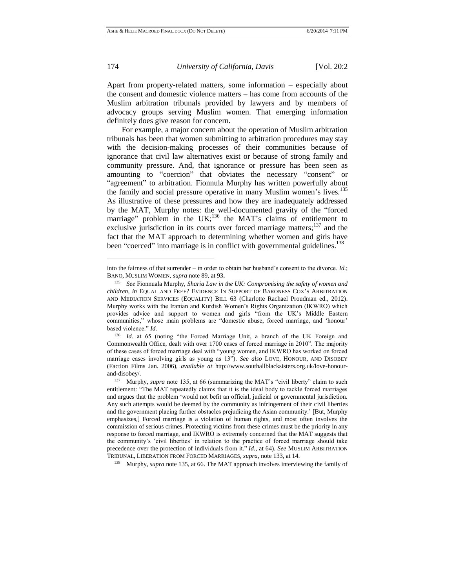l

174 *University of California, Davis* [Vol. 20:2

Apart from property-related matters, some information – especially about the consent and domestic violence matters – has come from accounts of the Muslim arbitration tribunals provided by lawyers and by members of advocacy groups serving Muslim women. That emerging information definitely does give reason for concern.

For example, a major concern about the operation of Muslim arbitration tribunals has been that women submitting to arbitration procedures may stay with the decision-making processes of their communities because of ignorance that civil law alternatives exist or because of strong family and community pressure. And, that ignorance or pressure has been seen as amounting to "coercion" that obviates the necessary "consent" or "agreement" to arbitration. Fionnula Murphy has written powerfully about the family and social pressure operative in many Muslim women's lives.<sup>135</sup> As illustrative of these pressures and how they are inadequately addressed by the MAT, Murphy notes: the well-documented gravity of the "forced marriage" problem in the UK;<sup>136</sup> the MAT's claims of entitlement to exclusive jurisdiction in its courts over forced marriage matters;<sup>137</sup> and the fact that the MAT approach to determining whether women and girls have been "coerced" into marriage is in conflict with governmental guidelines.<sup>138</sup>

<sup>138</sup> Murphy, *supra* note 135, at 66. The MAT approach involves interviewing the family of

into the fairness of that surrender – in order to obtain her husband's consent to the divorce. *Id.*; BANO, MUSLIM WOMEN, *supra* note 89, at 93**.**

<sup>135</sup> *See* Fionnuala Murphy, *Sharia Law in the UK: Compromising the safety of women and children*, *in* EQUAL AND FREE? EVIDENCE IN SUPPORT OF BARONESS COX'S ARBITRATION AND MEDIATION SERVICES (EQUALITY) BILL 63 (Charlotte Rachael Proudman ed., 2012). Murphy works with the Iranian and Kurdish Women's Rights Organization (IKWRO) which provides advice and support to women and girls "from the UK's Middle Eastern communities," whose main problems are "domestic abuse, forced marriage, and 'honour' based violence." *Id.* 

<sup>136</sup> *Id.* at 65 (noting "the Forced Marriage Unit, a branch of the UK Foreign and Commonwealth Office, dealt with over 1700 cases of forced marriage in 2010". The majority of these cases of forced marriage deal with "young women, and IKWRO has worked on forced marriage cases involving girls as young as 13"). *See also* LOVE, HONOUR, AND DISOBEY (Faction Films Jan. 2006), *available at* [http://www.southallblacksisters.org.uk/love-honour](http://www.southallblacksisters.org.uk/love-honour-and-disobey/)[and-disobey/.](http://www.southallblacksisters.org.uk/love-honour-and-disobey/)

<sup>&</sup>lt;sup>137</sup> Murphy, *supra* note 135, at 66 (summarizing the MAT's "civil liberty" claim to such entitlement: "The MAT repeatedly claims that it is the ideal body to tackle forced marriages and argues that the problem 'would not befit an official, judicial or governmental jurisdiction. Any such attempts would be deemed by the community as infringement of their civil liberties and the government placing further obstacles prejudicing the Asian community.' [But, Murphy emphasizes,] Forced marriage is a violation of human rights, and most often involves the commission of serious crimes. Protecting victims from these crimes must be the priority in any response to forced marriage, and IKWRO is extremely concerned that the MAT suggests that the community's 'civil liberties' in relation to the practice of forced marriage should take precedence over the protection of individuals from it." *Id.,* at 64). *See* MUSLIM ARBITRATION TRIBUNAL, LIBERATION FROM FORCED MARRIAGES, *supra*, note 133, at 14.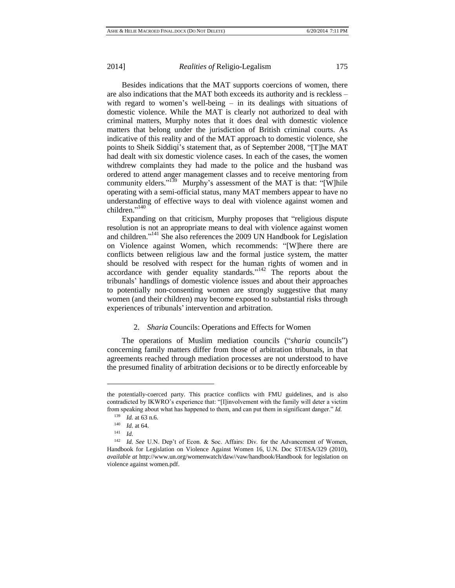Besides indications that the MAT supports coercions of women, there are also indications that the MAT both exceeds its authority and is reckless – with regard to women's well-being – in its dealings with situations of domestic violence. While the MAT is clearly not authorized to deal with criminal matters, Murphy notes that it does deal with domestic violence matters that belong under the jurisdiction of British criminal courts. As indicative of this reality and of the MAT approach to domestic violence, she points to Sheik Siddiqi's statement that, as of September 2008, "[T]he MAT had dealt with six domestic violence cases. In each of the cases, the women withdrew complaints they had made to the police and the husband was ordered to attend anger management classes and to receive mentoring from community elders."<sup>139</sup> Murphy's assessment of the MAT is that: "[W]hile operating with a semi-official status, many MAT members appear to have no understanding of effective ways to deal with violence against women and children." 140

Expanding on that criticism, Murphy proposes that "religious dispute resolution is not an appropriate means to deal with violence against women and children."<sup>141</sup> She also references the 2009 UN Handbook for Legislation on Violence against Women, which recommends: "[W]here there are conflicts between religious law and the formal justice system, the matter should be resolved with respect for the human rights of women and in accordance with gender equality standards." $142$  The reports about the tribunals' handlings of domestic violence issues and about their approaches to potentially non-consenting women are strongly suggestive that many women (and their children) may become exposed to substantial risks through experiences of tribunals' intervention and arbitration.

### 2. *Sharia* Councils: Operations and Effects for Women

The operations of Muslim mediation councils ("*sharia* councils") concerning family matters differ from those of arbitration tribunals, in that agreements reached through mediation processes are not understood to have the presumed finality of arbitration decisions or to be directly enforceable by

the potentially-coerced party. This practice conflicts with FMU guidelines, and is also contradicted by IKWRO's experience that: "[I]involvement with the family will deter a victim from speaking about what has happened to them, and can put them in significant danger." *Id.*

<sup>139</sup> *Id.* at 63 n.6.

<sup>140</sup> *Id.* at 64.

<sup>141</sup> *Id.*

<sup>&</sup>lt;sup>142</sup> *Id. See* U.N. Dep't of Econ. & Soc. Affairs: Div. for the Advancement of Women, Handbook for Legislation on Violence Against Women 16, U.N. Doc ST/ESA/329 (2010), *available at* http://www.un.org/womenwatch/daw//vaw/handbook/Handbook for legislation on violence against women.pdf.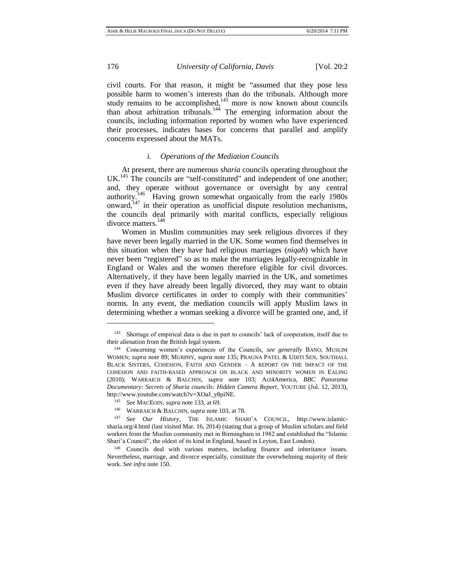civil courts. For that reason, it might be "assumed that they pose less possible harm to women's interests than do the tribunals. Although more study remains to be accomplished, $143$  more is now known about councils than about arbitration tribunals.<sup>144</sup> The emerging information about the councils, including information reported by women who have experienced their processes, indicates bases for concerns that parallel and amplify concerns expressed about the MATs.

#### *i. Operations of the Mediation Councils*

At present, there are numerous *sharia* councils operating throughout the UK.<sup>145</sup> The councils are "self-constituted" and independent of one another; and, they operate without governance or oversight by any central authority.<sup>146</sup> Having grown somewhat organically from the early 1980s onward, $147$  in their operation as unofficial dispute resolution mechanisms, the councils deal primarily with marital conflicts, especially religious divorce matters.<sup>148</sup>

Women in Muslim communities may seek religious divorces if they have never been legally married in the UK. Some women find themselves in this situation when they have had religious marriages (*niqah*) which have never been "registered" so as to make the marriages legally-recognizable in England or Wales and the women therefore eligible for civil divorces. Alternatively, if they have been legally married in the UK, and sometimes even if they have already been legally divorced, they may want to obtain Muslim divorce certificates in order to comply with their communities' norms. In any event, the mediation councils will apply Muslim laws in determining whether a woman seeking a divorce will be granted one, and, if

<sup>&</sup>lt;sup>143</sup> Shortage of empirical data is due in part to councils' lack of cooperation, itself due to their alienation from the British legal system.

<sup>144</sup> Concerning women's experiences of the Councils, *see generally* BANO, MUSLIM WOMEN; *supra* note 89; MURPHY, *supra* note 135; PRAGNA PATEL & UDITI SEN, SOUTHALL BLACK SISTERS, COHESION, FAITH AND GENDER – A REPORT ON THE IMPACT OF THE COHESION AND FAITH-BASED APPROACH ON BLACK AND MINORITY WOMEN IN EALING (2010); WARRAICH & BALCHIN, *supra* note 103; Act4America, *BBC Panorama Documentary: Secrets of Sharia councils: Hidden Camera Report*, YOUTUBE (Jul. 12, 2013), http://www.youtube.com/watch?v=XOaJ\_y8piNE.

<sup>145</sup> *See* MACEOIN, *supra* note 133, at 69.

<sup>146</sup> WARRAICH & BALCHIN, *supra* note 103, at 78.

<sup>147</sup> *See Our History*, THE ISLAMIC SHARI'A COUNCIL, [http://www.islamic](http://www.islamic-sharia.org/4.html)[sharia.org/4.html](http://www.islamic-sharia.org/4.html) (last visited Mar. 16, 2014) (stating that a group of Muslim scholars and field workers from the Muslim community met in Birmingham in 1982 and established the "Islamic Shari'a Council", the oldest of its kind in England, based in Leyton, East London).

<sup>&</sup>lt;sup>148</sup> Councils deal with various matters, including finance and inheritance issues. Nevertheless, marriage, and divorce especially, constitute the overwhelming majority of their work. *See infra* note 150.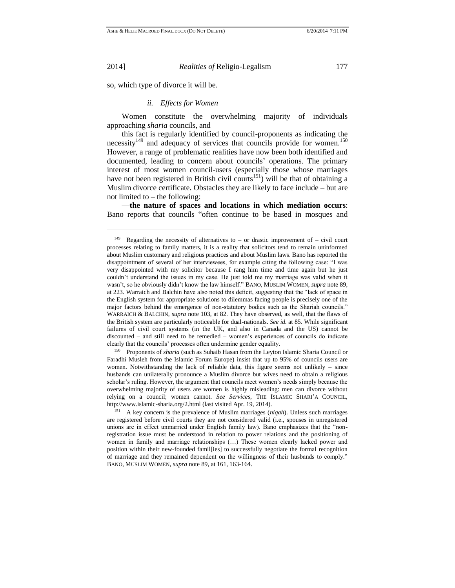so, which type of divorce it will be.

#### *ii. Effects for Women*

Women constitute the overwhelming majority of individuals approaching *sharia* councils, and

this fact is regularly identified by council-proponents as indicating the necessity<sup>149</sup> and adequacy of services that councils provide for women.<sup>150</sup> However, a range of problematic realities have now been both identified and documented, leading to concern about councils' operations. The primary interest of most women council-users (especially those whose marriages have not been registered in British civil courts<sup>151</sup>) will be that of obtaining a Muslim divorce certificate. Obstacles they are likely to face include – but are not limited to  $-$  the following:

—**the nature of spaces and locations in which mediation occurs**: Bano reports that councils "often continue to be based in mosques and

<sup>150</sup> Proponents of *sharia* (such as Suhaib Hasan from the Leyton Islamic Sharia Council or Faradhi Musleh from the Islamic Forum Europe) insist that up to 95% of councils users are women. Notwithstanding the lack of reliable data, this figure seems not unlikely – since husbands can unilaterally pronounce a Muslim divorce but wives need to obtain a religious scholar's ruling. However, the argument that councils meet women's needs simply because the overwhelming majority of users are women is highly misleading: men can divorce without relying on a council; women cannot. *See Services*, THE ISLAMIC SHARI'A COUNCIL, <http://www.islamic-sharia.org/2.html> (last visited Apr. 19, 2014).

<sup>&</sup>lt;sup>149</sup> Regarding the necessity of alternatives to – or drastic improvement of – civil court processes relating to family matters, it is a reality that solicitors tend to remain uninformed about Muslim customary and religious practices and about Muslim laws. Bano has reported the disappointment of several of her interviewees, for example citing the following case: "I was very disappointed with my solicitor because I rang him time and time again but he just couldn't understand the issues in my case. He just told me my marriage was valid when it wasn't, so he obviously didn't know the law himself." BANO, MUSLIM WOMEN, *supra* note 89, at 223. Warraich and Balchin have also noted this deficit, suggesting that the "lack of space in the English system for appropriate solutions to dilemmas facing people is precisely one of the major factors behind the emergence of non-statutory bodies such as the Shariah councils." WARRAICH & BALCHIN, *supra* note 103, at 82. They have observed, as well, that the flaws of the British system are particularly noticeable for dual-nationals. *See id.* at 85. While significant failures of civil court systems (in the UK, and also in Canada and the US) cannot be discounted – and still need to be remedied – women's experiences of councils do indicate clearly that the councils' processes often undermine gender equality.

<sup>151</sup> A key concern is the prevalence of Muslim marriages (*niqah*). Unless such marriages are registered before civil courts they are not considered valid (i.e., spouses in unregistered unions are in effect unmarried under English family law). Bano emphasizes that the "nonregistration issue must be understood in relation to power relations and the positioning of women in family and marriage relationships (…) These women clearly lacked power and position within their new-founded famil[ies] to successfully negotiate the formal recognition of marriage and they remained dependent on the willingness of their husbands to comply." BANO, MUSLIM WOMEN, *supra* note 89, at 161, 163-164.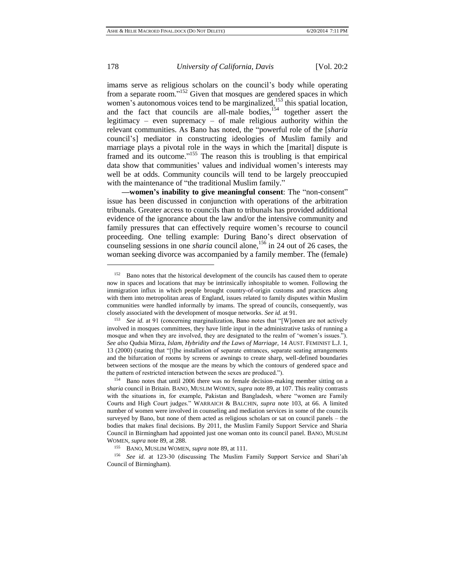imams serve as religious scholars on the council's body while operating from a separate room."<sup>152</sup> Given that mosques are gendered spaces in which women's autonomous voices tend to be marginalized,<sup>153</sup> this spatial location, and the fact that councils are all-male bodies,<sup>154</sup> together assert the legitimacy – even supremacy – of male religious authority within the relevant communities. As Bano has noted, the "powerful role of the [*sharia* council's] mediator in constructing ideologies of Muslim family and marriage plays a pivotal role in the ways in which the [marital] dispute is framed and its outcome."<sup>155</sup> The reason this is troubling is that empirical data show that communities' values and individual women's interests may well be at odds. Community councils will tend to be largely preoccupied with the maintenance of "the traditional Muslim family."

**—women's inability to give meaningful consent**: The "non-consent" issue has been discussed in conjunction with operations of the arbitration tribunals. Greater access to councils than to tribunals has provided additional evidence of the ignorance about the law and/or the intensive community and family pressures that can effectively require women's recourse to council proceeding. One telling example: During Bano's direct observation of counseling sessions in one *sharia* council alone,<sup>156</sup> in 24 out of 26 cases, the woman seeking divorce was accompanied by a family member. The (female)

<sup>155</sup> BANO, MUSLIM WOMEN, *supra* note 89, at 111.

<sup>156</sup> *See id.* at 123-30 (discussing The Muslim Family Support Service and Shari'ah Council of Birmingham).

<sup>&</sup>lt;sup>152</sup> Bano notes that the historical development of the councils has caused them to operate now in spaces and locations that may be intrinsically inhospitable to women. Following the immigration influx in which people brought country-of-origin customs and practices along with them into metropolitan areas of England, issues related to family disputes within Muslim communities were handled informally by imams. The spread of councils, consequently, was closely associated with the development of mosque networks. *See id.* at 91.

<sup>153</sup> *See id.* at 91 (concerning marginalization, Bano notes that "[W]omen are not actively involved in mosques committees, they have little input in the administrative tasks of running a mosque and when they are involved, they are designated to the realm of 'women's issues."). *See also* Qudsia Mirza, *Islam, Hybridity and the Laws of Marriage,* 14 AUST. FEMINIST L.J. 1, 13 (2000) (stating that "[t]he installation of separate entrances, separate seating arrangements and the bifurcation of rooms by screens or awnings to create sharp, well-defined boundaries between sections of the mosque are the means by which the contours of gendered space and the pattern of restricted interaction between the sexes are produced.").

<sup>154</sup> Bano notes that until 2006 there was no female decision-making member sitting on a *sharia* council in Britain. BANO, MUSLIM WOMEN, *supra* note 89, at 107. This reality contrasts with the situations in, for example, Pakistan and Bangladesh, where "women are Family Courts and High Court judges." WARRAICH & BALCHIN, *supra* note 103, at 66. A limited number of women were involved in counseling and mediation services in some of the councils surveyed by Bano, but none of them acted as religious scholars or sat on council panels – the bodies that makes final decisions. By 2011, the Muslim Family Support Service and Sharia Council in Birmingham had appointed just one woman onto its council panel. BANO, MUSLIM WOMEN, *supra* note 89, at 288.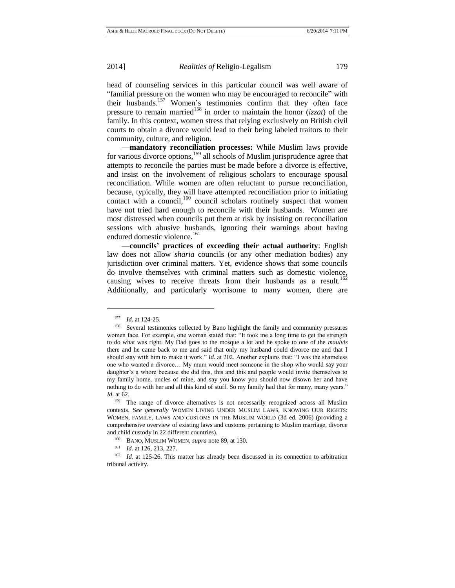head of counseling services in this particular council was well aware of "familial pressure on the women who may be encouraged to reconcile" with their husbands.<sup>157</sup> Women's testimonies confirm that they often face pressure to remain married<sup>158</sup> in order to maintain the honor ( $\iota$ *izzat*) of the family. In this context, women stress that relying exclusively on British civil courts to obtain a divorce would lead to their being labeled traitors to their community, culture, and religion.

**—mandatory reconciliation processes:** While Muslim laws provide for various divorce options,<sup>159</sup> all schools of Muslim jurisprudence agree that attempts to reconcile the parties must be made before a divorce is effective, and insist on the involvement of religious scholars to encourage spousal reconciliation. While women are often reluctant to pursue reconciliation, because, typically, they will have attempted reconciliation prior to initiating contact with a council, $160$  council scholars routinely suspect that women have not tried hard enough to reconcile with their husbands. Women are most distressed when councils put them at risk by insisting on reconciliation sessions with abusive husbands, ignoring their warnings about having endured domestic violence.<sup>161</sup>

—**councils' practices of exceeding their actual authority**: English law does not allow *sharia* councils (or any other mediation bodies) any jurisdiction over criminal matters. Yet, evidence shows that some councils do involve themselves with criminal matters such as domestic violence, causing wives to receive threats from their husbands as a result.<sup>162</sup> Additionally, and particularly worrisome to many women, there are

<sup>157</sup> *Id*. at 124-25.

<sup>158</sup> Several testimonies collected by Bano highlight the family and community pressures women face. For example, one woman stated that: "It took me a long time to get the strength to do what was right. My Dad goes to the mosque a lot and he spoke to one of the *maulvis* there and he came back to me and said that only my husband could divorce me and that I should stay with him to make it work." *Id.* at 202. Another explains that: "I was the shameless one who wanted a divorce… My mum would meet someone in the shop who would say your daughter's a whore because she did this, this and this and people would invite themselves to my family home, uncles of mine, and say you know you should now disown her and have nothing to do with her and all this kind of stuff. So my family had that for many, many years." *Id*. at 62.

<sup>&</sup>lt;sup>159</sup> The range of divorce alternatives is not necessarily recognized across all Muslim contexts. S*ee generally* WOMEN LIVING UNDER MUSLIM LAWS, KNOWING OUR RIGHTS: WOMEN, FAMILY, LAWS AND CUSTOMS IN THE MUSLIM WORLD (3d ed. 2006) (providing a comprehensive overview of existing laws and customs pertaining to Muslim marriage, divorce and child custody in 22 different countries).

<sup>160</sup> BANO, MUSLIM WOMEN, *supra* note 89, at 130.

<sup>161</sup> *Id.* at 126, 213, 227.

<sup>&</sup>lt;sup>162</sup> *Id.* at 125-26. This matter has already been discussed in its connection to arbitration tribunal activity.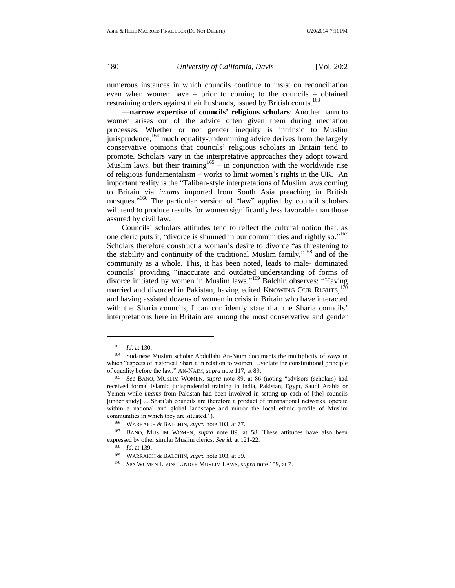numerous instances in which councils continue to insist on reconciliation even when women have – prior to coming to the councils – obtained restraining orders against their husbands, issued by British courts.<sup>163</sup>

**—narrow expertise of councils' religious scholars**: Another harm to women arises out of the advice often given them during mediation processes. Whether or not gender inequity is intrinsic to Muslim jurisprudence,<sup>164</sup> much equality-undermining advice derives from the largely conservative opinions that councils' religious scholars in Britain tend to promote. Scholars vary in the interpretative approaches they adopt toward Muslim laws, but their training  $165 -$  in conjunction with the worldwide rise of religious fundamentalism – works to limit women's rights in the UK. An important reality is the "Taliban-style interpretations of Muslim laws coming to Britain via *imams* imported from South Asia preaching in British mosques."<sup>166</sup> The particular version of "law" applied by council scholars will tend to produce results for women significantly less favorable than those assured by civil law.

Councils' scholars attitudes tend to reflect the cultural notion that, as one cleric puts it, "divorce is shunned in our communities and rightly so."<sup>167</sup> Scholars therefore construct a woman's desire to divorce "as threatening to the stability and continuity of the traditional Muslim family,"<sup>168</sup> and of the community as a whole. This, it has been noted, leads to male- dominated councils' providing "inaccurate and outdated understanding of forms of divorce initiated by women in Muslim laws." <sup>169</sup> Balchin observes: "Having married and divorced in Pakistan, having edited KNOWING OUR RIGHTS,  $170$ and having assisted dozens of women in crisis in Britain who have interacted with the Sharia councils, I can confidently state that the Sharia councils' interpretations here in Britain are among the most conservative and gender

<sup>163</sup> *Id.* at 130.

<sup>164</sup> Sudanese Muslim scholar Abdullahi An-Naim documents the multiplicity of ways in which "aspects of historical Shari'a in relation to women ...violate the constitutional principle of equality before the law." AN-NAIM, *supra* note 117, at 89.

<sup>165</sup> *See* BANO, MUSLIM WOMEN, *supra* note 89, at 86 (noting "advisors (scholars) had received formal Islamic jurisprudential training in India, Pakistan, Egypt, Saudi Arabia or Yemen while *imams* from Pakistan had been involved in setting up each of [the] councils [under study] ... Shari'ah councils are therefore a product of transnational networks, operate within a national and global landscape and mirror the local ethnic profile of Muslim communities in which they are situated.").

<sup>166</sup> WARRAICH & BALCHIN, *supra* note 103, at 77.

<sup>167</sup> BANO, MUSLIM WOMEN, *supra* note 89, at 58. These attitudes have also been expressed by other similar Muslim clerics. *See id.* at 121-22.

<sup>168</sup> *Id.* at 139.

<sup>169</sup> WARRAICH & BALCHIN*, supra* note 103, at 69.

<sup>170</sup> *See* WOMEN LIVING UNDER MUSLIM LAWS, *supra* note 159, at 7.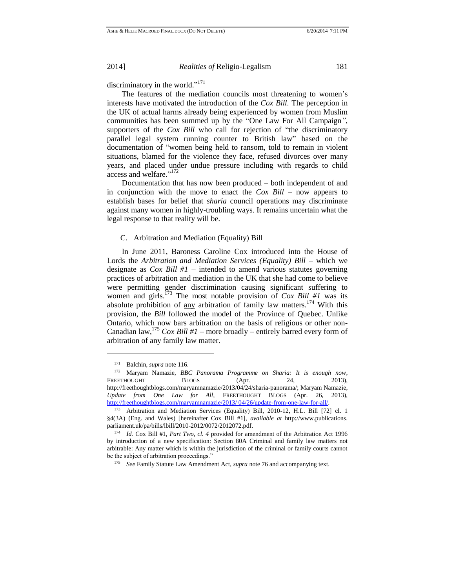discriminatory in the world."<sup>171</sup>

The features of the mediation councils most threatening to women's interests have motivated the introduction of the *Cox Bill*. The perception in the UK of actual harms already being experienced by women from Muslim communities has been summed up by the "One Law For All Campaign*"*, supporters of the *Cox Bill* who call for rejection of "the discriminatory parallel legal system running counter to British law" based on the documentation of "women being held to ransom, told to remain in violent situations, blamed for the violence they face, refused divorces over many years, and placed under undue pressure including with regards to child access and welfare."<sup>172</sup>

Documentation that has now been produced – both independent of and in conjunction with the move to enact the *Cox Bill* – now appears to establish bases for belief that *sharia* council operations may discriminate against many women in highly-troubling ways. It remains uncertain what the legal response to that reality will be.

# C. Arbitration and Mediation (Equality) Bill

In June 2011, Baroness Caroline Cox introduced into the House of Lords the *Arbitration and Mediation Services (Equality) Bill* – which we designate as *Cox Bill #1* – intended to amend various statutes governing practices of arbitration and mediation in the UK that she had come to believe were permitting gender discrimination causing significant suffering to women and girls.<sup>173</sup> The most notable provision of *Cox Bill #1* was its absolute prohibition of  $\frac{any}{any}$  arbitration of family law matters.<sup>174</sup> With this provision, the *Bill* followed the model of the Province of Quebec. Unlike Ontario, which now bars arbitration on the basis of religious or other non-Canadian law,  $^{175}$  *Cox Bill #1* – more broadly – entirely barred every form of arbitration of any family law matter.

l

<sup>175</sup> *See* Family Statute Law Amendment Act, *supra* note 76 and accompanying text.

<sup>171</sup> Balchin, *supra* note 116.

<sup>172</sup> Maryam Namazie, *BBC Panorama Programme on Sharia: It is enough now*, FREETHOUGHT BLOGS (Apr. 24, 2013), [http://freethoughtblogs.com/maryamnamazie/2013/04/24/sharia-panorama/;](http://freethoughtblogs.com/maryamnamazie/2013/04/24/sharia-panorama/) Maryam Namazie, *Update from One Law for All*, FREETHOUGHT BLOGS (Apr. 26, 2013), [http://freethoughtblogs.com/maryamnamazie/2013/ 04/26/update-from-one-law-for-all/.](http://freethoughtblogs.com/maryamnamazie/2013/%2004/26/update-from-one-law-for-all/) 

<sup>173</sup> Arbitration and Mediation Services (Equality) Bill, 2010-12, H.L. Bill [72] cl. 1 §4(3A) (Eng. and Wales) [hereinafter Cox Bill #1], *available at* http://www.publications. parliament.uk/pa/bills/lbill/2010-2012/0072/2012072.pdf.

<sup>174</sup> *Id.* Cox Bill #1, *Part Two, cl. 4* provided for amendment of the Arbitration Act 1996 by introduction of a new specification: Section 80A Criminal and family law matters not arbitrable: Any matter which is within the jurisdiction of the criminal or family courts cannot be the subject of arbitration proceedings."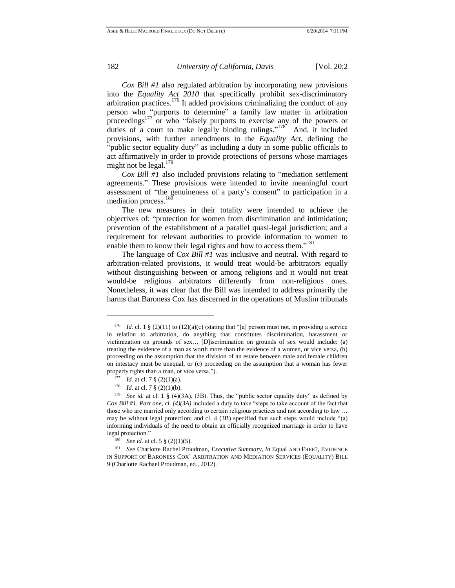*Cox Bill #1* also regulated arbitration by incorporating new provisions into the *Equality Act 2010* that specifically prohibit sex-discriminatory arbitration practices.<sup>176</sup> It added provisions criminalizing the conduct of any person who "purports to determine" a family law matter in arbitration proceedings<sup>177</sup> or who "falsely purports to exercise any of the powers or duties of a court to make legally binding rulings."<sup>178</sup> And, it included provisions, with further amendments to the *Equality Act*, defining the "public sector equality duty" as including a duty in some public officials to act affirmatively in order to provide protections of persons whose marriages might not be legal. $179$ 

*Cox Bill #1* also included provisions relating to "mediation settlement agreements." These provisions were intended to invite meaningful court assessment of "the genuineness of a party's consent" to participation in a mediation process.<sup>180</sup>

The new measures in their totality were intended to achieve the objectives of: "protection for women from discrimination and intimidation; prevention of the establishment of a parallel quasi-legal jurisdiction; and a requirement for relevant authorities to provide information to women to enable them to know their legal rights and how to access them."<sup>181</sup>

The language of *Cox Bill #1* was inclusive and neutral. With regard to arbitration-related provisions, it would treat would-be arbitrators equally without distinguishing between or among religions and it would not treat would-be religious arbitrators differently from non-religious ones. Nonetheless, it was clear that the Bill was intended to address primarily the harms that Baroness Cox has discerned in the operations of Muslim tribunals

<sup>&</sup>lt;sup>176</sup> *Id.* cl. 1 § (2)(11) to (12)(a)(c) (stating that "[a] person must not, in providing a service in relation to arbitration, do anything that constitutes discrimination, harassment or victimization on grounds of sex… [D]iscrimination on grounds of sex would include: (a) treating the evidence of a man as worth more than the evidence of a women, or vice versa, (b) proceeding on the assumption that the division of an estate between male and female children on intestacy must be unequal, or (c) proceeding on the assumption that a woman has fewer property rights than a man, or vice versa.").

<sup>&</sup>lt;sup>177</sup> *Id.* at cl. 7  $\S$  (2)(1)(a).

<sup>&</sup>lt;sup>178</sup> *Id.* at cl. 7  $\S$  (2)(1)(b).

<sup>&</sup>lt;sup>179</sup> *See id.* at cl. 1 § (4)(3A), (3B). Thus, the "public sector equality duty" as defined by *Cox Bill #1*, *Part one, cl. (4)(3A)* included a duty to take "steps to take account of the fact that those who are married only according to certain religious practices and not according to law … may be without legal protection; and cl. 4 (3B) specified that such steps would include "(a) informing individuals of the need to obtain an officially recognized marriage in order to have legal protection."

<sup>180</sup> *See id.* at cl. 5 § (2)(1)(5).

<sup>181</sup> *See* Charlotte Rachel Proudman, *Executive Summary*, *in* Equal AND FREE?, EVIDENCE IN SUPPORT OF BARONESS COX' ARBITRATION AND MEDIATION SERVICES (EQUALITY) BILL 9 (Charlotte Rachael Proudman, ed., 2012).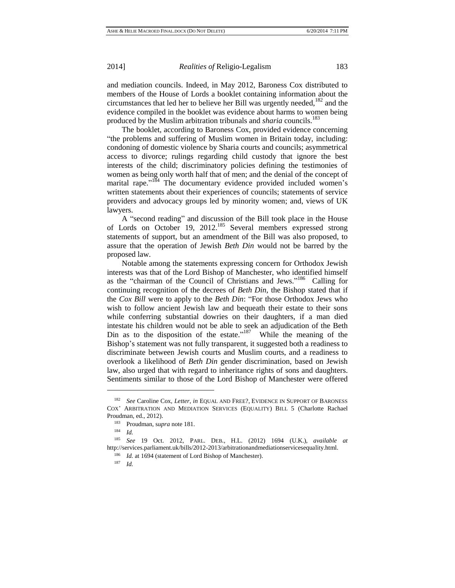and mediation councils. Indeed, in May 2012, Baroness Cox distributed to members of the House of Lords a booklet containing information about the circumstances that led her to believe her Bill was urgently needed, $182$  and the evidence compiled in the booklet was evidence about harms to women being produced by the Muslim arbitration tribunals and *sharia* councils.<sup>183</sup>

The booklet, according to Baroness Cox, provided evidence concerning "the problems and suffering of Muslim women in Britain today, including: condoning of domestic violence by Sharia courts and councils; asymmetrical access to divorce; rulings regarding child custody that ignore the best interests of the child; discriminatory policies defining the testimonies of women as being only worth half that of men; and the denial of the concept of marital rape."<sup>184</sup> The documentary evidence provided included women's written statements about their experiences of councils; statements of service providers and advocacy groups led by minority women; and, views of UK lawyers.

A "second reading" and discussion of the Bill took place in the House of Lords on October 19, 2012.<sup>185</sup> Several members expressed strong statements of support, but an amendment of the Bill was also proposed, to assure that the operation of Jewish *Beth Din* would not be barred by the proposed law.

Notable among the statements expressing concern for Orthodox Jewish interests was that of the Lord Bishop of Manchester, who identified himself as the "chairman of the Council of Christians and Jews."<sup>186</sup> Calling for continuing recognition of the decrees of *Beth Din*, the Bishop stated that if the *Cox Bill* were to apply to the *Beth Din*: "For those Orthodox Jews who wish to follow ancient Jewish law and bequeath their estate to their sons while conferring substantial dowries on their daughters, if a man died intestate his children would not be able to seek an adjudication of the Beth Din as to the disposition of the estate."<sup>187</sup> While the meaning of the Bishop's statement was not fully transparent, it suggested both a readiness to discriminate between Jewish courts and Muslim courts, and a readiness to overlook a likelihood of *Beth Din* gender discrimination, based on Jewish law, also urged that with regard to inheritance rights of sons and daughters. Sentiments similar to those of the Lord Bishop of Manchester were offered

<sup>182</sup> *See* Caroline Cox, *Letter*, *in* EQUAL AND FREE?, EVIDENCE IN SUPPORT OF BARONESS COX' ARBITRATION AND MEDIATION SERVICES (EQUALITY) BILL 5 (Charlotte Rachael Proudman, ed., 2012).

<sup>183</sup> Proudman, s*upra* note 181.

<sup>184</sup> *Id.*

<sup>185</sup> *See* 19 Oct. 2012, PARL. DEB., H.L. (2012) 1694 (U.K.), *available at*  http://services.parliament.uk/bills/2012-2013/arbitrationandmediationservicesequality.html.

<sup>&</sup>lt;sup>186</sup> *Id.* at 1694 (statement of Lord Bishop of Manchester).

<sup>187</sup> *Id.*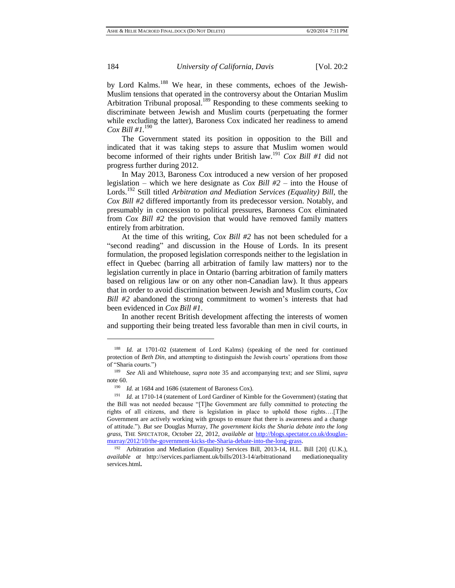by Lord Kalms.<sup>188</sup> We hear, in these comments, echoes of the Jewish-Muslim tensions that operated in the controversy about the Ontarian Muslim Arbitration Tribunal proposal.<sup>189</sup> Responding to these comments seeking to discriminate between Jewish and Muslim courts (perpetuating the former while excluding the latter), Baroness Cox indicated her readiness to amend *Cox Bill #1.*<sup>190</sup>

The Government stated its position in opposition to the Bill and indicated that it was taking steps to assure that Muslim women would become informed of their rights under British law.<sup>191</sup> *Cox Bill #1* did not progress further during 2012.

In May 2013, Baroness Cox introduced a new version of her proposed legislation – which we here designate as *Cox Bill #2* – into the House of Lords.<sup>192</sup> Still titled *Arbitration and Mediation Services (Equality) Bill*, the *Cox Bill #2* differed importantly from its predecessor version. Notably, and presumably in concession to political pressures, Baroness Cox eliminated from *Cox Bill #2* the provision that would have removed family matters entirely from arbitration.

At the time of this writing, *Cox Bill #2* has not been scheduled for a "second reading" and discussion in the House of Lords. In its present formulation, the proposed legislation corresponds neither to the legislation in effect in Quebec (barring all arbitration of family law matters) nor to the legislation currently in place in Ontario (barring arbitration of family matters based on religious law or on any other non-Canadian law). It thus appears that in order to avoid discrimination between Jewish and Muslim courts, *Cox Bill #2* abandoned the strong commitment to women's interests that had been evidenced in *Cox Bill #1*.

In another recent British development affecting the interests of women and supporting their being treated less favorable than men in civil courts, in

<sup>188</sup> *Id.* at 1701-02 (statement of Lord Kalms) (speaking of the need for continued protection of *Beth Din*, and attempting to distinguish the Jewish courts' operations from those of "Sharia courts.")

<sup>189</sup> *See* Ali and Whitehouse, *supra* note 35 and accompanying text; and *see* Slimi, *supra*  note 60.

<sup>190</sup> *Id.* at 1684 and 1686 (statement of Baroness Cox).

<sup>&</sup>lt;sup>191</sup> *Id.* at 1710-14 (statement of Lord Gardiner of Kimble for the Government) (stating that the Bill was not needed because "[T]he Government are fully committed to protecting the rights of all citizens, and there is legislation in place to uphold those rights….[T]he Government are actively working with groups to ensure that there is awareness and a change of attitude."). *But* s*ee* Douglas Murray, *The government kicks the Sharia debate into the long grass,* THE SPECTATOR, October 22, 2012, *available at* [http://blogs.spectator.co.uk/douglas](http://blogs.spectator.co.uk/douglas-murray/2012/10/the-government-kicks-the-Sharia-debate-into-the-long-grass)[murray/2012/10/the-government-kicks-the-Sharia-debate-into-the-long-grass.](http://blogs.spectator.co.uk/douglas-murray/2012/10/the-government-kicks-the-Sharia-debate-into-the-long-grass)

<sup>&</sup>lt;sup>192</sup> Arbitration and Mediation (Equality) Services Bill, 2013-14, H.L. Bill [20] (U.K.), *available at* [http://services.parliament.uk/bills/2013-14/arbitrationand](http://services.parliament.uk/bills/2013-14/arbitrationandmediationequalityservices.html) mediationequality [services.html](http://services.parliament.uk/bills/2013-14/arbitrationandmediationequalityservices.html)**.**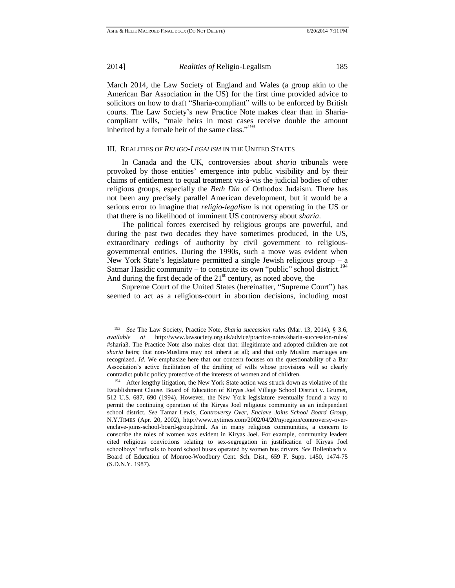$\overline{a}$ 

2014] *Realities of* Religio-Legalism 185

March 2014, the Law Society of England and Wales (a group akin to the American Bar Association in the US) for the first time provided advice to solicitors on how to draft "Sharia-compliant" wills to be enforced by British courts. The Law Society's new Practice Note makes clear than in Shariacompliant wills, "male heirs in most cases receive double the amount inherited by a female heir of the same class."<sup>193</sup>

#### III. REALITIES OF *RELIGO-LEGALISM* IN THE UNITED STATES

In Canada and the UK, controversies about *sharia* tribunals were provoked by those entities' emergence into public visibility and by their claims of entitlement to equal treatment vis-à-vis the judicial bodies of other religious groups, especially the *Beth Din* of Orthodox Judaism. There has not been any precisely parallel American development, but it would be a serious error to imagine that *religio-legalism* is not operating in the US or that there is no likelihood of imminent US controversy about *sharia*.

The political forces exercised by religious groups are powerful, and during the past two decades they have sometimes produced, in the US, extraordinary cedings of authority by civil government to religiousgovernmental entities. During the 1990s, such a move was evident when New York State's legislature permitted a single Jewish religious group  $-a$ Satmar Hasidic community – to constitute its own "public" school district.<sup>194</sup> And during the first decade of the  $21<sup>st</sup>$  century, as noted above, the

Supreme Court of the United States (hereinafter, "Supreme Court") has seemed to act as a religious-court in abortion decisions, including most

<sup>193</sup> *See* The Law Society, Practice Note, *Sharia succession rules* (Mar. 13, 2014), § 3.6, *available at* http://www.lawsociety.org.uk/advice/practice-notes/sharia-succession-rules/ #sharia3. The Practice Note also makes clear that: illegitimate and adopted children are not *sharia* heirs; that non-Muslims may not inherit at all; and that only Muslim marriages are recognized. *Id.* We emphasize here that our concern focuses on the questionability of a Bar Association's active facilitation of the drafting of wills whose provisions will so clearly contradict public policy protective of the interests of women and of children.

<sup>194</sup> After lengthy litigation, the New York State action was struck down as violative of the Establishment Clause. Board of Education of Kiryas Joel Village School District v. Grumet, 512 U.S. 687, 690 (1994). However, the New York legislature eventually found a way to permit the continuing operation of the Kiryas Joel religious community as an independent school district. *See* Tamar Lewis, *Controversy Over, Enclave Joins School Board Group*, N.Y.TIMES (Apr. 20, 2002), http://www.nytimes.com/2002/04/20/nyregion/controversy-overenclave-joins-school-board-group.html. As in many religious communities, a concern to conscribe the roles of women was evident in Kiryas Joel. For example, community leaders cited religious convictions relating to sex-segregation in justification of Kiryas Joel schoolboys' refusals to board school buses operated by women bus drivers. *See* Bollenbach v. Board of Education of Monroe-Woodbury Cent. Sch. Dist., 659 F. Supp. 1450, 1474-75 (S.D.N.Y. 1987).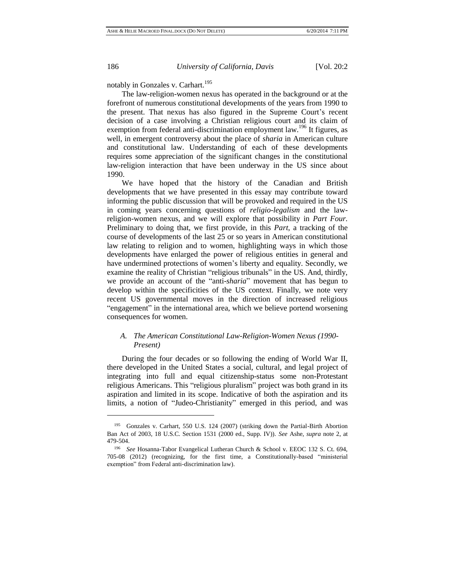notably in Gonzales v. Carhart.<sup>195</sup>

The law-religion-women nexus has operated in the background or at the forefront of numerous constitutional developments of the years from 1990 to the present. That nexus has also figured in the Supreme Court's recent decision of a case involving a Christian religious court and its claim of exemption from federal anti-discrimination employment law.<sup>196</sup> It figures, as well, in emergent controversy about the place of *sharia* in American culture and constitutional law. Understanding of each of these developments requires some appreciation of the significant changes in the constitutional law-religion interaction that have been underway in the US since about 1990.

We have hoped that the history of the Canadian and British developments that we have presented in this essay may contribute toward informing the public discussion that will be provoked and required in the US in coming years concerning questions of *religio-legalism* and the lawreligion-women nexus, and we will explore that possibility in *Part Four.* Preliminary to doing that, we first provide, in this *Part*, a tracking of the course of developments of the last 25 or so years in American constitutional law relating to religion and to women, highlighting ways in which those developments have enlarged the power of religious entities in general and have undermined protections of women's liberty and equality. Secondly, we examine the reality of Christian "religious tribunals" in the US. And, thirdly, we provide an account of the "anti-*sharia*" movement that has begun to develop within the specificities of the US context. Finally, we note very recent US governmental moves in the direction of increased religious "engagement" in the international area, which we believe portend worsening consequences for women.

# *A. The American Constitutional Law-Religion-Women Nexus (1990- Present)*

During the four decades or so following the ending of World War II, there developed in the United States a social, cultural, and legal project of integrating into full and equal citizenship-status some non-Protestant religious Americans. This "religious pluralism" project was both grand in its aspiration and limited in its scope. Indicative of both the aspiration and its limits, a notion of "Judeo-Christianity" emerged in this period, and was

<sup>&</sup>lt;sup>195</sup> Gonzales v. Carhart, 550 U.S. 124 (2007) (striking down the Partial-Birth Abortion Ban Act of 2003, 18 U.S.C. Section 1531 (2000 ed., Supp. IV)). *See* Ashe, *supra* note 2, at 479-504.

<sup>196</sup> *See* Hosanna-Tabor Evangelical Lutheran Church & School v. EEOC 132 S. Ct. 694, 705-08 (2012) (recognizing, for the first time, a Constitutionally-based "ministerial exemption" from Federal anti-discrimination law).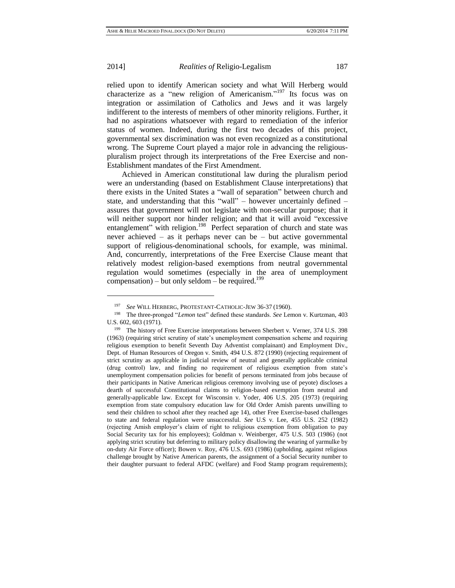l

2014] *Realities of* Religio-Legalism 187

relied upon to identify American society and what Will Herberg would characterize as a "new religion of Americanism."<sup>197</sup> Its focus was on integration or assimilation of Catholics and Jews and it was largely indifferent to the interests of members of other minority religions. Further, it had no aspirations whatsoever with regard to remediation of the inferior status of women. Indeed, during the first two decades of this project, governmental sex discrimination was not even recognized as a constitutional wrong. The Supreme Court played a major role in advancing the religiouspluralism project through its interpretations of the Free Exercise and non-Establishment mandates of the First Amendment.

Achieved in American constitutional law during the pluralism period were an understanding (based on Establishment Clause interpretations) that there exists in the United States a "wall of separation" between church and state, and understanding that this "wall" – however uncertainly defined – assures that government will not legislate with non-secular purpose; that it will neither support nor hinder religion; and that it will avoid "excessive" entanglement" with religion.<sup>198</sup> Perfect separation of church and state was never achieved – as it perhaps never can be – but active governmental support of religious-denominational schools, for example, was minimal. And, concurrently, interpretations of the Free Exercise Clause meant that relatively modest religion-based exemptions from neutral governmental regulation would sometimes (especially in the area of unemployment compensation) – but only seldom – be required.<sup>199</sup>

<sup>197</sup> *See* WILL HERBERG, PROTESTANT-CATHOLIC-JEW 36-37 (1960).

<sup>198</sup> The three-pronged "*Lemon* test" defined these standards. *See* Lemon v. Kurtzman, 403 U.S. 602, 603 (1971).

<sup>199</sup> The history of Free Exercise interpretations between Sherbert v. Verner, 374 U.S. 398 (1963) (requiring strict scrutiny of state's unemployment compensation scheme and requiring religious exemption to benefit Seventh Day Adventist complainant) and Employment Div., Dept. of Human Resources of Oregon v. Smith, 494 U.S. 872 (1990) (rejecting requirement of strict scrutiny as applicable in judicial review of neutral and generally applicable criminal (drug control) law, and finding no requirement of religious exemption from state's unemployment compensation policies for benefit of persons terminated from jobs because of their participants in Native American religious ceremony involving use of peyote) discloses a dearth of successful Constitutional claims to religion-based exemption from neutral and generally-applicable law. Except for Wisconsin v. Yoder, 406 U.S. 205 (1973) (requiring exemption from state compulsory education law for Old Order Amish parents unwilling to send their children to school after they reached age 14), other Free Exercise-based challenges to state and federal regulation were unsuccessful. *See* U.S v. Lee, 455 U.S. 252 (1982) (rejecting Amish employer's claim of right to religious exemption from obligation to pay Social Security tax for his employees); Goldman v. Weinberger, 475 U.S. 503 (1986) (not applying strict scrutiny but deferring to military policy disallowing the wearing of yarmulke by on-duty Air Force officer); Bowen v. Roy, 476 U.S. 693 (1986) (upholding, against religious challenge brought by Native American parents, the assignment of a Social Security number to their daughter pursuant to federal AFDC (welfare) and Food Stamp program requirements);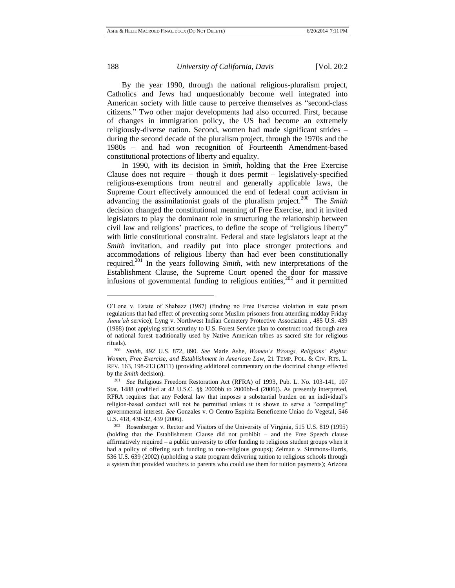l

#### 188 *University of California, Davis* [Vol. 20:2

By the year 1990, through the national religious-pluralism project, Catholics and Jews had unquestionably become well integrated into American society with little cause to perceive themselves as "second-class citizens." Two other major developments had also occurred. First, because of changes in immigration policy, the US had become an extremely religiously-diverse nation. Second, women had made significant strides – during the second decade of the pluralism project, through the 1970s and the 1980s – and had won recognition of Fourteenth Amendment-based constitutional protections of liberty and equality.

In 1990, with its decision in *Smith*, holding that the Free Exercise Clause does not require – though it does permit – legislatively-specified religious-exemptions from neutral and generally applicable laws, the Supreme Court effectively announced the end of federal court activism in advancing the assimilationist goals of the pluralism project.<sup>200</sup> The *Smith* decision changed the constitutional meaning of Free Exercise, and it invited legislators to play the dominant role in structuring the relationship between civil law and religions' practices, to define the scope of "religious liberty" with little constitutional constraint. Federal and state legislators leapt at the *Smith* invitation, and readily put into place stronger protections and accommodations of religious liberty than had ever been constitutionally required.<sup>201</sup> In the years following *Smith*, with new interpretations of the Establishment Clause, the Supreme Court opened the door for massive infusions of governmental funding to religious entities, $202$  and it permitted

O'Lone v. Estate of Shabazz (1987) (finding no Free Exercise violation in state prison regulations that had effect of preventing some Muslim prisoners from attending midday Friday *Jumu'ah* service); Lyng v. Northwest Indian Cemetery Protective Association , 485 U.S. 439 (1988) (not applying strict scrutiny to U.S. Forest Service plan to construct road through area of national forest traditionally used by Native American tribes as sacred site for religious rituals).

<sup>200</sup> *Smith*, 492 U.S. 872, 890. *See* Marie Ashe, *Women's Wrongs, Religions' Rights: Women, Free Exercise, and Establishment in American Law,* 21 TEMP. POL. & CIV. RTS. L. REV. 163, 198-213 (2011) (providing additional commentary on the doctrinal change effected by the *Smith* decision).<br><sup>201</sup> See Policieus 1

<sup>201</sup> *See* Religious Freedom Restoration Act (RFRA) of 1993, Pub. L. No. 103-141, 107 Stat. 1488 (codified at 42 U.S.C. §§ 2000bb to 2000bb-4 (2006)). As presently interpreted, RFRA requires that any Federal law that imposes a substantial burden on an individual's religion-based conduct will not be permitted unless it is shown to serve a "compelling" governmental interest. *See* Gonzales v. O Centro Espirita Beneficente Uniao do Vegetal*,* 546 U.S. 418, 430-32, 439 (2006).

<sup>202</sup> Rosenberger v. Rector and Visitors of the University of Virginia, 515 U.S. 819 (1995) (holding that the Establishment Clause did not prohibit – and the Free Speech clause affirmatively required – a public university to offer funding to religious student groups when it had a policy of offering such funding to non-religious groups); Zelman v. Simmons-Harris, 536 U.S. 639 (2002) (upholding a state program delivering tuition to religious schools through a system that provided vouchers to parents who could use them for tuition payments); Arizona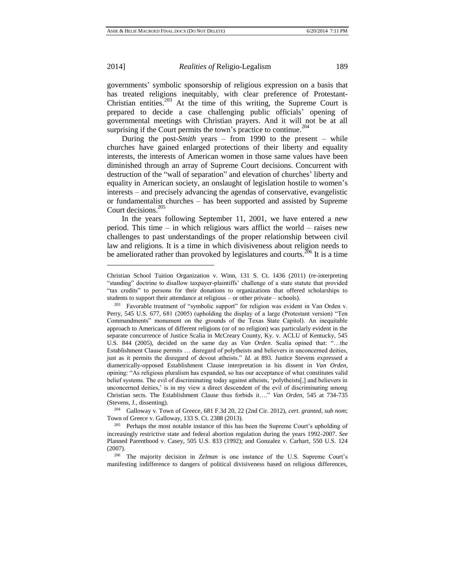$\overline{a}$ 

2014] *Realities of* Religio-Legalism 189

governments' symbolic sponsorship of religious expression on a basis that has treated religions inequitably, with clear preference of Protestant-Christian entities.<sup>203</sup> At the time of this writing, the Supreme Court is prepared to decide a case challenging public officials' opening of governmental meetings with Christian prayers. And it will not be at all surprising if the Court permits the town's practice to continue.<sup>204</sup>

During the post-*Smith* years – from 1990 to the present – while churches have gained enlarged protections of their liberty and equality interests, the interests of American women in those same values have been diminished through an array of Supreme Court decisions. Concurrent with destruction of the "wall of separation" and elevation of churches' liberty and equality in American society, an onslaught of legislation hostile to women's interests – and precisely advancing the agendas of conservative, evangelistic or fundamentalist churches – has been supported and assisted by Supreme Court decisions.<sup>205</sup>

In the years following September 11, 2001, we have entered a new period. This time – in which religious wars afflict the world – raises new challenges to past understandings of the proper relationship between civil law and religions. It is a time in which divisiveness about religion needs to be ameliorated rather than provoked by legislatures and courts.<sup>206</sup> It is a time

Christian School Tuition Organization v. Winn, 131 S. Ct. 1436 (2011) (re-interpreting "standing" doctrine to disallow taxpayer-plaintiffs' challenge of a state statute that provided "tax credits" to persons for their donations to organizations that offered scholarships to students to support their attendance at religious – or other private – schools).

<sup>&</sup>lt;sup>203</sup> Favorable treatment of "symbolic support" for religion was evident in Van Orden v. Perry, 545 U.S. 677, 681 (2005) (upholding the display of a large (Protestant version) "Ten Commandments" monument on the grounds of the Texas State Capitol). An inequitable approach to Americans of different religions (or of no religion) was particularly evident in the separate concurrence of Justice Scalia in McCreary County, Ky. v. ACLU of Kentucky, 545 U.S. 844 (2005), decided on the same day as *Van Orden*. Scalia opined that: "…the Establishment Clause permits … disregard of polytheists and believers in unconcerned deities, just as it permits the disregard of devout atheists." *Id*. at 893. Justice Stevens expressed a diametrically-opposed Establishment Clause interpretation in his dissent in *Van Orden,* opining: "As religious pluralism has expanded, so has our acceptance of what constitutes valid belief systems. The evil of discriminating today against atheists, 'polytheists[,] and believers in unconcerned deities,' is in my view a direct descendent of the evil of discriminating among Christian sects. The Establishment Clause thus forbids it…." *Van Orden*, 545 at 734-735 (Stevens, J., dissenting).

<sup>204</sup> Galloway v. Town of Greece*,* 681 F.3d 20, 22 (2nd Cir. 2012), *cert. granted, sub nom*; Town of Greece v. Galloway, 133 S. Ct. 2388 (2013).

<sup>&</sup>lt;sup>205</sup> Perhaps the most notable instance of this has been the Supreme Court's upholding of increasingly restrictive state and federal abortion regulation during the years 1992-2007. *See*  Planned Parenthood v. Casey, 505 U.S. 833 (1992); and Gonzalez v. Carhart*,* 550 U.S. 124  $(2007)$ 

<sup>206</sup> The majority decision in *Zelman* is one instance of the U.S. Supreme Court's manifesting indifference to dangers of political divisiveness based on religious differences,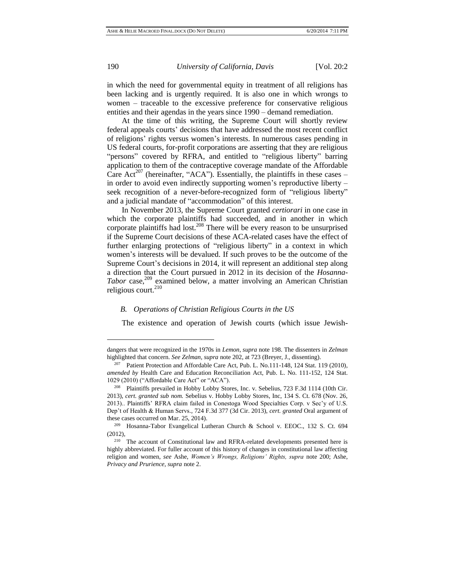l

190 *University of California, Davis* [Vol. 20:2

in which the need for governmental equity in treatment of all religions has been lacking and is urgently required. It is also one in which wrongs to women – traceable to the excessive preference for conservative religious entities and their agendas in the years since 1990 – demand remediation.

At the time of this writing, the Supreme Court will shortly review federal appeals courts' decisions that have addressed the most recent conflict of religions' rights versus women's interests. In numerous cases pending in US federal courts, for-profit corporations are asserting that they are religious "persons" covered by RFRA, and entitled to "religious liberty" barring application to them of the contraceptive coverage mandate of the Affordable Care Act<sup>207</sup> (hereinafter, "ACA"). Essentially, the plaintiffs in these cases – in order to avoid even indirectly supporting women's reproductive liberty – seek recognition of a never-before-recognized form of "religious liberty" and a judicial mandate of "accommodation" of this interest.

In November 2013, the Supreme Court granted *certiorari* in one case in which the corporate plaintiffs had succeeded, and in another in which corporate plaintiffs had lost.<sup>208</sup> There will be every reason to be unsurprised if the Supreme Court decisions of these ACA-related cases have the effect of further enlarging protections of "religious liberty" in a context in which women's interests will be devalued. If such proves to be the outcome of the Supreme Court's decisions in 2014, it will represent an additional step along a direction that the Court pursued in 2012 in its decision of the *Hosanna-Tabor* case, <sup>209</sup> examined below, a matter involving an American Christian religious court. $210$ 

#### *B. Operations of Christian Religious Courts in the US*

The existence and operation of Jewish courts (which issue Jewish-

dangers that were recognized in the 1970s in *Lemon*, *supra* note 198. The dissenters in *Zelman* highlighted that concern. *See Zelman, supra* note 202, at 723 (Breyer, J., dissenting).

<sup>207</sup> Patient Protection and Affordable Care Act, Pub. L. No.111-148, 124 Stat. 119 (2010)*, amended by* Health Care and Education Reconciliation Act, Pub. L. No. 111-152, 124 Stat. 1029 (2010) ("Affordable Care Act" or "ACA").

<sup>208</sup> Plaintiffs prevailed in Hobby Lobby Stores, Inc. v. Sebelius, 723 F.3d 1114 (10th Cir. 2013), *cert. granted sub nom.* Sebelius v. Hobby Lobby Stores, Inc, 134 S. Ct. 678 (Nov. 26, 2013).. Plaintiffs' RFRA claim failed in Conestoga Wood Specialties Corp. v Sec'y of U.S. Dep't of Health & Human Servs*.,* 724 F.3d 377 (3d Cir. 2013), *cert. granted* Oral argument of these cases occurred on Mar. 25, 2014).

<sup>209</sup> Hosanna-Tabor Evangelical Lutheran Church & School v. EEOC., 132 S. Ct. 694 (2012),

<sup>&</sup>lt;sup>210</sup> The account of Constitutional law and RFRA-related developments presented here is highly abbreviated. For fuller account of this history of changes in constitutional law affecting religion and women, *see* Ashe, *Women's Wrongs, Religions' Rights, supra* note 200; Ashe, *Privacy and Prurience, supra* note 2.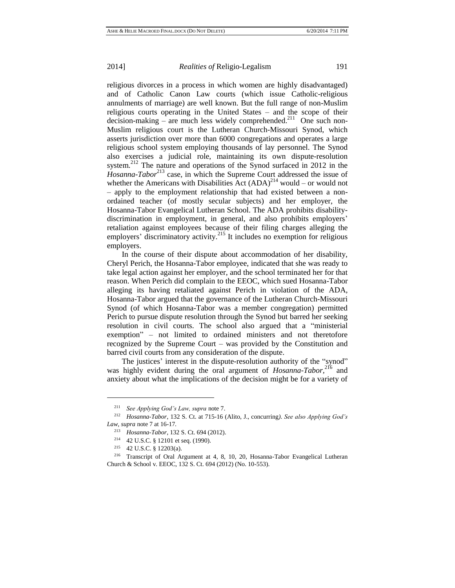religious divorces in a process in which women are highly disadvantaged) and of Catholic Canon Law courts (which issue Catholic-religious annulments of marriage) are well known. But the full range of non-Muslim religious courts operating in the United States – and the scope of their decision-making – are much less widely comprehended.<sup>211</sup> One such non-Muslim religious court is the Lutheran Church-Missouri Synod, which asserts jurisdiction over more than 6000 congregations and operates a large religious school system employing thousands of lay personnel. The Synod also exercises a judicial role, maintaining its own dispute-resolution system.<sup>212</sup> The nature and operations of the Synod surfaced in 2012 in the *Hosanna-Tabor*<sup>213</sup> case, in which the Supreme Court addressed the issue of whether the Americans with Disabilities Act  $(ADA)^{214}$  would – or would not – apply to the employment relationship that had existed between a nonordained teacher (of mostly secular subjects) and her employer, the Hosanna-Tabor Evangelical Lutheran School. The ADA prohibits disabilitydiscrimination in employment, in general, and also prohibits employers' retaliation against employees because of their filing charges alleging the employers' discriminatory activity.<sup>215</sup> It includes no exemption for religious employers.

In the course of their dispute about accommodation of her disability, Cheryl Perich, the Hosanna-Tabor employee, indicated that she was ready to take legal action against her employer, and the school terminated her for that reason. When Perich did complain to the EEOC, which sued Hosanna-Tabor alleging its having retaliated against Perich in violation of the ADA*,*  Hosanna-Tabor argued that the governance of the Lutheran Church-Missouri Synod (of which Hosanna-Tabor was a member congregation) permitted Perich to pursue dispute resolution through the Synod but barred her seeking resolution in civil courts. The school also argued that a "ministerial exemption" – not limited to ordained ministers and not theretofore recognized by the Supreme Court – was provided by the Constitution and barred civil courts from any consideration of the dispute.

The justices' interest in the dispute-resolution authority of the "synod" was highly evident during the oral argument of *Hosanna-Tabor*,<sup>216</sup> and anxiety about what the implications of the decision might be for a variety of

<sup>211</sup> *See Applying God's Law, supra* note 7.

<sup>212</sup> *Hosanna-Tabor*, 132 S. Ct. at 715-16 (Alito, J., concurring*)*. *See also Applying God's Law, supra* note 7 at 16-17*.*

<sup>213</sup> *Hosanna-Tabor*, 132 S. Ct. 694 (2012).

<sup>214</sup> 42 U.S.C. § 12101 et seq. (1990).

<sup>215</sup> 42 U.S.C. § 12203(a).

<sup>216</sup> Transcript of Oral Argument at 4, 8, 10, 20, Hosanna-Tabor Evangelical Lutheran Church & School v. EEOC, 132 S. Ct. 694 (2012) (No. 10-553).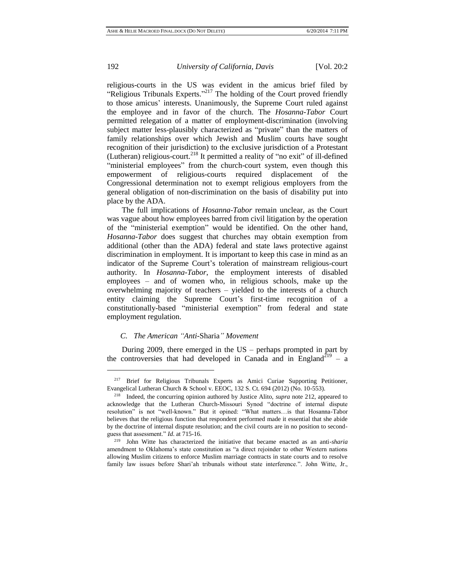$\overline{a}$ 

192 *University of California, Davis* [Vol. 20:2

religious-courts in the US was evident in the amicus brief filed by "Religious Tribunals Experts."<sup>217</sup> The holding of the Court proved friendly to those amicus' interests. Unanimously, the Supreme Court ruled against the employee and in favor of the church. The *Hosanna-Tabor* Court permitted relegation of a matter of employment-discrimination (involving subject matter less-plausibly characterized as "private" than the matters of family relationships over which Jewish and Muslim courts have sought recognition of their jurisdiction) to the exclusive jurisdiction of a Protestant (Lutheran) religious-court.<sup>218</sup> It permitted a reality of "no exit" of ill-defined "ministerial employees" from the church-court system, even though this empowerment of religious-courts required displacement of the Congressional determination not to exempt religious employers from the general obligation of non-discrimination on the basis of disability put into place by the ADA.

The full implications of *Hosanna-Tabor* remain unclear, as the Court was vague about how employees barred from civil litigation by the operation of the "ministerial exemption" would be identified. On the other hand, *Hosanna-Tabor* does suggest that churches may obtain exemption from additional (other than the ADA) federal and state laws protective against discrimination in employment. It is important to keep this case in mind as an indicator of the Supreme Court's toleration of mainstream religious-court authority. In *Hosanna*-*Tabor*, the employment interests of disabled employees – and of women who, in religious schools, make up the overwhelming majority of teachers – yielded to the interests of a church entity claiming the Supreme Court's first-time recognition of a constitutionally-based "ministerial exemption" from federal and state employment regulation.

# *C. The American "Anti-*Sharia*" Movement*

During 2009, there emerged in the US – perhaps prompted in part by the controversies that had developed in Canada and in England<sup>219</sup> – a

<sup>&</sup>lt;sup>217</sup> Brief for Religious Tribunals Experts as Amici Curiae Supporting Petitioner, Evangelical Lutheran Church & School v. EEOC, 132 S. Ct. 694 (2012) (No. 10-553).

<sup>218</sup> Indeed, the concurring opinion authored by Justice Alito, *supra* note 212, appeared to acknowledge that the Lutheran Church-Missouri Synod "doctrine of internal dispute resolution" is not "well-known." But it opined: "What matters…is that Hosanna-Tabor believes that the religious function that respondent performed made it essential that she abide by the doctrine of internal dispute resolution; and the civil courts are in no position to secondguess that assessment." *Id*. at 715-16.

<sup>219</sup> John Witte has characterized the initiative that became enacted as an anti*-sharia* amendment to Oklahoma's state constitution as "a direct rejoinder to other Western nations allowing Muslim citizens to enforce Muslim marriage contracts in state courts and to resolve family law issues before Shari'ah tribunals without state interference.". John Witte, Jr.,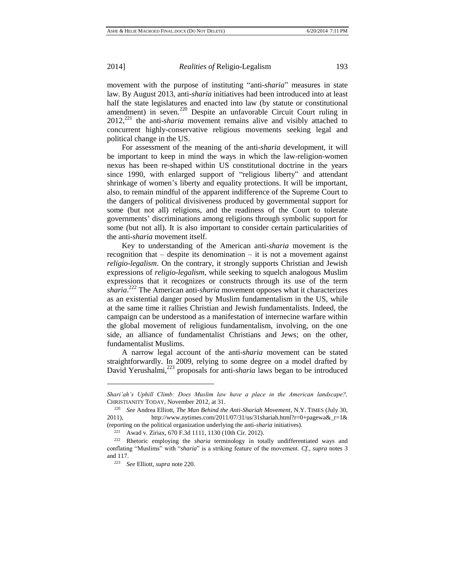movement with the purpose of instituting "anti-*sharia*" measures in state law. By August 2013, anti-*sharia* initiatives had been introduced into at least half the state legislatures and enacted into law (by statute or constitutional amendment) in seven.<sup>220</sup> Despite an unfavorable Circuit Court ruling in 2012,<sup>221</sup> the anti-*sharia* movement remains alive and visibly attached to concurrent highly-conservative religious movements seeking legal and political change in the US.

For assessment of the meaning of the anti-*sharia* development, it will be important to keep in mind the ways in which the law-religion-women nexus has been re-shaped within US constitutional doctrine in the years since 1990, with enlarged support of "religious liberty" and attendant shrinkage of women's liberty and equality protections. It will be important, also, to remain mindful of the apparent indifference of the Supreme Court to the dangers of political divisiveness produced by governmental support for some (but not all) religions, and the readiness of the Court to tolerate governments' discriminations among religions through symbolic support for some (but not all). It is also important to consider certain particularities of the anti-*sharia* movement itself.

Key to understanding of the American anti-*sharia* movement is the recognition that  $-$  despite its denomination  $-$  it is not a movement against *religio-legalism*. On the contrary, it strongly supports Christian and Jewish expressions of *religio-legalism*, while seeking to squelch analogous Muslim expressions that it recognizes or constructs through its use of the term *sharia*. <sup>222</sup> The American anti-*sharia* movement opposes what it characterizes as an existential danger posed by Muslim fundamentalism in the US, while at the same time it rallies Christian and Jewish fundamentalists. Indeed, the campaign can be understood as a manifestation of internecine warfare within the global movement of religious fundamentalism, involving, on the one side, an alliance of fundamentalist Christians and Jews; on the other, fundamentalist Muslims.

A narrow legal account of the anti-*sharia* movement can be stated straightforwardly. In 2009, relying to some degree on a model drafted by David Yerushalmi,<sup>223</sup> proposals for anti-*sharia* laws began to be introduced

*Shari'ah's Uphill Climb: Does Muslim law have a place in the American landscape?,* CHRISTIANITY TODAY, November 2012, at 31.

<sup>220</sup> *See* Andrea Elliott, *The Man Behind the Anti-Shariah Movement*, N.Y. TIMES (July 30, 2011), http://www.nytimes.com/2011/07/31/us/31shariah.html?r=0+pagewa&\_r=1& (reporting on the political organization underlying the anti-*sharia* initiatives).

<sup>221</sup> Awad v. Ziriax, 670 F.3d 1111, 1130 (10th Cir. 2012).

<sup>222</sup> Rhetoric employing the *sharia* terminology in totally undifferentiated ways and conflating "Muslims" with "*sharia*" is a striking feature of the movement. *Cf., supra* notes 3 and 117.

<sup>223</sup> *See* Elliott, *supra* note 220.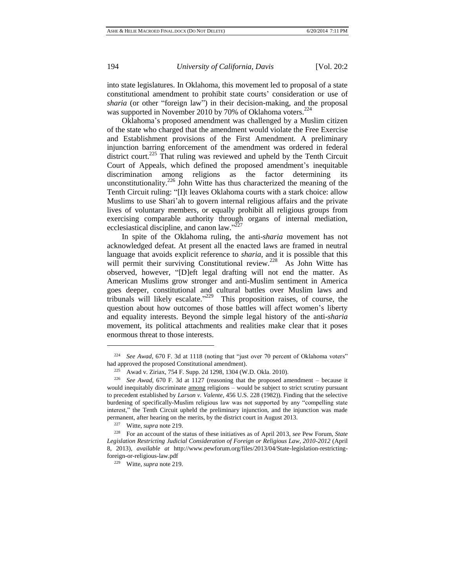into state legislatures. In Oklahoma, this movement led to proposal of a state constitutional amendment to prohibit state courts' consideration or use of *sharia* (or other "foreign law") in their decision-making, and the proposal was supported in November 2010 by 70% of Oklahoma voters.<sup>224</sup>

Oklahoma's proposed amendment was challenged by a Muslim citizen of the state who charged that the amendment would violate the Free Exercise and Establishment provisions of the First Amendment. A preliminary injunction barring enforcement of the amendment was ordered in federal district court.<sup>225</sup> That ruling was reviewed and upheld by the Tenth Circuit Court of Appeals, which defined the proposed amendment's inequitable discrimination among religions as the factor determining its unconstitutionality.<sup>226</sup> John Witte has thus characterized the meaning of the Tenth Circuit ruling: "[I]t leaves Oklahoma courts with a stark choice: allow Muslims to use Shari'ah to govern internal religious affairs and the private lives of voluntary members, or equally prohibit all religious groups from exercising comparable authority through organs of internal mediation, ecclesiastical discipline, and canon law." $^{227}$ 

In spite of the Oklahoma ruling, the anti-*sharia* movement has not acknowledged defeat. At present all the enacted laws are framed in neutral language that avoids explicit reference to *sharia,* and it is possible that this will permit their surviving Constitutional review.<sup>228</sup> As John Witte has observed, however, "[D]eft legal drafting will not end the matter. As American Muslims grow stronger and anti-Muslim sentiment in America goes deeper, constitutional and cultural battles over Muslim laws and tribunals will likely escalate."<sup>229</sup> This proposition raises, of course, the question about how outcomes of those battles will affect women's liberty and equality interests. Beyond the simple legal history of the anti-*sharia* movement, its political attachments and realities make clear that it poses enormous threat to those interests.

<sup>224</sup> *See Awad,* 670 F. 3d at 1118 (noting that "just over 70 percent of Oklahoma voters" had approved the proposed Constitutional amendment).

<sup>225</sup> Awad v. Ziriax, 754 F. Supp. 2d 1298, 1304 (W.D. Okla. 2010).

<sup>226</sup> *See Awad*, 670 F. 3d at 1127 (reasoning that the proposed amendment – because it would inequitably discriminate among religions – would be subject to strict scrutiny pursuant to precedent established by *Larson v. Valente,* 456 U.S. 228 (1982)). Finding that the selective burdening of specifically-Muslim religious law was not supported by any "compelling state interest," the Tenth Circuit upheld the preliminary injunction, and the injunction was made permanent, after hearing on the merits, by the district court in August 2013.

<sup>227</sup> Witte, *supra* note 219.

<sup>228</sup> For an account of the status of these initiatives as of April 2013, *see* Pew Forum, *State Legislation Restricting Judicial Consideration of Foreign or Religious Law, 2010-2012* (April 8, 2013), *available at* [http://www.pewforum.org/files/2013/04/State-legislation-restricting](http://www.pewforum.org/files/2013/04/State-legislation-restricting-foreign-or-religious-law.pdf)[foreign-or-religious-law.pdf](http://www.pewforum.org/files/2013/04/State-legislation-restricting-foreign-or-religious-law.pdf)

<sup>229</sup> Witte, *supra* note 219.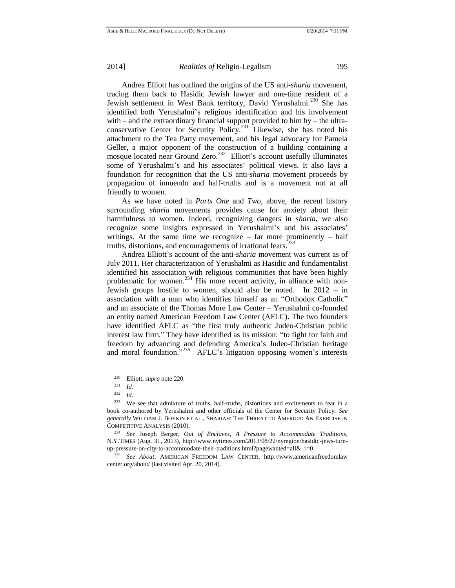Andrea Elliott has outlined the origins of the US anti-*sharia* movement, tracing them back to Hasidic Jewish lawyer and one-time resident of a Jewish settlement in West Bank territory, David Yerushalmi.<sup>230</sup> She has identified both Yerushalmi's religious identification and his involvement with – and the extraordinary financial support provided to him by – the ultraconservative Center for Security Policy.<sup>231</sup> Likewise, she has noted his attachment to the Tea Party movement, and his legal advocacy for Pamela Geller, a major opponent of the construction of a building containing a mosque located near Ground Zero.<sup>232</sup> Elliott's account usefully illuminates some of Yerushalmi's and his associates' political views. It also lays a foundation for recognition that the US anti-*sharia* movement proceeds by propagation of innuendo and half-truths and is a movement not at all friendly to women.

As we have noted in *Parts One* and *Two*, above, the recent history surrounding *sharia* movements provides cause for anxiety about their harmfulness to women. Indeed, recognizing dangers in *sharia*, we also recognize some insights expressed in Yerushalmi's and his associates' writings. At the same time we recognize – far more prominently – half truths, distortions, and encouragements of irrational fears.<sup>2</sup>

Andrea Elliott's account of the anti-*sharia* movement was current as of July 2011. Her characterization of Yerushalmi as Hasidic and fundamentalist identified his association with religious communities that have been highly problematic for women.<sup>234</sup> His more recent activity, in alliance with non-Jewish groups hostile to women, should also be noted. In 2012 – in association with a man who identifies himself as an "Orthodox Catholic" and an associate of the Thomas More Law Center – Yerushalmi co-founded an entity named American Freedom Law Center (AFLC). The two founders have identified AFLC as "the first truly authentic Judeo-Christian public interest law firm." They have identified as its mission: "to fight for faith and freedom by advancing and defending America's Judeo-Christian heritage and moral foundation."<sup>235</sup> AFLC's litigation opposing women's interests

<sup>230</sup> Elliott, *supra* note 220*.*

<sup>231</sup> *Id.*

<sup>232</sup> *Id.*

<sup>233</sup> We see that admixture of truths, half-truths, distortions and excitements to fear in a book co-authored by Yerushalmi and other officials of the Center for Security Policy. *See generally* WILLIAM J. BOYKIN ET AL., SHARIAH: THE THREAT TO AMERICA: AN EXERCISE IN COMPETITIVE ANALYSIS (2010).

<sup>234</sup> *See* Joseph Berger, *Out of Enclaves, A Pressure to Accommodate Traditions*, N.Y.TIMES (Aug. 31, 2013), http://www.nytimes.com/2013/08/22/nyregion/hasidic-jews-turnup-pressure-on-city-to-accommodate-their-traditions.html?pagewanted=all&\_r=0.

<sup>235</sup> *See About*, AMERICAN FREEDOM LAW CENTER, http://www.americanfreedomlaw center.org/about/ (last visited Apr. 20, 2014).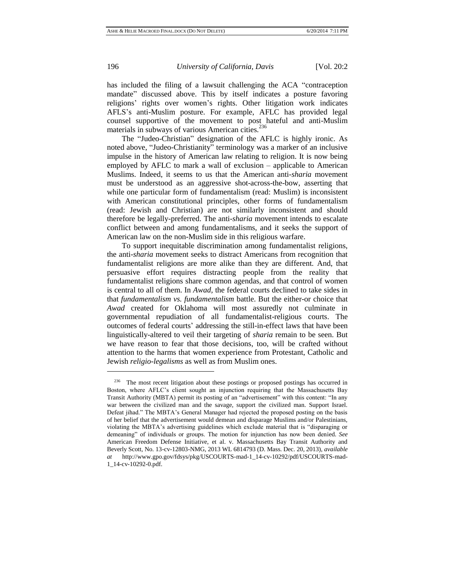has included the filing of a lawsuit challenging the ACA "contraception mandate" discussed above. This by itself indicates a posture favoring religions' rights over women's rights. Other litigation work indicates AFLS's anti-Muslim posture. For example, AFLC has provided legal counsel supportive of the movement to post hateful and anti-Muslim materials in subways of various American cities.<sup>236</sup>

The "Judeo-Christian" designation of the AFLC is highly ironic. As noted above, "Judeo-Christianity" terminology was a marker of an inclusive impulse in the history of American law relating to religion. It is now being employed by AFLC to mark a wall of exclusion – applicable to American Muslims. Indeed, it seems to us that the American anti*-sharia* movement must be understood as an aggressive shot-across-the-bow, asserting that while one particular form of fundamentalism (read: Muslim) is inconsistent with American constitutional principles, other forms of fundamentalism (read: Jewish and Christian) are not similarly inconsistent and should therefore be legally-preferred. The anti-*sharia* movement intends to escalate conflict between and among fundamentalisms, and it seeks the support of American law on the non-Muslim side in this religious warfare.

To support inequitable discrimination among fundamentalist religions, the anti-*sharia* movement seeks to distract Americans from recognition that fundamentalist religions are more alike than they are different. And, that persuasive effort requires distracting people from the reality that fundamentalist religions share common agendas, and that control of women is central to all of them. In *Awad,* the federal courts declined to take sides in that *fundamentalism vs. fundamentalism* battle. But the either-or choice that *Awad* created for Oklahoma will most assuredly not culminate in governmental repudiation of all fundamentalist-religious courts. The outcomes of federal courts' addressing the still-in-effect laws that have been linguistically-altered to veil their targeting of *sharia* remain to be seen. But we have reason to fear that those decisions, too, will be crafted without attention to the harms that women experience from Protestant, Catholic and Jewish *religio-legalisms* as well as from Muslim ones.

<sup>&</sup>lt;sup>236</sup> The most recent litigation about these postings or proposed postings has occurred in Boston, where AFLC's client sought an injunction requiring that the Massachusetts Bay Transit Authority (MBTA) permit its posting of an "advertisement" with this content: "In any war between the civilized man and the savage, support the civilized man. Support Israel. Defeat jihad." The MBTA's General Manager had rejected the proposed posting on the basis of her belief that the advertisement would demean and disparage Muslims and/or Palestinians, violating the MBTA's advertising guidelines which exclude material that is "disparaging or demeaning" of individuals or groups. The motion for injunction has now been denied. *See* American Freedom Defense Initiative, et al. v. Massachusetts Bay Transit Authority and Beverly Scott, No. 13-cv-12803-NMG, 2013 WL 6814793 (D. Mass. Dec. 20, 2013), *available at* http://www.gpo.gov/fdsys/pkg/USCOURTS-mad-1\_14-cv-10292/pdf/USCOURTS-mad-1\_14-cv-10292-0.pdf.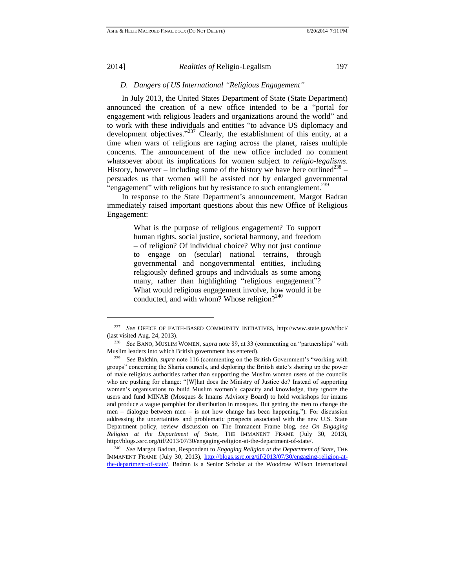l

### 2014] *Realities of* Religio-Legalism 197

# *D. Dangers of US International "Religious Engagement"*

In July 2013, the United States Department of State (State Department) announced the creation of a new office intended to be a "portal for engagement with religious leaders and organizations around the world" and to work with these individuals and entities "to advance US diplomacy and development objectives."<sup>237</sup> Clearly, the establishment of this entity, at a time when wars of religions are raging across the planet, raises multiple concerns. The announcement of the new office included no comment whatsoever about its implications for women subject to *religio-legalisms*. History, however – including some of the history we have here outlined<sup>238</sup> – persuades us that women will be assisted not by enlarged governmental "engagement" with religions but by resistance to such entanglement.<sup>239</sup>

In response to the State Department's announcement, Margot Badran immediately raised important questions about this new Office of Religious Engagement:

> What is the purpose of religious engagement? To support human rights, social justice, societal harmony, and freedom – of religion? Of individual choice? Why not just continue to engage on (secular) national terrains, through governmental and nongovernmental entities, including religiously defined groups and individuals as some among many, rather than highlighting "religious engagement"? What would religious engagement involve, how would it be conducted, and with whom? Whose religion? $2^{40}$

<sup>240</sup> *See* Margot Badran, Respondent to *Engaging Religion at the Department of State,* THE IMMANENT FRAME (July 30, 2013), [http://blogs.ssrc.org/tif/2013/07/30/engaging-religion-at](http://blogs.ssrc.org/tif/2013/07/30/engaging-religion-at-the-department-of-state/)[the-department-of-state/.](http://blogs.ssrc.org/tif/2013/07/30/engaging-religion-at-the-department-of-state/) Badran is a Senior Scholar at the Woodrow Wilson International

<sup>237</sup> *See* OFFICE OF FAITH-BASED COMMUNITY INITIATIVES,<http://www.state.gov/s/fbci/> (last visited Aug. 24, 2013).

<sup>238</sup> *See* BANO, MUSLIM WOMEN, *supra* note 89, at 33 (commenting on "partnerships" with Muslim leaders into which British government has entered).

<sup>239</sup> S*ee* Balchin, *supra* note 116 (commenting on the British Government's "working with groups" concerning the Sharia councils, and deploring the British state's shoring up the power of male religious authorities rather than supporting the Muslim women users of the councils who are pushing for change: "[W]hat does the Ministry of Justice do? Instead of supporting women's organisations to build Muslim women's capacity and knowledge, they ignore the users and fund MINAB (Mosques & Imams Advisory Board) to hold [workshops for imams](http://www.minab.org.uk/news/press-releases/102-minab-works-to-raise-awareness-of-the-need-for-civil-marriages) and produce a vague pamphlet for distribution in mosques. But getting the men to change the men – dialogue between men – is not how change has been happening."). For discussion addressing the uncertainties and problematic prospects associated with the new U.S. State Department policy, review discussion on The Immanent Frame blog, *see On Engaging Religion at the Department of State,* THE IMMANENT FRAME (July 30, 2013), [http://blogs.ssrc.org/tif/2013/07/30/engaging-religion-at-the-department-of-state/.](http://blogs.ssrc.org/tif/2013/07/30/engaging-religion-at-the-department-of-state/)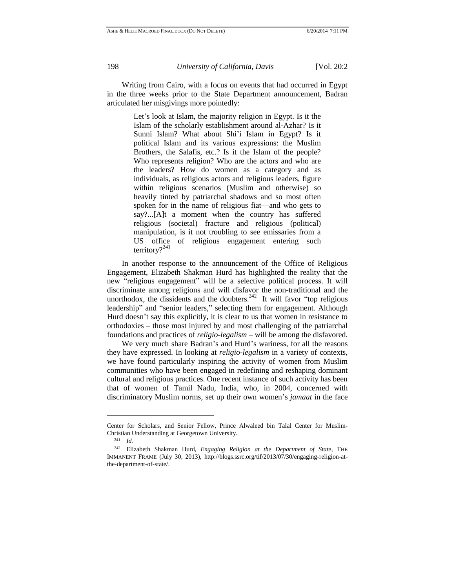Writing from Cairo, with a focus on events that had occurred in Egypt in the three weeks prior to the State Department announcement, Badran articulated her misgivings more pointedly:

> Let's look at Islam, the majority religion in Egypt. Is it the Islam of the scholarly establishment around al-Azhar? Is it Sunni Islam? What about Shi'i Islam in Egypt? Is it political Islam and its various expressions: the Muslim Brothers, the Salafis, etc.? Is it the Islam of the people? Who represents religion? Who are the actors and who are the leaders? How do women as a category and as individuals, as religious actors and religious leaders, figure within religious scenarios (Muslim and otherwise) so heavily tinted by patriarchal shadows and so most often spoken for in the name of religious fiat—and who gets to say?...[A]t a moment when the country has suffered religious (societal) fracture and religious (political) manipulation, is it not troubling to see emissaries from a US office of religious engagement entering such territory?<sup>241</sup>

In another response to the announcement of the Office of Religious Engagement, Elizabeth Shakman Hurd has highlighted the reality that the new "religious engagement" will be a selective political process. It will discriminate among religions and will disfavor the non-traditional and the unorthodox, the dissidents and the doubters. $242$  It will favor "top religious leadership" and "senior leaders," selecting them for engagement. Although Hurd doesn't say this explicitly, it is clear to us that women in resistance to orthodoxies – those most injured by and most challenging of the patriarchal foundations and practices of *religio-legalism –* will be among the disfavored.

We very much share Badran's and Hurd's wariness, for all the reasons they have expressed. In looking at *religio-legalism* in a variety of contexts, we have found particularly inspiring the activity of women from Muslim communities who have been engaged in redefining and reshaping dominant cultural and religious practices. One recent instance of such activity has been that of women of Tamil Nadu, India, who, in 2004, concerned with discriminatory Muslim norms, set up their own women's *jamaat* in the face

Center for Scholars, and Senior Fellow, Prince Alwaleed bin Talal Center for Muslim-Christian Understanding at Georgetown University.

<sup>241</sup> *Id.*

<sup>242</sup> Elizabeth Shakman Hurd, *Engaging Religion at the Department of State*, THE IMMANENT FRAME (July 30, 2013), [http://blogs.ssrc.org/tif/2013/07/30/engaging-religion-at](http://blogs.ssrc.org/tif/2013/07/30/engaging-religion-at-the-department-of-state/)[the-department-of-state/.](http://blogs.ssrc.org/tif/2013/07/30/engaging-religion-at-the-department-of-state/)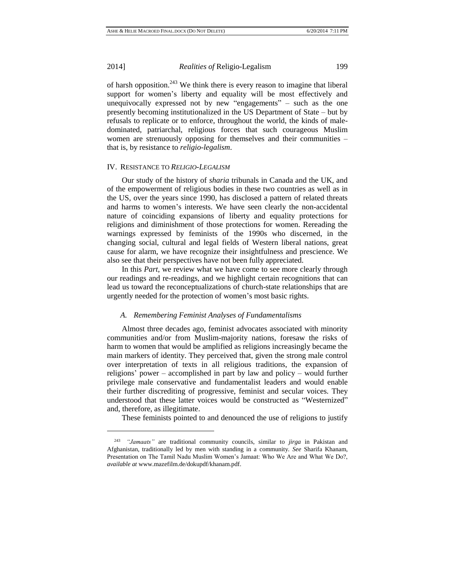$\overline{a}$ 

2014] *Realities of* Religio-Legalism 199

of harsh opposition.<sup>243</sup> We think there is every reason to imagine that liberal support for women's liberty and equality will be most effectively and unequivocally expressed not by new "engagements" – such as the one presently becoming institutionalized in the US Department of State – but by refusals to replicate or to enforce, throughout the world, the kinds of maledominated, patriarchal, religious forces that such courageous Muslim women are strenuously opposing for themselves and their communities – that is, by resistance to *religio-legalism*.

# IV. RESISTANCE TO *RELIGIO-LEGALISM*

Our study of the history of *sharia* tribunals in Canada and the UK, and of the empowerment of religious bodies in these two countries as well as in the US, over the years since 1990, has disclosed a pattern of related threats and harms to women's interests. We have seen clearly the non-accidental nature of coinciding expansions of liberty and equality protections for religions and diminishment of those protections for women. Rereading the warnings expressed by feminists of the 1990s who discerned, in the changing social, cultural and legal fields of Western liberal nations, great cause for alarm, we have recognize their insightfulness and prescience. We also see that their perspectives have not been fully appreciated.

In this *Part*, we review what we have come to see more clearly through our readings and re-readings, and we highlight certain recognitions that can lead us toward the reconceptualizations of church-state relationships that are urgently needed for the protection of women's most basic rights.

#### *A. Remembering Feminist Analyses of Fundamentalisms*

Almost three decades ago, feminist advocates associated with minority communities and/or from Muslim-majority nations, foresaw the risks of harm to women that would be amplified as religions increasingly became the main markers of identity. They perceived that, given the strong male control over interpretation of texts in all religious traditions, the expansion of religions' power – accomplished in part by law and policy – would further privilege male conservative and fundamentalist leaders and would enable their further discrediting of progressive, feminist and secular voices. They understood that these latter voices would be constructed as "Westernized" and, therefore, as illegitimate.

These feminists pointed to and denounced the use of religions to justify

<sup>243</sup> *"Jamaats"* are traditional community councils, similar to *jirga* in Pakistan and Afghanistan, traditionally led by men with standing in a community*. See* Sharifa Khanam, Presentation on The Tamil Nadu Muslim Women's Jamaat: Who We Are and What We Do?, *available at* [www.mazefilm.de/dokupdf/khanam.pdf.](http://www.mazefilm.de/dokupdf/khanam.pdf)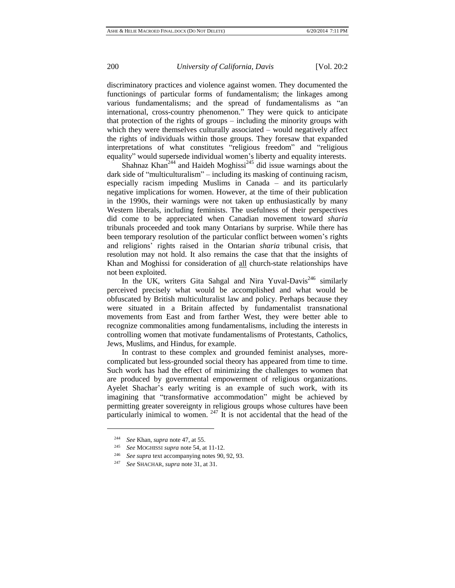discriminatory practices and violence against women. They documented the functionings of particular forms of fundamentalism; the linkages among various fundamentalisms; and the spread of fundamentalisms as "an international, cross-country phenomenon." They were quick to anticipate that protection of the rights of groups – including the minority groups with which they were themselves culturally associated – would negatively affect the rights of individuals within those groups. They foresaw that expanded interpretations of what constitutes "religious freedom" and "religious equality" would supersede individual women's liberty and equality interests.

Shahnaz Khan<sup>244</sup> and Haideh Moghissi<sup>245</sup> did issue warnings about the dark side of "multiculturalism" – including its masking of continuing racism, especially racism impeding Muslims in Canada – and its particularly negative implications for women. However, at the time of their publication in the 1990s, their warnings were not taken up enthusiastically by many Western liberals, including feminists. The usefulness of their perspectives did come to be appreciated when Canadian movement toward *sharia* tribunals proceeded and took many Ontarians by surprise. While there has been temporary resolution of the particular conflict between women's rights and religions' rights raised in the Ontarian *sharia* tribunal crisis, that resolution may not hold. It also remains the case that that the insights of Khan and Moghissi for consideration of all church-state relationships have not been exploited.

In the UK, writers Gita Sahgal and Nira Yuval-Davis<sup>246</sup> similarly perceived precisely what would be accomplished and what would be obfuscated by British multiculturalist law and policy. Perhaps because they were situated in a Britain affected by fundamentalist transnational movements from East and from farther West, they were better able to recognize commonalities among fundamentalisms, including the interests in controlling women that motivate fundamentalisms of Protestants, Catholics, Jews, Muslims, and Hindus, for example.

In contrast to these complex and grounded feminist analyses, morecomplicated but less-grounded social theory has appeared from time to time. Such work has had the effect of minimizing the challenges to women that are produced by governmental empowerment of religious organizations. Ayelet Shachar's early writing is an example of such work, with its imagining that "transformative accommodation" might be achieved by permitting greater sovereignty in religious groups whose cultures have been particularly inimical to women.  $247$  It is not accidental that the head of the

<sup>244</sup> *See* Khan, *supra* note 47, at 55.

<sup>245</sup> *See* MOGHISSI *supra* note 54, at 11-12.

<sup>246</sup> *See supra* text accompanying notes 90, 92, 93.

<sup>247</sup> *See* SHACHAR, *supra* note 31, at 31.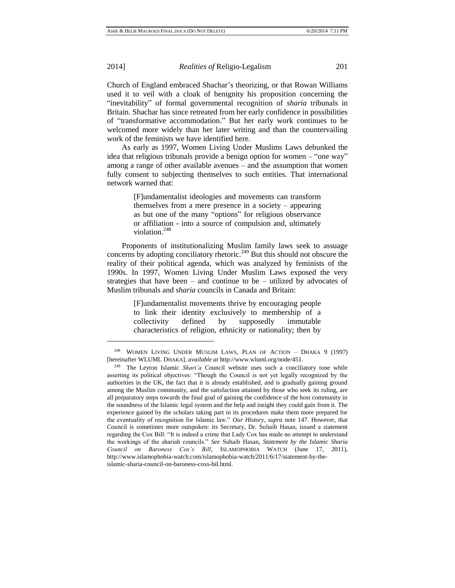$\overline{a}$ 

2014] *Realities of* Religio-Legalism 201

Church of England embraced Shachar's theorizing, or that Rowan Williams used it to veil with a cloak of benignity his proposition concerning the "inevitability" of formal governmental recognition of *sharia* tribunals in Britain. Shachar has since retreated from her early confidence in possibilities of "transformative accommodation." But her early work continues to be welcomed more widely than her later writing and than the countervailing work of the feminists we have identified here.

As early as 1997, Women Living Under Muslims Laws debunked the idea that religious tribunals provide a benign option for women – "one way" among a range of other available avenues – and the assumption that women fully consent to subjecting themselves to such entities. That international network warned that:

> [F]undamentalist ideologies and movements can transform themselves from a mere presence in a society – appearing as but one of the many "options" for religious observance or affiliation - into a source of compulsion and, ultimately violation.<sup>248</sup>

Proponents of institutionalizing Muslim family laws seek to assuage concerns by adopting conciliatory rhetoric.<sup>249</sup> But this should not obscure the reality of their political agenda, which was analyzed by feminists of the 1990s. In 1997, Women Living Under Muslim Laws exposed the very strategies that have been – and continue to be – utilized by advocates of Muslim tribunals and *sharia* councils in Canada and Britain:

> [F]undamentalist movements thrive by encouraging people to link their identity exclusively to membership of a collectivity defined by supposedly immutable characteristics of religion, ethnicity or nationality; then by

<sup>248</sup> WOMEN LIVING UNDER MUSLIM LAWS, PLAN OF ACTION – DHAKA 9 (1997) [hereinafter WLUML DHAKA], *available at* [http://www.wluml.org/node/451.](http://www.wluml.org/node/451)

<sup>249</sup> The Leyton Islamic *Shari'a* Council website uses such a conciliatory tone while asserting its political objectives: "Though the Council is not yet legally recognized by the authorities in the UK, the fact that it is already established, and is gradually gaining ground among the Muslim community, and the satisfaction attained by those who seek its ruling, are all preparatory steps towards the final goal of gaining the confidence of the host community in the soundness of the Islamic legal system and the help and insight they could gain from it. The experience gained by the scholars taking part in its procedures make them more prepared for the eventuality of recognition for Islamic law." *Our History*, *supra* note 147. However, that Council is sometimes more outspoken: its Secretary, Dr. Suhaib Hasan, issued a statement regarding the Cox Bill: "It is indeed a crime that Lady Cox has made no attempt to understand the workings of the shariah councils." *See* Suhaib Hasan, *Statement by the Islamic Sharia Council on Baroness Cox's Bill*, ISLAMOPHOBIA WATCH (June 17, 2011), [http://www.islamophobia-watch.com/islamophobia-watch/2011/6/17/statement-by-the](http://www.islamophobia-watch.com/islamophobia-watch/2011/6/17/statement-by-the-islamic-sharia-council-on-baroness-coxs-bil.html)[islamic-sharia-council-on-baroness-coxs-bil.html.](http://www.islamophobia-watch.com/islamophobia-watch/2011/6/17/statement-by-the-islamic-sharia-council-on-baroness-coxs-bil.html)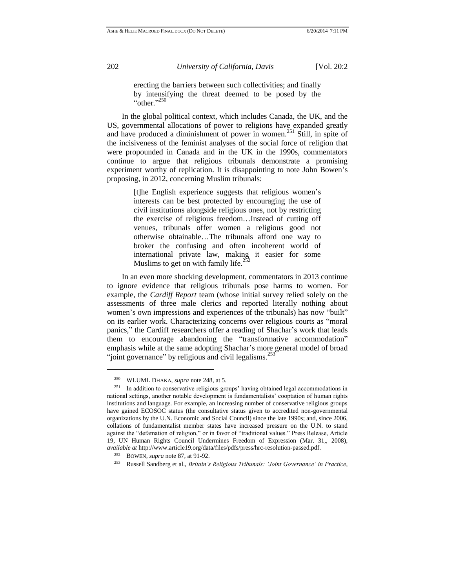erecting the barriers between such collectivities; and finally by intensifying the threat deemed to be posed by the " $\cdot$ "other." $^{250}$ 

In the global political context, which includes Canada, the UK, and the US, governmental allocations of power to religions have expanded greatly and have produced a diminishment of power in women.<sup>251</sup> Still, in spite of the incisiveness of the feminist analyses of the social force of religion that were propounded in Canada and in the UK in the 1990s, commentators continue to argue that religious tribunals demonstrate a promising experiment worthy of replication. It is disappointing to note John Bowen's proposing, in 2012, concerning Muslim tribunals:

> [t]he English experience suggests that religious women's interests can be best protected by encouraging the use of civil institutions alongside religious ones, not by restricting the exercise of religious freedom…Instead of cutting off venues, tribunals offer women a religious good not otherwise obtainable…The tribunals afford one way to broker the confusing and often incoherent world of international private law, making it easier for some Muslims to get on with family life. $\frac{2}{3}$

In an even more shocking development, commentators in 2013 continue to ignore evidence that religious tribunals pose harms to women. For example, the *Cardiff Report* team (whose initial survey relied solely on the assessments of three male clerics and reported literally nothing about women's own impressions and experiences of the tribunals) has now "built" on its earlier work. Characterizing concerns over religious courts as "moral panics," the Cardiff researchers offer a reading of Shachar's work that leads them to encourage abandoning the "transformative accommodation" emphasis while at the same adopting Shachar's more general model of broad "joint governance" by religious and civil legalisms.<sup>253</sup>

<sup>&</sup>lt;sup>250</sup> WLUML DHAKA, *supra* note 248, at 5.<br><sup>251</sup> In addition to conservative religious gro

<sup>251</sup> In addition to conservative religious groups' having obtained legal accommodations in national settings, another notable development is fundamentalists' cooptation of human rights institutions and language. For example, an increasing number of conservative religious groups have gained ECOSOC status (the consultative status given to accredited non-governmental organizations by the U.N. Economic and Social Council) since the late 1990s; and, since 2006, collations of fundamentalist member states have increased pressure on the U.N. to stand against the "defamation of religion," or in favor of "traditional values." Press Release, Article 19, UN Human Rights Council Undermines Freedom of Expression (Mar. 31,, 2008), *available at* [http://www.article19.org/data/files/pdfs/press/hrc-resolution-passed.pdf.](http://www.article19.org/data/files/pdfs/press/hrc-resolution-passed.pdf)

<sup>252</sup> BOWEN, *supra* note 87, at 91-92.

<sup>253</sup> Russell Sandberg et al., *Britain's Religious Tribunals: 'Joint Governance' in Practice*,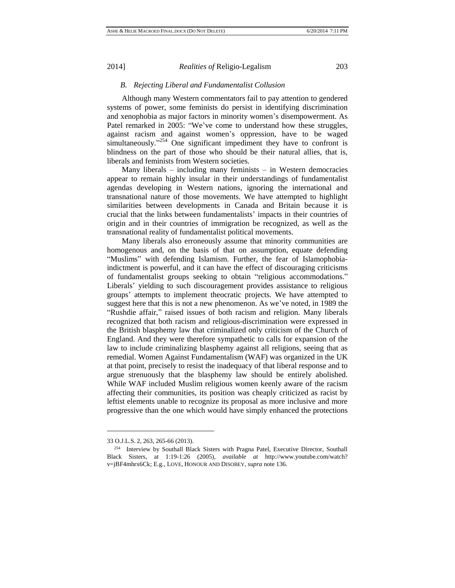# *B. Rejecting Liberal and Fundamentalist Collusion*

Although many Western commentators fail to pay attention to gendered systems of power, some feminists do persist in identifying discrimination and xenophobia as major factors in minority women's disempowerment. As Patel remarked in 2005: "We've come to understand how these struggles, against racism and against women's oppression, have to be waged simultaneously."<sup>254</sup> One significant impediment they have to confront is blindness on the part of those who should be their natural allies, that is, liberals and feminists from Western societies.

Many liberals – including many feminists – in Western democracies appear to remain highly insular in their understandings of fundamentalist agendas developing in Western nations, ignoring the international and transnational nature of those movements. We have attempted to highlight similarities between developments in Canada and Britain because it is crucial that the links between fundamentalists' impacts in their countries of origin and in their countries of immigration be recognized, as well as the transnational reality of fundamentalist political movements.

Many liberals also erroneously assume that minority communities are homogenous and, on the basis of that on assumption, equate defending "Muslims" with defending Islamism. Further, the fear of Islamophobiaindictment is powerful, and it can have the effect of discouraging criticisms of fundamentalist groups seeking to obtain "religious accommodations." Liberals' yielding to such discouragement provides assistance to religious groups' attempts to implement theocratic projects. We have attempted to suggest here that this is not a new phenomenon. As we've noted, in 1989 the "Rushdie affair," raised issues of both racism and religion. Many liberals recognized that both racism and religious-discrimination were expressed in the British blasphemy law that criminalized only criticism of the Church of England. And they were therefore sympathetic to calls for expansion of the law to include criminalizing blasphemy against all religions, seeing that as remedial. Women Against Fundamentalism (WAF) was organized in the UK at that point, precisely to resist the inadequacy of that liberal response and to argue strenuously that the blasphemy law should be entirely abolished. While WAF included Muslim religious women keenly aware of the racism affecting their communities, its position was cheaply criticized as racist by leftist elements unable to recognize its proposal as more inclusive and more progressive than the one which would have simply enhanced the protections

<sup>33</sup> O.J.L.S. 2, 263, 265-66 (2013).

<sup>&</sup>lt;sup>254</sup> Interview by Southall Black Sisters with Pragna Patel, Executive Director, Southall Black Sisters, at 1:19-1:26 (2005), *available at* http://www.youtube.com/watch? v=jBF4mhrx6Ck; E.g., LOVE, HONOUR AND DISOBEY, *supra* note 136.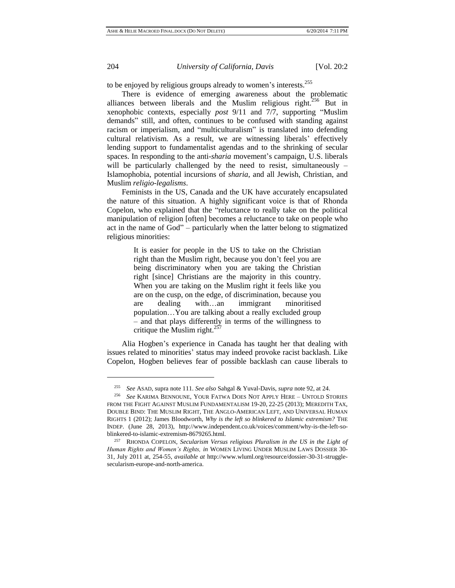l

204 *University of California, Davis* [Vol. 20:2

to be enjoyed by religious groups already to women's interests.<sup>255</sup>

There is evidence of emerging awareness about the problematic alliances between liberals and the Muslim religious right.<sup>256</sup> But in xenophobic contexts, especially *post* 9/11 and 7/7, supporting "Muslim demands" still, and often, continues to be confused with standing against racism or imperialism, and "multiculturalism" is translated into defending cultural relativism. As a result, we are witnessing liberals' effectively lending support to fundamentalist agendas and to the shrinking of secular spaces. In responding to the anti-*sharia* movement's campaign, U.S. liberals will be particularly challenged by the need to resist, simultaneously – Islamophobia, potential incursions of *sharia*, and all Jewish, Christian, and Muslim *religio-legalisms*.

Feminists in the US, Canada and the UK have accurately encapsulated the nature of this situation. A highly significant voice is that of Rhonda Copelon, who explained that the "reluctance to really take on the political manipulation of religion [often] becomes a reluctance to take on people who act in the name of God" – particularly when the latter belong to stigmatized religious minorities:

> It is easier for people in the US to take on the Christian right than the Muslim right, because you don't feel you are being discriminatory when you are taking the Christian right [since] Christians are the majority in this country. When you are taking on the Muslim right it feels like you are on the cusp, on the edge, of discrimination, because you are dealing with…an immigrant minoritised population…You are talking about a really excluded group – and that plays differently in terms of the willingness to critique the Muslim right. $257$

Alia Hogben's experience in Canada has taught her that dealing with issues related to minorities' status may indeed provoke racist backlash. Like Copelon, Hogben believes fear of possible backlash can cause liberals to

<sup>255</sup> *See* ASAD, supra note 111. *See also* Sahgal & Yuval-Davis, *supra* note 92, at 24.

<sup>256</sup> *See* KARIMA BENNOUNE, YOUR FATWA DOES NOT APPLY HERE – UNTOLD STORIES FROM THE FIGHT AGAINST MUSLIM FUNDAMENTALISM 19-20, 22-25 (2013); MEREDITH TAX, DOUBLE BIND: THE MUSLIM RIGHT, THE ANGLO-AMERICAN LEFT, AND UNIVERSAL HUMAN RIGHTS 1 (2012); James Bloodworth, *Why is the left so blinkered to Islamic extremism?* THE INDEP. (June 28, 2013), [http://www.independent.co.uk/voices/comment/why-is-the-left-so](http://www.independent.co.uk/voices/comment/why-is-the-left-so-blinkered-to-islamic-extremism-8679265.html)[blinkered-to-islamic-extremism-8679265.html.](http://www.independent.co.uk/voices/comment/why-is-the-left-so-blinkered-to-islamic-extremism-8679265.html)

<sup>257</sup> RHONDA COPELON, *Secularism Versus religious Pluralism in the US in the Light of Human Rights and Women's Rights, in* WOMEN LIVING UNDER MUSLIM LAWS DOSSIER 30- 31, July 2011 at, 254-55, *available at* [http://www.wluml.org/resource/dossier-30-31-struggle](http://www.wluml.org/resource/dossier-30-31-struggle-secularism-europe-and-north-america)[secularism-europe-and-north-america.](http://www.wluml.org/resource/dossier-30-31-struggle-secularism-europe-and-north-america)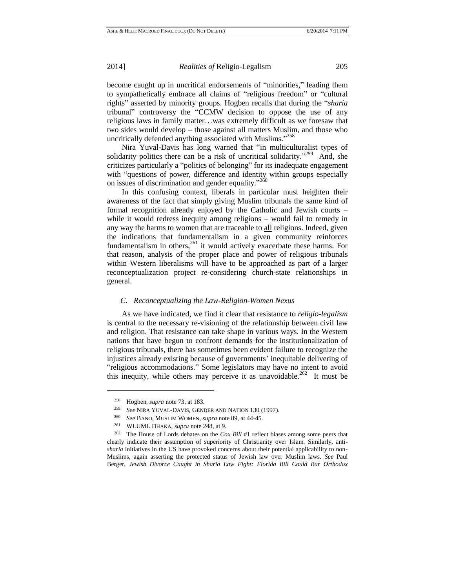become caught up in uncritical endorsements of "minorities," leading them to sympathetically embrace all claims of "religious freedom" or "cultural rights" asserted by minority groups. Hogben recalls that during the "*sharia* tribunal" controversy the "CCMW decision to oppose the use of any religious laws in family matter…was extremely difficult as we foresaw that two sides would develop – those against all matters Muslim, and those who uncritically defended anything associated with Muslims."<sup>258</sup>

Nira Yuval-Davis has long warned that "in multiculturalist types of solidarity politics there can be a risk of uncritical solidarity."<sup>259</sup> And, she criticizes particularly a "politics of belonging" for its inadequate engagement with "questions of power, difference and identity within groups especially on issues of discrimination and gender equality." $2^{50}$ 

In this confusing context, liberals in particular must heighten their awareness of the fact that simply giving Muslim tribunals the same kind of formal recognition already enjoyed by the Catholic and Jewish courts – while it would redress inequity among religions – would fail to remedy in any way the harms to women that are traceable to all religions. Indeed, given the indications that fundamentalism in a given community reinforces fundamentalism in others, $261$  it would actively exacerbate these harms. For that reason, analysis of the proper place and power of religious tribunals within Western liberalisms will have to be approached as part of a larger reconceptualization project re-considering church-state relationships in general.

#### *C. Reconceptualizing the Law-Religion-Women Nexus*

As we have indicated, we find it clear that resistance to *religio-legalism* is central to the necessary re-visioning of the relationship between civil law and religion. That resistance can take shape in various ways. In the Western nations that have begun to confront demands for the institutionalization of religious tribunals, there has sometimes been evident failure to recognize the injustices already existing because of governments' inequitable delivering of "religious accommodations." Some legislators may have no intent to avoid this inequity, while others may perceive it as unavoidable.<sup>262</sup> It must be

<sup>258</sup> Hogben, *supra* note 73, at 183.

<sup>259</sup> *See* NIRA YUVAL-DAVIS, GENDER AND NATION 130 (1997).

<sup>260</sup> *See* BANO, MUSLIM WOMEN, *supra* note 89, at 44-45.

<sup>261</sup> WLUML DHAKA, *supra* note 248, at 9.

<sup>262</sup> The House of Lords debates on the *Cox Bill* #1 reflect biases among some peers that clearly indicate their assumption of superiority of Christianity over Islam. Similarly, anti*sharia* initiatives in the US have provoked concerns about their potential applicability to non-Muslims, again asserting the protected status of Jewish law over Muslim laws. *See* Paul Berger, *Jewish Divorce Caught in Sharia Law Fight: Florida Bill Could Bar Orthodox*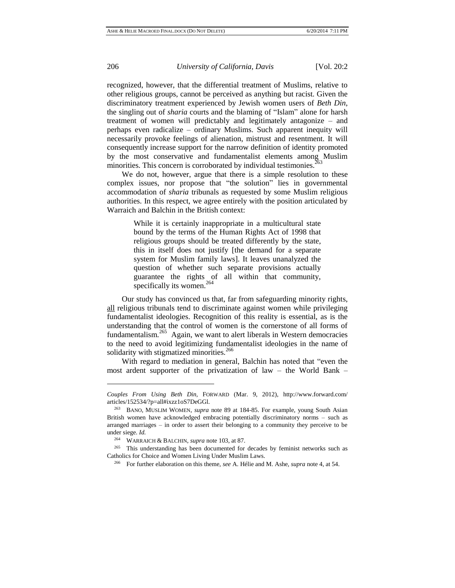recognized, however, that the differential treatment of Muslims, relative to other religious groups, cannot be perceived as anything but racist. Given the discriminatory treatment experienced by Jewish women users of *Beth Din*, the singling out of *sharia* courts and the blaming of "Islam" alone for harsh treatment of women will predictably and legitimately antagonize – and perhaps even radicalize – ordinary Muslims. Such apparent inequity will necessarily provoke feelings of alienation, mistrust and resentment. It will consequently increase support for the narrow definition of identity promoted by the most conservative and fundamentalist elements among Muslim minorities. This concern is corroborated by individual testimonies.<sup>2</sup>

We do not, however, argue that there is a simple resolution to these complex issues, nor propose that "the solution" lies in governmental accommodation of *sharia* tribunals as requested by some Muslim religious authorities. In this respect, we agree entirely with the position articulated by Warraich and Balchin in the British context:

> While it is certainly inappropriate in a multicultural state bound by the terms of the Human Rights Act of 1998 that religious groups should be treated differently by the state, this in itself does not justify [the demand for a separate system for Muslim family laws]. It leaves unanalyzed the question of whether such separate provisions actually guarantee the rights of all within that community, specifically its women. $264$

Our study has convinced us that, far from safeguarding minority rights, all religious tribunals tend to discriminate against women while privileging fundamentalist ideologies. Recognition of this reality is essential, as is the understanding that the control of women is the cornerstone of all forms of fundamentalism.<sup>265</sup> Again, we want to alert liberals in Western democracies to the need to avoid legitimizing fundamentalist ideologies in the name of solidarity with stigmatized minorities.<sup>266</sup>

With regard to mediation in general, Balchin has noted that "even the most ardent supporter of the privatization of law – the World Bank –

*Couples From Using Beth Din,* FORWARD (Mar. 9, 2012), http://www.forward.com/ articles/152534/?p=all#ixzz1oS7DeGGl.

<sup>263</sup> BANO, MUSLIM WOMEN, *supra* note 89 at 184-85. For example, young South Asian British women have acknowledged embracing potentially discriminatory norms – such as arranged marriages – in order to assert their belonging to a community they perceive to be under siege. *Id.*

<sup>264</sup> WARRAICH & BALCHIN, *supra* note 103, at 87.

<sup>265</sup> This understanding has been documented for decades by feminist networks such as Catholics for Choice and Women Living Under Muslim Laws.

<sup>266</sup> For further elaboration on this theme, *see* A. Hélie and M. Ashe, *supra* note 4, at 54.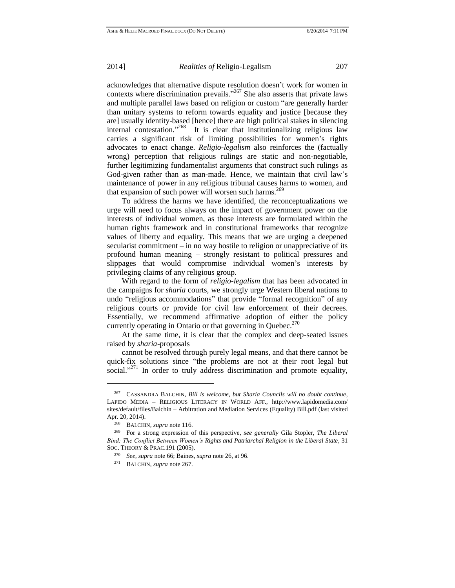acknowledges that alternative dispute resolution doesn't work for women in contexts where discrimination prevails." <sup>267</sup> She also asserts that private laws and multiple parallel laws based on religion or custom "are generally harder than unitary systems to reform towards equality and justice [because they are] usually identity-based [hence] there are high political stakes in silencing internal contestation."<sup>268</sup> It is clear that institutionalizing religious law carries a significant risk of limiting possibilities for women's rights advocates to enact change. *Religio-legalism* also reinforces the (factually wrong) perception that religious rulings are static and non-negotiable, further legitimizing fundamentalist arguments that construct such rulings as God-given rather than as man-made. Hence, we maintain that civil law's maintenance of power in any religious tribunal causes harms to women, and that expansion of such power will worsen such harms.<sup>269</sup>

To address the harms we have identified, the reconceptualizations we urge will need to focus always on the impact of government power on the interests of individual women, as those interests are formulated within the human rights framework and in constitutional frameworks that recognize values of liberty and equality. This means that we are urging a deepened secularist commitment – in no way hostile to religion or unappreciative of its profound human meaning – strongly resistant to political pressures and slippages that would compromise individual women's interests by privileging claims of any religious group.

With regard to the form of *religio-legalism* that has been advocated in the campaigns for *sharia* courts, we strongly urge Western liberal nations to undo "religious accommodations" that provide "formal recognition" of any religious courts or provide for civil law enforcement of their decrees. Essentially, we recommend affirmative adoption of either the policy currently operating in Ontario or that governing in Quebec. $270$ 

At the same time, it is clear that the complex and deep-seated issues raised by *sharia*-proposals

cannot be resolved through purely legal means, and that there cannot be quick-fix solutions since "the problems are not at their root legal but social."<sup>271</sup> In order to truly address discrimination and promote equality,

<sup>267</sup> CASSANDRA BALCHIN, *Bill is welcome, but Sharia Councils will no doubt continue*, LAPIDO MEDIA *–* RELIGIOUS LITERACY IN WORLD AFF., http://www.lapidomedia.com/ sites/default/files/Balchin – Arbitration and Mediation Services (Equality) Bill.pdf (last visited Apr. 20, 2014).

<sup>268</sup> BALCHIN, *supra* note 116.

<sup>269</sup> For a strong expression of this perspective, *see generally* Gila Stopler, *The Liberal Bind: The Conflict Between Women's Rights and Patriarchal Religion in the Liberal State*, 31 SOC. THEORY & PRAC.191 (2005).

<sup>270</sup> *See*, *supra* note 66; Baines*, supra* note 26, at 96.

<sup>271</sup> BALCHIN, *supra* note 267.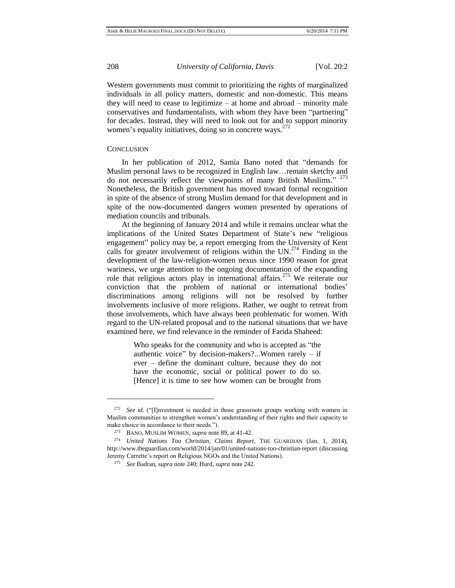Western governments must commit to prioritizing the rights of marginalized individuals in all policy matters, domestic and non-domestic. This means they will need to cease to legitimize – at home and abroad – minority male conservatives and fundamentalists, with whom they have been "partnering" for decades. Instead, they will need to look out for and to support minority women's equality initiatives, doing so in concrete ways.<sup>272</sup>

#### **CONCLUSION**

 $\overline{a}$ 

In her publication of 2012, Samia Bano noted that "demands for Muslim personal laws to be recognized in English law…remain sketchy and do not necessarily reflect the viewpoints of many British Muslims." <sup>273</sup> Nonetheless, the British government has moved toward formal recognition in spite of the absence of strong Muslim demand for that development and in spite of the now-documented dangers women presented by operations of mediation councils and tribunals.

At the beginning of January 2014 and while it remains unclear what the implications of the United States Department of State's new "religious engagement" policy may be, a report emerging from the University of Kent calls for greater involvement of religions within the UN.<sup>274</sup> Finding in the development of the law-religion-women nexus since 1990 reason for great wariness, we urge attention to the ongoing documentation of the expanding role that religious actors play in international affairs.<sup>275</sup> We reiterate our conviction that the problem of national or international bodies' discriminations among religions will not be resolved by further involvements inclusive of more religions. Rather, we ought to retreat from those involvements, which have always been problematic for women. With regard to the UN-related proposal and to the national situations that we have examined here, we find relevance in the reminder of Farida Shaheed:

> Who speaks for the community and who is accepted as "the authentic voice" by decision-makers?...Women rarely – if ever – define the dominant culture, because they do not have the economic, social or political power to do so. [Hence] it is time to see how women can be brought from

<sup>&</sup>lt;sup>272</sup> *See id.* ("II]nvestment is needed in those grassroots groups working with women in Muslim communities to strengthen women's understanding of their rights and their capacity to make choice in accordance to their needs.").

<sup>273</sup> BANO, MUSLIM WOMEN, *supra* note 89, at 41-42.

<sup>274</sup> *United Nations Too Christian, Claims Report*, THE GUARDIAN (Jan. 1, 2014), http://www.theguardian.com/world/2014/jan/01/united-nations-too-christian-report (discussing Jeremy Carrette's report on Religious NGOs and the United Nations).

<sup>275</sup> *See* Badran, *supra* note 240; Hurd, *supra* note 242.